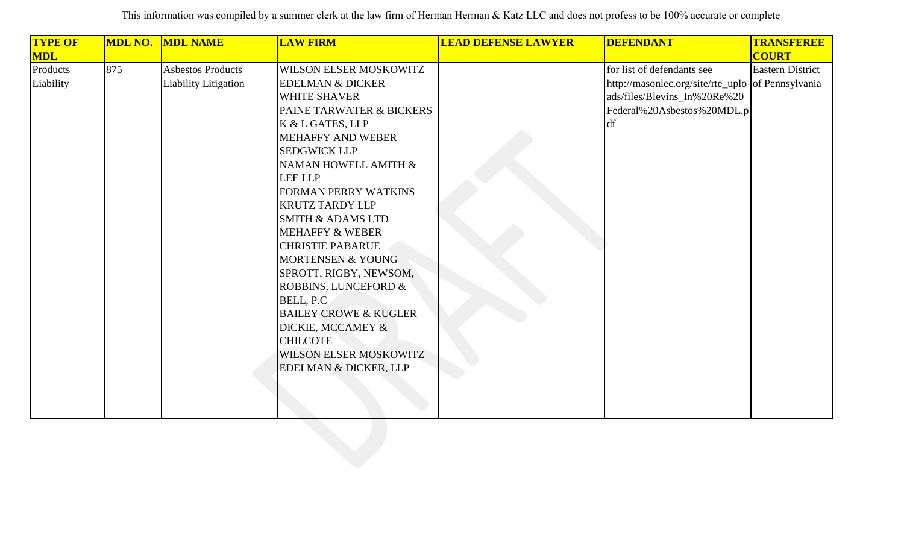| <b>TYPE OF</b> | <b>MDL NO.</b> | <b>MDL NAME</b>          | <b>LAW FIRM</b>                  | <b>LEAD DEFENSE LAWYER</b> | <b>DEFENDANT</b>                                  | <b>TRANSFEREE</b>       |
|----------------|----------------|--------------------------|----------------------------------|----------------------------|---------------------------------------------------|-------------------------|
| <b>MDL</b>     |                |                          |                                  |                            |                                                   | <b>COURT</b>            |
| Products       | 875            | <b>Asbestos Products</b> | WILSON ELSER MOSKOWITZ           |                            | for list of defendants see                        | <b>Eastern District</b> |
| Liability      |                | Liability Litigation     | <b>EDELMAN &amp; DICKER</b>      |                            | http://masonlec.org/site/rte_uplo of Pennsylvania |                         |
|                |                |                          | <b>WHITE SHAVER</b>              |                            | ads/files/Blevins_In%20Re%20                      |                         |
|                |                |                          | PAINE TARWATER & BICKERS         |                            | Federal%20Asbestos%20MDL.p                        |                         |
|                |                |                          | K & L GATES, LLP                 |                            | df                                                |                         |
|                |                |                          | <b>MEHAFFY AND WEBER</b>         |                            |                                                   |                         |
|                |                |                          | <b>SEDGWICK LLP</b>              |                            |                                                   |                         |
|                |                |                          | NAMAN HOWELL AMITH &             |                            |                                                   |                         |
|                |                |                          | <b>LEE LLP</b>                   |                            |                                                   |                         |
|                |                |                          | FORMAN PERRY WATKINS             |                            |                                                   |                         |
|                |                |                          | <b>KRUTZ TARDY LLP</b>           |                            |                                                   |                         |
|                |                |                          | <b>SMITH &amp; ADAMS LTD</b>     |                            |                                                   |                         |
|                |                |                          | <b>MEHAFFY &amp; WEBER</b>       |                            |                                                   |                         |
|                |                |                          | <b>CHRISTIE PABARUE</b>          |                            |                                                   |                         |
|                |                |                          | <b>MORTENSEN &amp; YOUNG</b>     |                            |                                                   |                         |
|                |                |                          | SPROTT, RIGBY, NEWSOM,           |                            |                                                   |                         |
|                |                |                          | ROBBINS, LUNCEFORD &             |                            |                                                   |                         |
|                |                |                          | BELL, P.C.                       |                            |                                                   |                         |
|                |                |                          | <b>BAILEY CROWE &amp; KUGLER</b> |                            |                                                   |                         |
|                |                |                          | DICKIE, MCCAMEY &                |                            |                                                   |                         |
|                |                |                          | <b>CHILCOTE</b>                  |                            |                                                   |                         |
|                |                |                          | WILSON ELSER MOSKOWITZ           |                            |                                                   |                         |
|                |                |                          | <b>EDELMAN &amp; DICKER, LLP</b> |                            |                                                   |                         |
|                |                |                          |                                  |                            |                                                   |                         |
|                |                |                          |                                  |                            |                                                   |                         |
|                |                |                          |                                  |                            |                                                   |                         |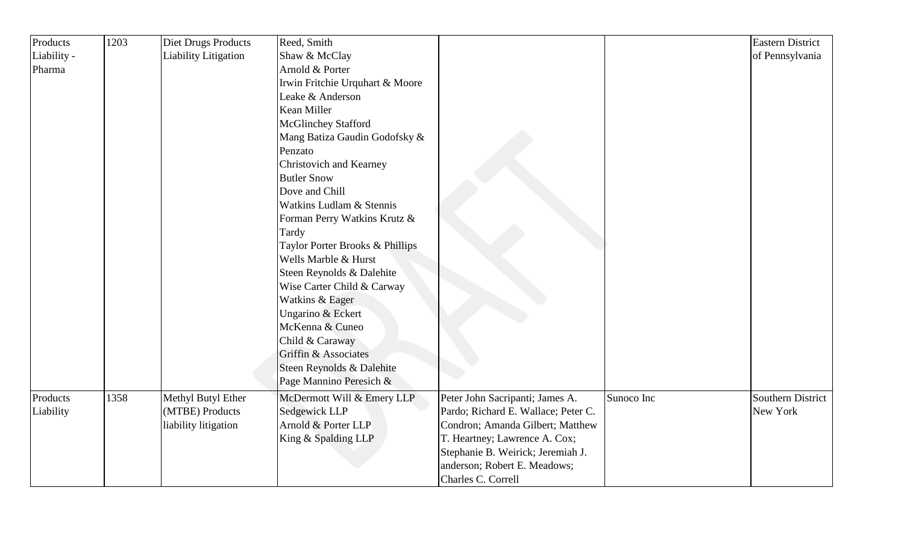| Products    | 1203 | Diet Drugs Products  | Reed, Smith                     |                                     |            | <b>Eastern District</b>  |
|-------------|------|----------------------|---------------------------------|-------------------------------------|------------|--------------------------|
| Liability - |      | Liability Litigation | Shaw & McClay                   |                                     |            | of Pennsylvania          |
| Pharma      |      |                      | Arnold & Porter                 |                                     |            |                          |
|             |      |                      | Irwin Fritchie Urquhart & Moore |                                     |            |                          |
|             |      |                      | Leake & Anderson                |                                     |            |                          |
|             |      |                      | Kean Miller                     |                                     |            |                          |
|             |      |                      | <b>McGlinchey Stafford</b>      |                                     |            |                          |
|             |      |                      | Mang Batiza Gaudin Godofsky &   |                                     |            |                          |
|             |      |                      | Penzato                         |                                     |            |                          |
|             |      |                      | Christovich and Kearney         |                                     |            |                          |
|             |      |                      | <b>Butler Snow</b>              |                                     |            |                          |
|             |      |                      | Dove and Chill                  |                                     |            |                          |
|             |      |                      | Watkins Ludlam & Stennis        |                                     |            |                          |
|             |      |                      | Forman Perry Watkins Krutz &    |                                     |            |                          |
|             |      |                      | Tardy                           |                                     |            |                          |
|             |      |                      | Taylor Porter Brooks & Phillips |                                     |            |                          |
|             |      |                      | Wells Marble & Hurst            |                                     |            |                          |
|             |      |                      | Steen Reynolds & Dalehite       |                                     |            |                          |
|             |      |                      | Wise Carter Child & Carway      |                                     |            |                          |
|             |      |                      | Watkins & Eager                 |                                     |            |                          |
|             |      |                      | Ungarino & Eckert               |                                     |            |                          |
|             |      |                      | McKenna & Cuneo                 |                                     |            |                          |
|             |      |                      | Child & Caraway                 |                                     |            |                          |
|             |      |                      | Griffin & Associates            |                                     |            |                          |
|             |      |                      | Steen Reynolds & Dalehite       |                                     |            |                          |
|             |      |                      | Page Mannino Peresich &         |                                     |            |                          |
| Products    | 1358 | Methyl Butyl Ether   | McDermott Will & Emery LLP      | Peter John Sacripanti; James A.     | Sunoco Inc | <b>Southern District</b> |
| Liability   |      | (MTBE) Products      | Sedgewick LLP                   | Pardo; Richard E. Wallace; Peter C. |            | New York                 |
|             |      | liability litigation | Arnold & Porter LLP             | Condron; Amanda Gilbert; Matthew    |            |                          |
|             |      |                      | King & Spalding LLP             | T. Heartney; Lawrence A. Cox;       |            |                          |
|             |      |                      |                                 | Stephanie B. Weirick; Jeremiah J.   |            |                          |
|             |      |                      |                                 | anderson; Robert E. Meadows;        |            |                          |
|             |      |                      |                                 | Charles C. Correll                  |            |                          |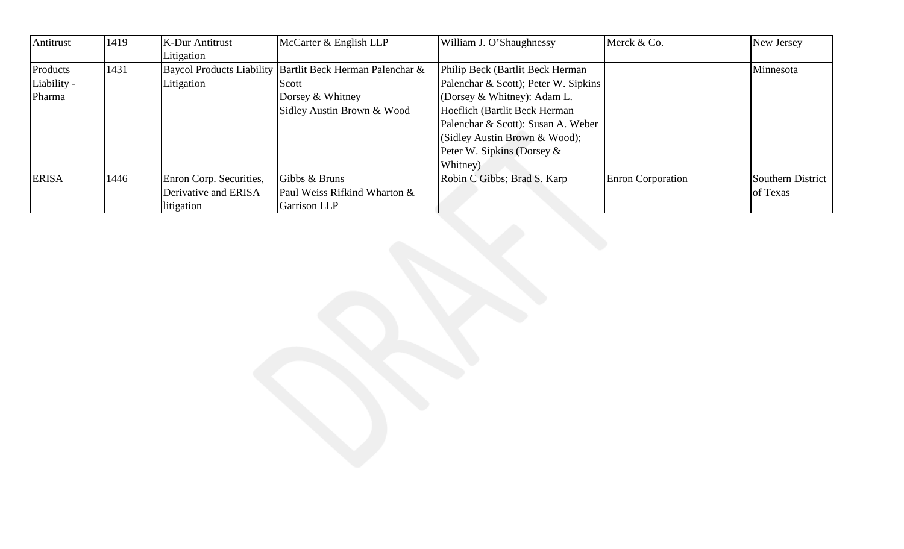| Antitrust    | 1419 | <b>K-Dur Antitrust</b>  | McCarter & English LLP                                    | William J. O'Shaughnessy             | Merck & Co.              | New Jersey               |
|--------------|------|-------------------------|-----------------------------------------------------------|--------------------------------------|--------------------------|--------------------------|
|              |      | Litigation              |                                                           |                                      |                          |                          |
| Products     | 1431 |                         | Baycol Products Liability Bartlit Beck Herman Palenchar & | Philip Beck (Bartlit Beck Herman     |                          | Minnesota                |
| Liability -  |      | Litigation              | Scott                                                     | Palenchar & Scott); Peter W. Sipkins |                          |                          |
| Pharma       |      |                         | Dorsey & Whitney                                          | (Dorsey & Whitney): Adam L.          |                          |                          |
|              |      |                         | Sidley Austin Brown & Wood                                | Hoeflich (Bartlit Beck Herman        |                          |                          |
|              |      |                         |                                                           | Palenchar & Scott): Susan A. Weber   |                          |                          |
|              |      |                         |                                                           | (Sidley Austin Brown & Wood);        |                          |                          |
|              |      |                         |                                                           | Peter W. Sipkins (Dorsey $\&$        |                          |                          |
|              |      |                         |                                                           | Whitney)                             |                          |                          |
| <b>ERISA</b> | 1446 | Enron Corp. Securities, | Gibbs & Bruns                                             | Robin C Gibbs; Brad S. Karp          | <b>Enron Corporation</b> | <b>Southern District</b> |
|              |      | Derivative and ERISA    | Paul Weiss Rifkind Wharton &                              |                                      |                          | of Texas                 |
|              |      | litigation              | Garrison LLP                                              |                                      |                          |                          |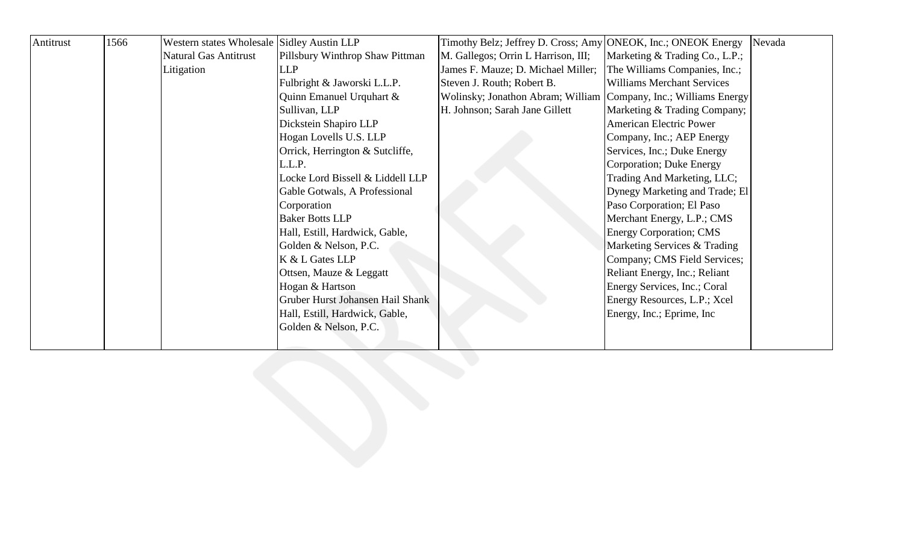| Antitrust | 1566 | Western states Wholesale Sidley Austin LLP |                                  | Timothy Belz; Jeffrey D. Cross; Amy ONEOK, Inc.; ONEOK Energy    |                                   | Nevada |
|-----------|------|--------------------------------------------|----------------------------------|------------------------------------------------------------------|-----------------------------------|--------|
|           |      | <b>Natural Gas Antitrust</b>               | Pillsbury Winthrop Shaw Pittman  | M. Gallegos; Orrin L Harrison, III;                              | Marketing & Trading Co., L.P.;    |        |
|           |      | Litigation                                 | <b>LLP</b>                       | James F. Mauze; D. Michael Miller;                               | The Williams Companies, Inc.;     |        |
|           |      |                                            | Fulbright & Jaworski L.L.P.      | Steven J. Routh; Robert B.                                       | <b>Williams Merchant Services</b> |        |
|           |      |                                            | Quinn Emanuel Urquhart &         | Wolinsky; Jonathon Abram; William Company, Inc.; Williams Energy |                                   |        |
|           |      |                                            | Sullivan, LLP                    | H. Johnson; Sarah Jane Gillett                                   | Marketing & Trading Company;      |        |
|           |      |                                            | Dickstein Shapiro LLP            |                                                                  | <b>American Electric Power</b>    |        |
|           |      |                                            | Hogan Lovells U.S. LLP           |                                                                  | Company, Inc.; AEP Energy         |        |
|           |      |                                            | Orrick, Herrington & Sutcliffe,  |                                                                  | Services, Inc.; Duke Energy       |        |
|           |      |                                            | L.L.P.                           |                                                                  | Corporation; Duke Energy          |        |
|           |      |                                            | Locke Lord Bissell & Liddell LLP |                                                                  | Trading And Marketing, LLC;       |        |
|           |      |                                            | Gable Gotwals, A Professional    |                                                                  | Dynegy Marketing and Trade; El    |        |
|           |      |                                            | Corporation                      |                                                                  | Paso Corporation; El Paso         |        |
|           |      |                                            | <b>Baker Botts LLP</b>           |                                                                  | Merchant Energy, L.P.; CMS        |        |
|           |      |                                            | Hall, Estill, Hardwick, Gable,   |                                                                  | <b>Energy Corporation; CMS</b>    |        |
|           |      |                                            | Golden & Nelson, P.C.            |                                                                  | Marketing Services & Trading      |        |
|           |      |                                            | K & L Gates LLP                  |                                                                  | Company; CMS Field Services;      |        |
|           |      |                                            | Ottsen, Mauze & Leggatt          |                                                                  | Reliant Energy, Inc.; Reliant     |        |
|           |      |                                            | Hogan & Hartson                  |                                                                  | Energy Services, Inc.; Coral      |        |
|           |      |                                            | Gruber Hurst Johansen Hail Shank |                                                                  | Energy Resources, L.P.; Xcel      |        |
|           |      |                                            | Hall, Estill, Hardwick, Gable,   |                                                                  | Energy, Inc.; Eprime, Inc.        |        |
|           |      |                                            | Golden & Nelson, P.C.            |                                                                  |                                   |        |
|           |      |                                            |                                  |                                                                  |                                   |        |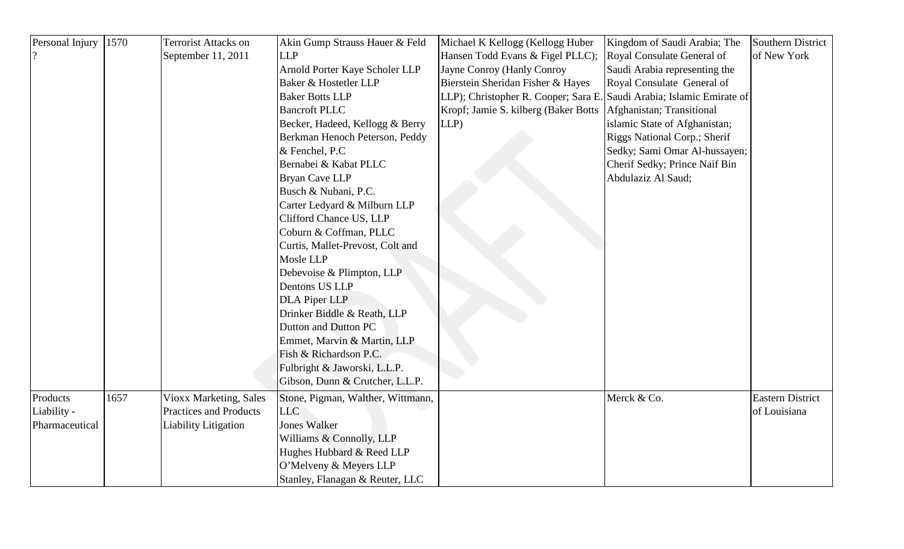| Personal Injury | 1570 | <b>Terrorist Attacks on</b>   | Akin Gump Strauss Hauer & Feld    | Michael K Kellogg (Kellogg Huber                                      | Kingdom of Saudi Arabia; The  | Southern District       |
|-----------------|------|-------------------------------|-----------------------------------|-----------------------------------------------------------------------|-------------------------------|-------------------------|
|                 |      | September 11, 2011            | <b>LLP</b>                        | Hansen Todd Evans & Figel PLLC);                                      | Royal Consulate General of    | of New York             |
|                 |      |                               | Arnold Porter Kaye Scholer LLP    | Jayne Conroy (Hanly Conroy                                            | Saudi Arabia representing the |                         |
|                 |      |                               | Baker & Hostetler LLP             | Bierstein Sheridan Fisher & Hayes                                     | Royal Consulate General of    |                         |
|                 |      |                               | <b>Baker Botts LLP</b>            | LLP); Christopher R. Cooper; Sara E. Saudi Arabia; Islamic Emirate of |                               |                         |
|                 |      |                               | <b>Bancroft PLLC</b>              | Kropf; Jamie S. kilberg (Baker Botts)                                 | Afghanistan; Transitional     |                         |
|                 |      |                               | Becker, Hadeed, Kellogg & Berry   | LLP                                                                   | islamic State of Afghanistan; |                         |
|                 |      |                               | Berkman Henoch Peterson, Peddy    |                                                                       | Riggs National Corp.; Sherif  |                         |
|                 |      |                               | & Fenchel, P.C                    |                                                                       | Sedky; Sami Omar Al-hussayen; |                         |
|                 |      |                               | Bernabei & Kabat PLLC             |                                                                       | Cherif Sedky; Prince Naif Bin |                         |
|                 |      |                               | <b>Bryan Cave LLP</b>             |                                                                       | Abdulaziz Al Saud;            |                         |
|                 |      |                               | Busch & Nubani, P.C.              |                                                                       |                               |                         |
|                 |      |                               | Carter Ledyard & Milburn LLP      |                                                                       |                               |                         |
|                 |      |                               | Clifford Chance US, LLP           |                                                                       |                               |                         |
|                 |      |                               | Coburn & Coffman, PLLC            |                                                                       |                               |                         |
|                 |      |                               | Curtis, Mallet-Prevost, Colt and  |                                                                       |                               |                         |
|                 |      |                               | Mosle LLP                         |                                                                       |                               |                         |
|                 |      |                               | Debevoise & Plimpton, LLP         |                                                                       |                               |                         |
|                 |      |                               | Dentons US LLP                    |                                                                       |                               |                         |
|                 |      |                               | <b>DLA Piper LLP</b>              |                                                                       |                               |                         |
|                 |      |                               | Drinker Biddle & Reath, LLP       |                                                                       |                               |                         |
|                 |      |                               | Dutton and Dutton PC              |                                                                       |                               |                         |
|                 |      |                               | Emmet, Marvin & Martin, LLP       |                                                                       |                               |                         |
|                 |      |                               | Fish & Richardson P.C.            |                                                                       |                               |                         |
|                 |      |                               | Fulbright & Jaworski, L.L.P.      |                                                                       |                               |                         |
|                 |      |                               | Gibson, Dunn & Crutcher, L.L.P.   |                                                                       |                               |                         |
| Products        | 1657 | Vioxx Marketing, Sales        | Stone, Pigman, Walther, Wittmann, |                                                                       | Merck & Co.                   | <b>Eastern District</b> |
| Liability -     |      | <b>Practices and Products</b> | <b>LLC</b>                        |                                                                       |                               | of Louisiana            |
| Pharmaceutical  |      | <b>Liability Litigation</b>   | <b>Jones Walker</b>               |                                                                       |                               |                         |
|                 |      |                               | Williams & Connolly, LLP          |                                                                       |                               |                         |
|                 |      |                               | Hughes Hubbard & Reed LLP         |                                                                       |                               |                         |
|                 |      |                               | O'Melveny & Meyers LLP            |                                                                       |                               |                         |
|                 |      |                               | Stanley, Flanagan & Reuter, LLC   |                                                                       |                               |                         |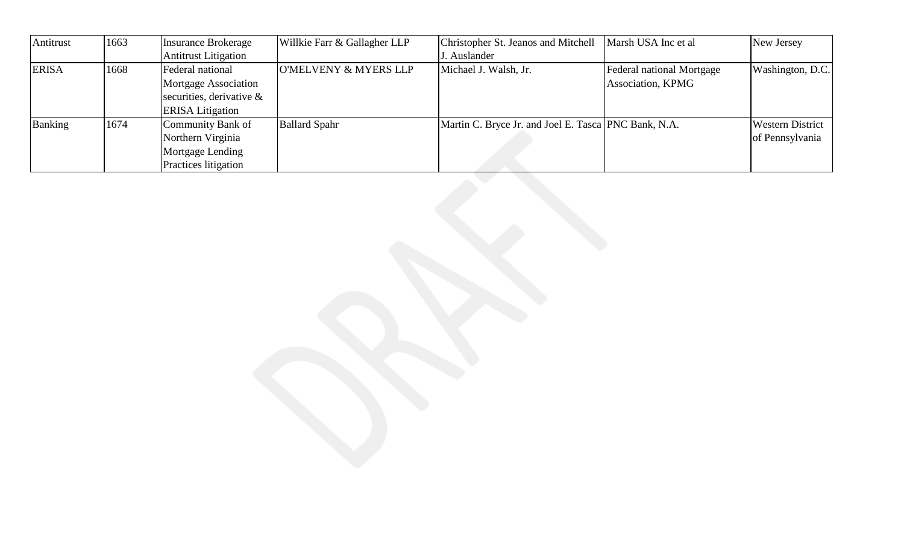| Antitrust    | 1663 | <b>Insurance Brokerage</b>  | Willkie Farr & Gallagher LLP | Christopher St. Jeanos and Mitchell                  | Marsh USA Inc et al       | New Jersey              |
|--------------|------|-----------------------------|------------------------------|------------------------------------------------------|---------------------------|-------------------------|
|              |      | <b>Antitrust Litigation</b> |                              | J. Auslander                                         |                           |                         |
| <b>ERISA</b> | 1668 | Federal national            | O'MELVENY & MYERS LLP        | Michael J. Walsh, Jr.                                | Federal national Mortgage | Washington, D.C.        |
|              |      | <b>Mortgage Association</b> |                              |                                                      | Association, KPMG         |                         |
|              |      | securities, derivative $\&$ |                              |                                                      |                           |                         |
|              |      | <b>ERISA</b> Litigation     |                              |                                                      |                           |                         |
| Banking      | 1674 | Community Bank of           | <b>Ballard Spahr</b>         | Martin C. Bryce Jr. and Joel E. Tasca PNC Bank, N.A. |                           | <b>Western District</b> |
|              |      | Northern Virginia           |                              |                                                      |                           | of Pennsylvania         |
|              |      | Mortgage Lending            |                              |                                                      |                           |                         |
|              |      | <b>Practices</b> litigation |                              |                                                      |                           |                         |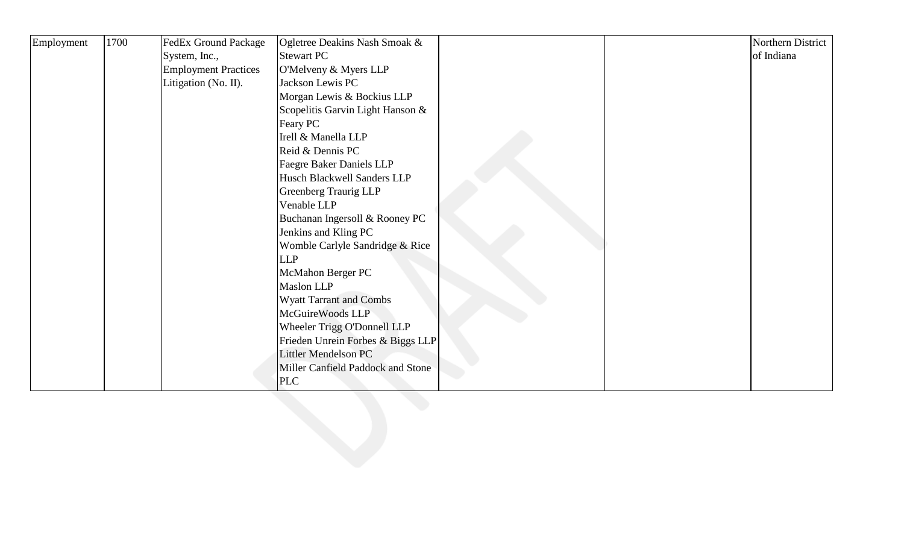| Employment | 1700 | <b>FedEx Ground Package</b> | Ogletree Deakins Nash Smoak &     |  | Northern District |
|------------|------|-----------------------------|-----------------------------------|--|-------------------|
|            |      | System, Inc.,               | <b>Stewart PC</b>                 |  | of Indiana        |
|            |      | <b>Employment Practices</b> | O'Melveny & Myers LLP             |  |                   |
|            |      | Litigation (No. II).        | Jackson Lewis PC                  |  |                   |
|            |      |                             | Morgan Lewis & Bockius LLP        |  |                   |
|            |      |                             | Scopelitis Garvin Light Hanson &  |  |                   |
|            |      |                             | Feary PC                          |  |                   |
|            |      |                             | Irell & Manella LLP               |  |                   |
|            |      |                             | Reid & Dennis PC                  |  |                   |
|            |      |                             | <b>Faegre Baker Daniels LLP</b>   |  |                   |
|            |      |                             | Husch Blackwell Sanders LLP       |  |                   |
|            |      |                             | <b>Greenberg Traurig LLP</b>      |  |                   |
|            |      |                             | Venable LLP                       |  |                   |
|            |      |                             | Buchanan Ingersoll & Rooney PC    |  |                   |
|            |      |                             | Jenkins and Kling PC              |  |                   |
|            |      |                             | Womble Carlyle Sandridge & Rice   |  |                   |
|            |      |                             | <b>LLP</b>                        |  |                   |
|            |      |                             | McMahon Berger PC                 |  |                   |
|            |      |                             | Maslon LLP                        |  |                   |
|            |      |                             | <b>Wyatt Tarrant and Combs</b>    |  |                   |
|            |      |                             | McGuireWoods LLP                  |  |                   |
|            |      |                             | Wheeler Trigg O'Donnell LLP       |  |                   |
|            |      |                             | Frieden Unrein Forbes & Biggs LLP |  |                   |
|            |      |                             | Littler Mendelson PC              |  |                   |
|            |      |                             | Miller Canfield Paddock and Stone |  |                   |
|            |      |                             | <b>PLC</b>                        |  |                   |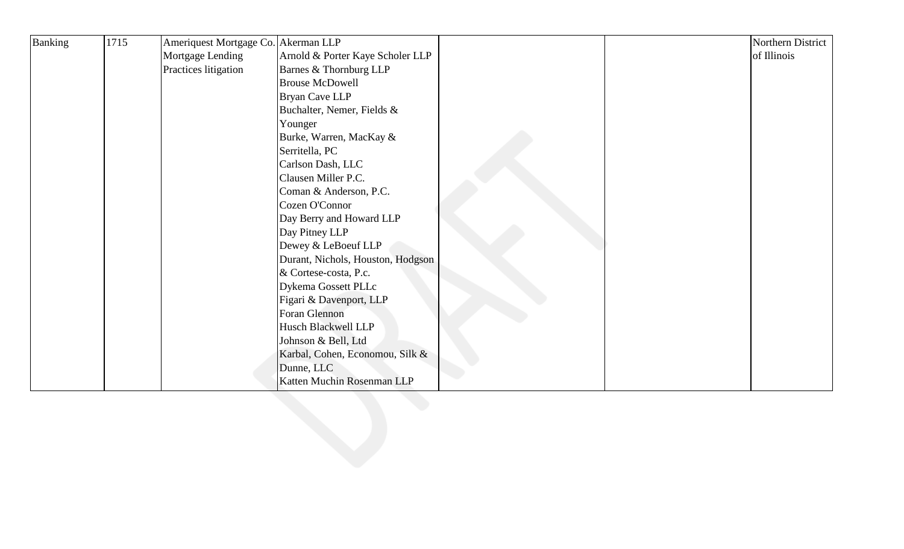| Banking | 1715 | Ameriquest Mortgage Co. Akerman LLP |                                   |  | Northern District |
|---------|------|-------------------------------------|-----------------------------------|--|-------------------|
|         |      | Mortgage Lending                    | Arnold & Porter Kaye Scholer LLP  |  | of Illinois       |
|         |      | Practices litigation                | Barnes & Thornburg LLP            |  |                   |
|         |      |                                     | <b>Brouse McDowell</b>            |  |                   |
|         |      |                                     | <b>Bryan Cave LLP</b>             |  |                   |
|         |      |                                     | Buchalter, Nemer, Fields &        |  |                   |
|         |      |                                     | Younger                           |  |                   |
|         |      |                                     | Burke, Warren, MacKay &           |  |                   |
|         |      |                                     | Serritella, PC                    |  |                   |
|         |      |                                     | Carlson Dash, LLC                 |  |                   |
|         |      |                                     | Clausen Miller P.C.               |  |                   |
|         |      |                                     | Coman & Anderson, P.C.            |  |                   |
|         |      |                                     | Cozen O'Connor                    |  |                   |
|         |      |                                     | Day Berry and Howard LLP          |  |                   |
|         |      |                                     | Day Pitney LLP                    |  |                   |
|         |      |                                     | Dewey & LeBoeuf LLP               |  |                   |
|         |      |                                     | Durant, Nichols, Houston, Hodgson |  |                   |
|         |      |                                     | & Cortese-costa, P.c.             |  |                   |
|         |      |                                     | Dykema Gossett PLLc               |  |                   |
|         |      |                                     | Figari & Davenport, LLP           |  |                   |
|         |      |                                     | Foran Glennon                     |  |                   |
|         |      |                                     | Husch Blackwell LLP               |  |                   |
|         |      |                                     | Johnson & Bell, Ltd               |  |                   |
|         |      |                                     | Karbal, Cohen, Economou, Silk &   |  |                   |
|         |      |                                     | Dunne, LLC                        |  |                   |
|         |      |                                     | Katten Muchin Rosenman LLP        |  |                   |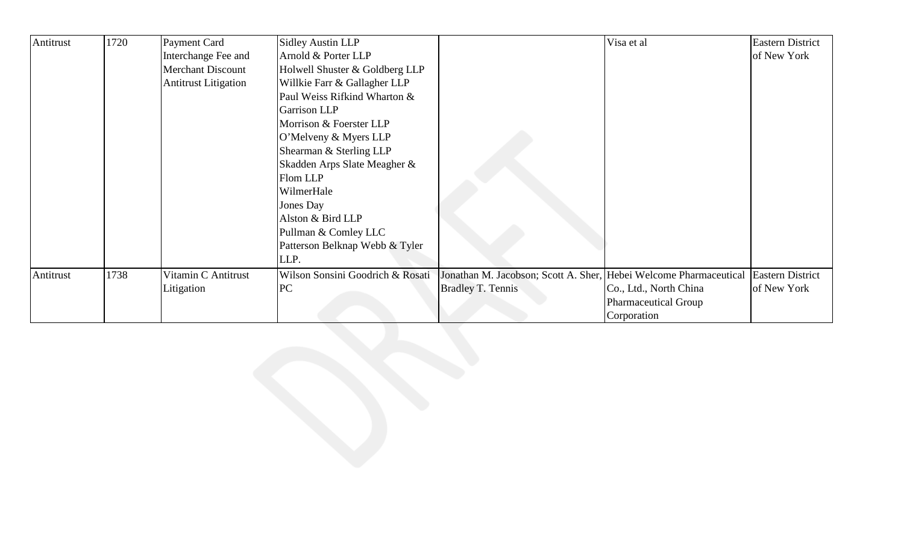| Antitrust | 1720 | Payment Card                | <b>Sidley Austin LLP</b>         |                                      | Visa et al                   | <b>Eastern District</b> |
|-----------|------|-----------------------------|----------------------------------|--------------------------------------|------------------------------|-------------------------|
|           |      | Interchange Fee and         | Arnold & Porter LLP              |                                      |                              | of New York             |
|           |      | <b>Merchant Discount</b>    | Holwell Shuster & Goldberg LLP   |                                      |                              |                         |
|           |      | <b>Antitrust Litigation</b> | Willkie Farr & Gallagher LLP     |                                      |                              |                         |
|           |      |                             | Paul Weiss Rifkind Wharton &     |                                      |                              |                         |
|           |      |                             | <b>Garrison LLP</b>              |                                      |                              |                         |
|           |      |                             | Morrison & Foerster LLP          |                                      |                              |                         |
|           |      |                             | O'Melveny & Myers LLP            |                                      |                              |                         |
|           |      |                             | Shearman & Sterling LLP          |                                      |                              |                         |
|           |      |                             | Skadden Arps Slate Meagher &     |                                      |                              |                         |
|           |      |                             | Flom LLP                         |                                      |                              |                         |
|           |      |                             | WilmerHale                       |                                      |                              |                         |
|           |      |                             | Jones Day                        |                                      |                              |                         |
|           |      |                             | Alston & Bird LLP                |                                      |                              |                         |
|           |      |                             | Pullman & Comley LLC             |                                      |                              |                         |
|           |      |                             | Patterson Belknap Webb & Tyler   |                                      |                              |                         |
|           |      |                             | LLP.                             |                                      |                              |                         |
| Antitrust | 1738 | Vitamin C Antitrust         | Wilson Sonsini Goodrich & Rosati | Jonathan M. Jacobson; Scott A. Sher, | Hebei Welcome Pharmaceutical | <b>Eastern District</b> |
|           |      | Litigation                  | PC                               | <b>Bradley T. Tennis</b>             | Co., Ltd., North China       | of New York             |
|           |      |                             |                                  |                                      | <b>Pharmaceutical Group</b>  |                         |
|           |      |                             |                                  |                                      | Corporation                  |                         |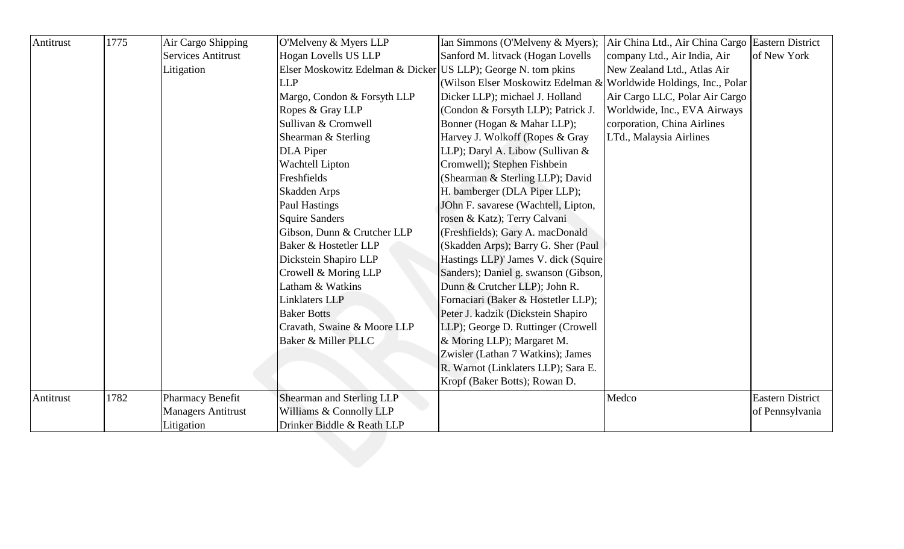| Antitrust | 1775 | Air Cargo Shipping        | O'Melveny & Myers LLP                                         | Ian Simmons (O'Melveny & Myers);                                  | Air China Ltd., Air China Cargo Eastern District |                         |
|-----------|------|---------------------------|---------------------------------------------------------------|-------------------------------------------------------------------|--------------------------------------------------|-------------------------|
|           |      | <b>Services Antitrust</b> | Hogan Lovells US LLP                                          | Sanford M. litvack (Hogan Lovells                                 | company Ltd., Air India, Air                     | of New York             |
|           |      | Litigation                | Elser Moskowitz Edelman & Dicker US LLP); George N. tom pkins |                                                                   | New Zealand Ltd., Atlas Air                      |                         |
|           |      |                           | <b>LLP</b>                                                    | (Wilson Elser Moskowitz Edelman & Worldwide Holdings, Inc., Polar |                                                  |                         |
|           |      |                           | Margo, Condon & Forsyth LLP                                   | Dicker LLP); michael J. Holland                                   | Air Cargo LLC, Polar Air Cargo                   |                         |
|           |      |                           | Ropes & Gray LLP                                              | (Condon & Forsyth LLP); Patrick J.                                | Worldwide, Inc., EVA Airways                     |                         |
|           |      |                           | Sullivan & Cromwell                                           | Bonner (Hogan & Mahar LLP);                                       | corporation, China Airlines                      |                         |
|           |      |                           | Shearman & Sterling                                           | Harvey J. Wolkoff (Ropes & Gray                                   | LTd., Malaysia Airlines                          |                         |
|           |      |                           | <b>DLA</b> Piper                                              | LLP); Daryl A. Libow (Sullivan &                                  |                                                  |                         |
|           |      |                           | <b>Wachtell Lipton</b>                                        | Cromwell); Stephen Fishbein                                       |                                                  |                         |
|           |      |                           | Freshfields                                                   | (Shearman & Sterling LLP); David                                  |                                                  |                         |
|           |      |                           | Skadden Arps                                                  | H. bamberger (DLA Piper LLP);                                     |                                                  |                         |
|           |      |                           | <b>Paul Hastings</b>                                          | JOhn F. savarese (Wachtell, Lipton,                               |                                                  |                         |
|           |      |                           | <b>Squire Sanders</b>                                         | rosen & Katz); Terry Calvani                                      |                                                  |                         |
|           |      |                           | Gibson, Dunn & Crutcher LLP                                   | (Freshfields); Gary A. macDonald                                  |                                                  |                         |
|           |      |                           | Baker & Hostetler LLP                                         | (Skadden Arps); Barry G. Sher (Paul                               |                                                  |                         |
|           |      |                           | Dickstein Shapiro LLP                                         | Hastings LLP)' James V. dick (Squire                              |                                                  |                         |
|           |      |                           | Crowell & Moring LLP                                          | Sanders); Daniel g. swanson (Gibson,                              |                                                  |                         |
|           |      |                           | Latham & Watkins                                              | Dunn & Crutcher LLP); John R.                                     |                                                  |                         |
|           |      |                           | <b>Linklaters LLP</b>                                         | Fornaciari (Baker & Hostetler LLP);                               |                                                  |                         |
|           |      |                           | <b>Baker Botts</b>                                            | Peter J. kadzik (Dickstein Shapiro                                |                                                  |                         |
|           |      |                           | Cravath, Swaine & Moore LLP                                   | LLP); George D. Ruttinger (Crowell                                |                                                  |                         |
|           |      |                           | Baker & Miller PLLC                                           | & Moring LLP); Margaret M.                                        |                                                  |                         |
|           |      |                           |                                                               | Zwisler (Lathan 7 Watkins); James                                 |                                                  |                         |
|           |      |                           |                                                               | R. Warnot (Linklaters LLP); Sara E.                               |                                                  |                         |
|           |      |                           |                                                               | Kropf (Baker Botts); Rowan D.                                     |                                                  |                         |
| Antitrust | 1782 | Pharmacy Benefit          | Shearman and Sterling LLP                                     |                                                                   | Medco                                            | <b>Eastern District</b> |
|           |      | <b>Managers Antitrust</b> | Williams & Connolly LLP                                       |                                                                   |                                                  | of Pennsylvania         |
|           |      | Litigation                | Drinker Biddle & Reath LLP                                    |                                                                   |                                                  |                         |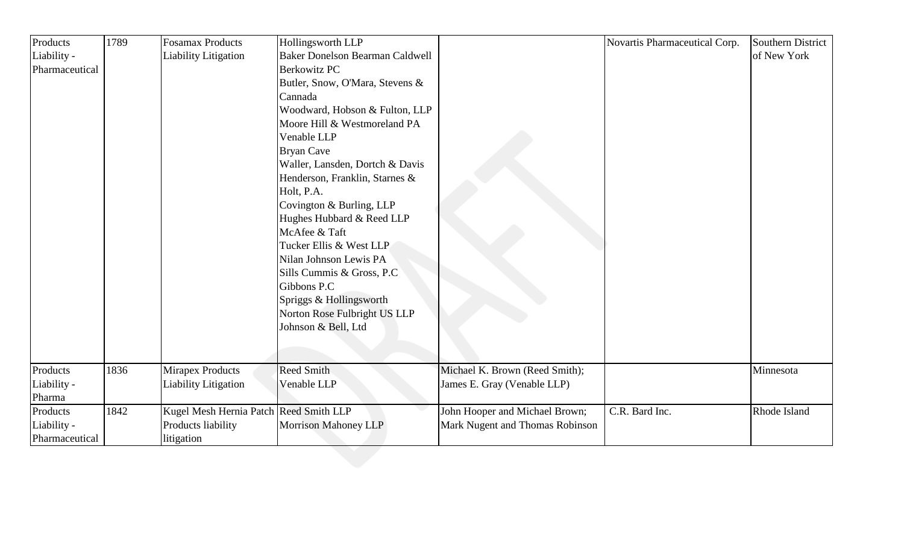| Products<br>Liability -<br><b>Baker Donelson Bearman Caldwell</b><br><b>Liability Litigation</b><br><b>Berkowitz PC</b><br>Pharmaceutical<br>Butler, Snow, O'Mara, Stevens &<br>Cannada<br>Woodward, Hobson & Fulton, LLP<br>Moore Hill & Westmoreland PA<br>Venable LLP<br><b>Bryan Cave</b><br>Waller, Lansden, Dortch & Davis<br>Henderson, Franklin, Starnes &<br>Holt, P.A.<br>Covington & Burling, LLP<br>Hughes Hubbard & Reed LLP<br>McAfee & Taft<br>Tucker Ellis & West LLP<br>Nilan Johnson Lewis PA<br>Sills Cummis & Gross, P.C.<br>Gibbons P.C<br>Spriggs & Hollingsworth<br>Norton Rose Fulbright US LLP<br>Johnson & Bell, Ltd<br>Products<br><b>Reed Smith</b><br>1836<br><b>Mirapex Products</b><br>Michael K. Brown (Reed Smith);<br>Liability -<br><b>Liability Litigation</b><br>Venable LLP<br>James E. Gray (Venable LLP)<br>Pharma<br>1842<br>C.R. Bard Inc.<br>Products<br>Kugel Mesh Hernia Patch Reed Smith LLP<br>John Hooper and Michael Brown; | Southern District |
|------------------------------------------------------------------------------------------------------------------------------------------------------------------------------------------------------------------------------------------------------------------------------------------------------------------------------------------------------------------------------------------------------------------------------------------------------------------------------------------------------------------------------------------------------------------------------------------------------------------------------------------------------------------------------------------------------------------------------------------------------------------------------------------------------------------------------------------------------------------------------------------------------------------------------------------------------------------------------|-------------------|
|                                                                                                                                                                                                                                                                                                                                                                                                                                                                                                                                                                                                                                                                                                                                                                                                                                                                                                                                                                              | of New York       |
|                                                                                                                                                                                                                                                                                                                                                                                                                                                                                                                                                                                                                                                                                                                                                                                                                                                                                                                                                                              |                   |
|                                                                                                                                                                                                                                                                                                                                                                                                                                                                                                                                                                                                                                                                                                                                                                                                                                                                                                                                                                              |                   |
|                                                                                                                                                                                                                                                                                                                                                                                                                                                                                                                                                                                                                                                                                                                                                                                                                                                                                                                                                                              |                   |
|                                                                                                                                                                                                                                                                                                                                                                                                                                                                                                                                                                                                                                                                                                                                                                                                                                                                                                                                                                              |                   |
|                                                                                                                                                                                                                                                                                                                                                                                                                                                                                                                                                                                                                                                                                                                                                                                                                                                                                                                                                                              |                   |
|                                                                                                                                                                                                                                                                                                                                                                                                                                                                                                                                                                                                                                                                                                                                                                                                                                                                                                                                                                              |                   |
|                                                                                                                                                                                                                                                                                                                                                                                                                                                                                                                                                                                                                                                                                                                                                                                                                                                                                                                                                                              |                   |
|                                                                                                                                                                                                                                                                                                                                                                                                                                                                                                                                                                                                                                                                                                                                                                                                                                                                                                                                                                              |                   |
|                                                                                                                                                                                                                                                                                                                                                                                                                                                                                                                                                                                                                                                                                                                                                                                                                                                                                                                                                                              |                   |
|                                                                                                                                                                                                                                                                                                                                                                                                                                                                                                                                                                                                                                                                                                                                                                                                                                                                                                                                                                              |                   |
|                                                                                                                                                                                                                                                                                                                                                                                                                                                                                                                                                                                                                                                                                                                                                                                                                                                                                                                                                                              |                   |
|                                                                                                                                                                                                                                                                                                                                                                                                                                                                                                                                                                                                                                                                                                                                                                                                                                                                                                                                                                              |                   |
|                                                                                                                                                                                                                                                                                                                                                                                                                                                                                                                                                                                                                                                                                                                                                                                                                                                                                                                                                                              |                   |
|                                                                                                                                                                                                                                                                                                                                                                                                                                                                                                                                                                                                                                                                                                                                                                                                                                                                                                                                                                              |                   |
|                                                                                                                                                                                                                                                                                                                                                                                                                                                                                                                                                                                                                                                                                                                                                                                                                                                                                                                                                                              |                   |
|                                                                                                                                                                                                                                                                                                                                                                                                                                                                                                                                                                                                                                                                                                                                                                                                                                                                                                                                                                              |                   |
|                                                                                                                                                                                                                                                                                                                                                                                                                                                                                                                                                                                                                                                                                                                                                                                                                                                                                                                                                                              |                   |
|                                                                                                                                                                                                                                                                                                                                                                                                                                                                                                                                                                                                                                                                                                                                                                                                                                                                                                                                                                              |                   |
|                                                                                                                                                                                                                                                                                                                                                                                                                                                                                                                                                                                                                                                                                                                                                                                                                                                                                                                                                                              |                   |
|                                                                                                                                                                                                                                                                                                                                                                                                                                                                                                                                                                                                                                                                                                                                                                                                                                                                                                                                                                              |                   |
|                                                                                                                                                                                                                                                                                                                                                                                                                                                                                                                                                                                                                                                                                                                                                                                                                                                                                                                                                                              |                   |
|                                                                                                                                                                                                                                                                                                                                                                                                                                                                                                                                                                                                                                                                                                                                                                                                                                                                                                                                                                              |                   |
|                                                                                                                                                                                                                                                                                                                                                                                                                                                                                                                                                                                                                                                                                                                                                                                                                                                                                                                                                                              | Minnesota         |
|                                                                                                                                                                                                                                                                                                                                                                                                                                                                                                                                                                                                                                                                                                                                                                                                                                                                                                                                                                              |                   |
|                                                                                                                                                                                                                                                                                                                                                                                                                                                                                                                                                                                                                                                                                                                                                                                                                                                                                                                                                                              |                   |
|                                                                                                                                                                                                                                                                                                                                                                                                                                                                                                                                                                                                                                                                                                                                                                                                                                                                                                                                                                              | Rhode Island      |
| Mark Nugent and Thomas Robinson<br>Liability -<br>Products liability<br><b>Morrison Mahoney LLP</b>                                                                                                                                                                                                                                                                                                                                                                                                                                                                                                                                                                                                                                                                                                                                                                                                                                                                          |                   |
| Pharmaceutical<br>litigation                                                                                                                                                                                                                                                                                                                                                                                                                                                                                                                                                                                                                                                                                                                                                                                                                                                                                                                                                 |                   |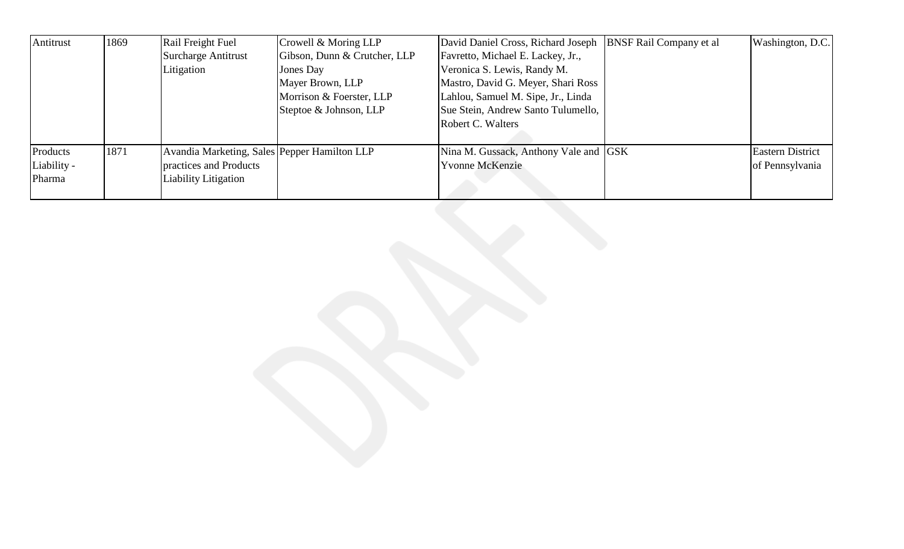| Antitrust   | 1869 | Rail Freight Fuel                            | Crowell & Moring LLP         | David Daniel Cross, Richard Joseph    | <b>BNSF Rail Company et al</b> | Washington, D.C.        |
|-------------|------|----------------------------------------------|------------------------------|---------------------------------------|--------------------------------|-------------------------|
|             |      | <b>Surcharge Antitrust</b>                   | Gibson, Dunn & Crutcher, LLP | Favretto, Michael E. Lackey, Jr.,     |                                |                         |
|             |      | Litigation                                   | Jones Day                    | Veronica S. Lewis, Randy M.           |                                |                         |
|             |      |                                              | Mayer Brown, LLP             | Mastro, David G. Meyer, Shari Ross    |                                |                         |
|             |      |                                              | Morrison & Foerster, LLP     | Lahlou, Samuel M. Sipe, Jr., Linda    |                                |                         |
|             |      |                                              | Steptoe & Johnson, LLP       | Sue Stein, Andrew Santo Tulumello,    |                                |                         |
|             |      |                                              |                              | Robert C. Walters                     |                                |                         |
|             |      |                                              |                              |                                       |                                |                         |
| Products    | 1871 | Avandia Marketing, Sales Pepper Hamilton LLP |                              | Nina M. Gussack, Anthony Vale and GSK |                                | <b>Eastern District</b> |
| Liability - |      | practices and Products                       |                              | <b>Yvonne McKenzie</b>                |                                | of Pennsylvania         |
| Pharma      |      | Liability Litigation                         |                              |                                       |                                |                         |
|             |      |                                              |                              |                                       |                                |                         |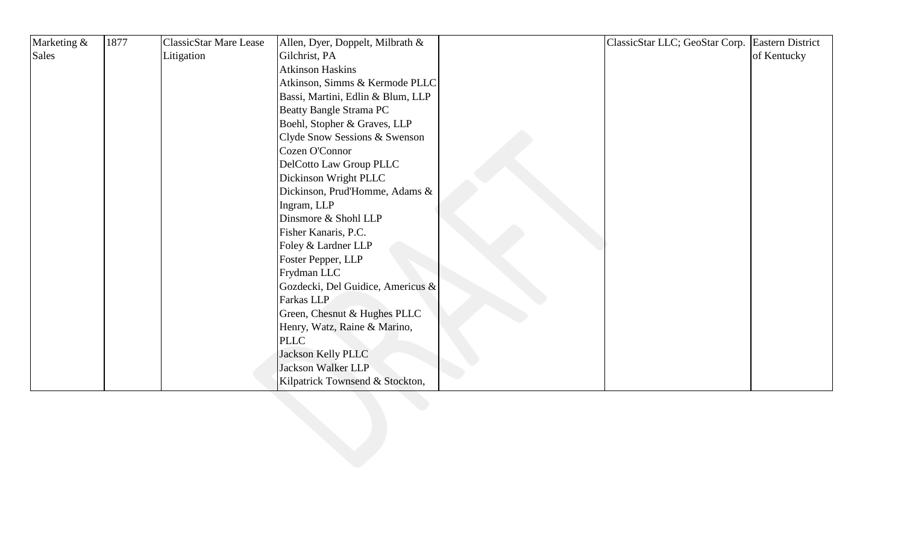| Marketing & | 1877 | <b>ClassicStar Mare Lease</b> | Allen, Dyer, Doppelt, Milbrath &  | ClassicStar LLC; GeoStar Corp. Eastern District |             |
|-------------|------|-------------------------------|-----------------------------------|-------------------------------------------------|-------------|
| Sales       |      | Litigation                    | Gilchrist, PA                     |                                                 | of Kentucky |
|             |      |                               | <b>Atkinson Haskins</b>           |                                                 |             |
|             |      |                               | Atkinson, Simms & Kermode PLLC    |                                                 |             |
|             |      |                               | Bassi, Martini, Edlin & Blum, LLP |                                                 |             |
|             |      |                               | <b>Beatty Bangle Strama PC</b>    |                                                 |             |
|             |      |                               | Boehl, Stopher & Graves, LLP      |                                                 |             |
|             |      |                               | Clyde Snow Sessions & Swenson     |                                                 |             |
|             |      |                               | Cozen O'Connor                    |                                                 |             |
|             |      |                               | DelCotto Law Group PLLC           |                                                 |             |
|             |      |                               | Dickinson Wright PLLC             |                                                 |             |
|             |      |                               | Dickinson, Prud'Homme, Adams &    |                                                 |             |
|             |      |                               | Ingram, LLP                       |                                                 |             |
|             |      |                               | Dinsmore & Shohl LLP              |                                                 |             |
|             |      |                               | Fisher Kanaris, P.C.              |                                                 |             |
|             |      |                               | Foley & Lardner LLP               |                                                 |             |
|             |      |                               | Foster Pepper, LLP                |                                                 |             |
|             |      |                               | Frydman LLC                       |                                                 |             |
|             |      |                               | Gozdecki, Del Guidice, Americus & |                                                 |             |
|             |      |                               | Farkas LLP                        |                                                 |             |
|             |      |                               | Green, Chesnut & Hughes PLLC      |                                                 |             |
|             |      |                               | Henry, Watz, Raine & Marino,      |                                                 |             |
|             |      |                               | <b>PLLC</b>                       |                                                 |             |
|             |      |                               | Jackson Kelly PLLC                |                                                 |             |
|             |      |                               | <b>Jackson Walker LLP</b>         |                                                 |             |
|             |      |                               | Kilpatrick Townsend & Stockton,   |                                                 |             |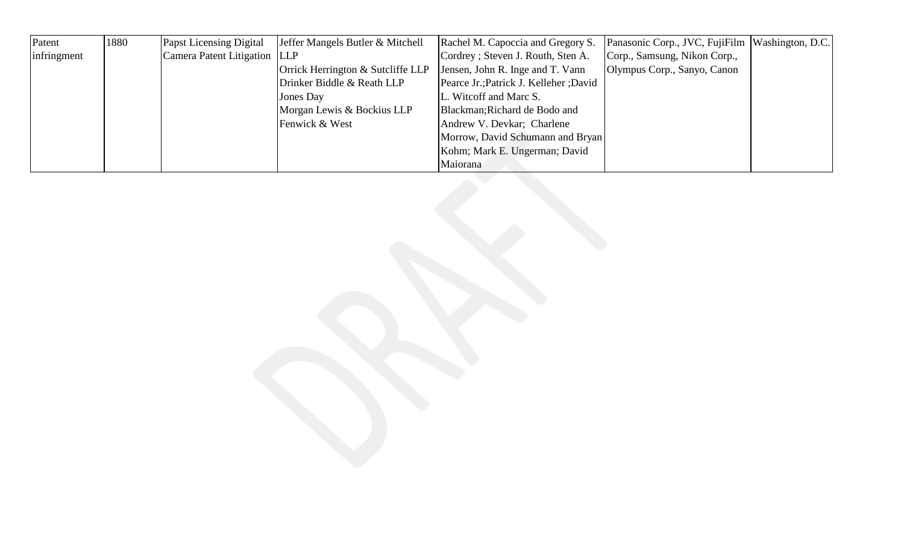| Patent      | 1880 | <b>Papst Licensing Digital</b> | Jeffer Mangels Butler & Mitchell  | Rachel M. Capoccia and Gregory S.      | Panasonic Corp., JVC, FujiFilm   Washington, D.C. |  |
|-------------|------|--------------------------------|-----------------------------------|----------------------------------------|---------------------------------------------------|--|
| infringment |      | Camera Patent Litigation LLP   |                                   | Cordrey; Steven J. Routh, Sten A.      | Corp., Samsung, Nikon Corp.,                      |  |
|             |      |                                | Orrick Herrington & Sutcliffe LLP | Jensen, John R. Inge and T. Vann       | Olympus Corp., Sanyo, Canon                       |  |
|             |      |                                | Drinker Biddle & Reath LLP        | Pearce Jr.; Patrick J. Kelleher; David |                                                   |  |
|             |      |                                | Jones Day                         | L. Witcoff and Marc S.                 |                                                   |  |
|             |      |                                | Morgan Lewis & Bockius LLP        | Blackman; Richard de Bodo and          |                                                   |  |
|             |      |                                | Fenwick & West                    | Andrew V. Devkar; Charlene             |                                                   |  |
|             |      |                                |                                   | Morrow, David Schumann and Bryan       |                                                   |  |
|             |      |                                |                                   | Kohm; Mark E. Ungerman; David          |                                                   |  |
|             |      |                                |                                   | Maiorana                               |                                                   |  |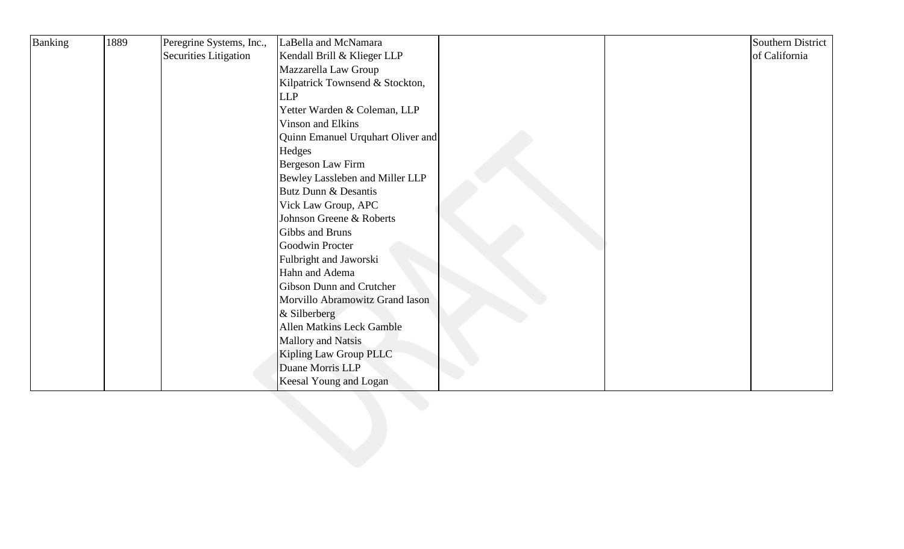| Banking | 1889 | Peregrine Systems, Inc.,     | LaBella and McNamara              |  | Southern District |
|---------|------|------------------------------|-----------------------------------|--|-------------------|
|         |      | <b>Securities Litigation</b> | Kendall Brill & Klieger LLP       |  | of California     |
|         |      |                              | Mazzarella Law Group              |  |                   |
|         |      |                              | Kilpatrick Townsend & Stockton,   |  |                   |
|         |      |                              | <b>LLP</b>                        |  |                   |
|         |      |                              | Yetter Warden & Coleman, LLP      |  |                   |
|         |      |                              | Vinson and Elkins                 |  |                   |
|         |      |                              | Quinn Emanuel Urquhart Oliver and |  |                   |
|         |      |                              | Hedges                            |  |                   |
|         |      |                              | Bergeson Law Firm                 |  |                   |
|         |      |                              | Bewley Lassleben and Miller LLP   |  |                   |
|         |      |                              | Butz Dunn & Desantis              |  |                   |
|         |      |                              | Vick Law Group, APC               |  |                   |
|         |      |                              | Johnson Greene & Roberts          |  |                   |
|         |      |                              | Gibbs and Bruns                   |  |                   |
|         |      |                              | Goodwin Procter                   |  |                   |
|         |      |                              | Fulbright and Jaworski            |  |                   |
|         |      |                              | Hahn and Adema                    |  |                   |
|         |      |                              | Gibson Dunn and Crutcher          |  |                   |
|         |      |                              | Morvillo Abramowitz Grand Iason   |  |                   |
|         |      |                              | & Silberberg                      |  |                   |
|         |      |                              | Allen Matkins Leck Gamble         |  |                   |
|         |      |                              | Mallory and Natsis                |  |                   |
|         |      |                              | Kipling Law Group PLLC            |  |                   |
|         |      |                              | Duane Morris LLP                  |  |                   |
|         |      |                              | Keesal Young and Logan            |  |                   |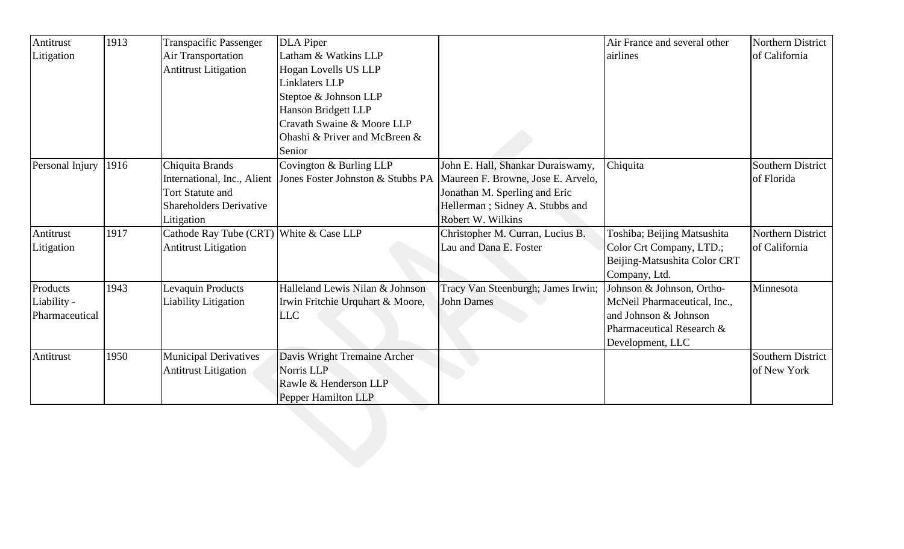| Antitrust       | 1913 | <b>Transpacific Passenger</b>           | <b>DLA</b> Piper                 |                                                                        | Air France and several other | Northern District        |
|-----------------|------|-----------------------------------------|----------------------------------|------------------------------------------------------------------------|------------------------------|--------------------------|
| Litigation      |      | Air Transportation                      | Latham & Watkins LLP             |                                                                        | airlines                     | of California            |
|                 |      | <b>Antitrust Litigation</b>             | Hogan Lovells US LLP             |                                                                        |                              |                          |
|                 |      |                                         | <b>Linklaters LLP</b>            |                                                                        |                              |                          |
|                 |      |                                         | Steptoe & Johnson LLP            |                                                                        |                              |                          |
|                 |      |                                         | <b>Hanson Bridgett LLP</b>       |                                                                        |                              |                          |
|                 |      |                                         | Cravath Swaine & Moore LLP       |                                                                        |                              |                          |
|                 |      |                                         | Ohashi & Priver and McBreen &    |                                                                        |                              |                          |
|                 |      |                                         | Senior                           |                                                                        |                              |                          |
| Personal Injury | 1916 | Chiquita Brands                         | Covington & Burling LLP          | John E. Hall, Shankar Duraiswamy,                                      | Chiquita                     | <b>Southern District</b> |
|                 |      | International, Inc., Alient             |                                  | Jones Foster Johnston & Stubbs PA   Maureen F. Browne, Jose E. Arvelo, |                              | of Florida               |
|                 |      | <b>Tort Statute and</b>                 |                                  | Jonathan M. Sperling and Eric                                          |                              |                          |
|                 |      | <b>Shareholders Derivative</b>          |                                  | Hellerman; Sidney A. Stubbs and                                        |                              |                          |
|                 |      | Litigation                              |                                  | Robert W. Wilkins                                                      |                              |                          |
| Antitrust       | 1917 | Cathode Ray Tube (CRT) White & Case LLP |                                  | Christopher M. Curran, Lucius B.                                       | Toshiba; Beijing Matsushita  | Northern District        |
| Litigation      |      | <b>Antitrust Litigation</b>             |                                  | Lau and Dana E. Foster                                                 | Color Crt Company, LTD.;     | of California            |
|                 |      |                                         |                                  |                                                                        | Beijing-Matsushita Color CRT |                          |
|                 |      |                                         |                                  |                                                                        | Company, Ltd.                |                          |
| Products        | 1943 | Levaquin Products                       | Halleland Lewis Nilan & Johnson  | Tracy Van Steenburgh; James Irwin;                                     | Johnson & Johnson, Ortho-    | Minnesota                |
| Liability -     |      | Liability Litigation                    | Irwin Fritchie Urquhart & Moore, | John Dames                                                             | McNeil Pharmaceutical, Inc., |                          |
| Pharmaceutical  |      |                                         | <b>LLC</b>                       |                                                                        | and Johnson & Johnson        |                          |
|                 |      |                                         |                                  |                                                                        | Pharmaceutical Research &    |                          |
|                 |      |                                         |                                  |                                                                        | Development, LLC             |                          |
| Antitrust       | 1950 | <b>Municipal Derivatives</b>            | Davis Wright Tremaine Archer     |                                                                        |                              | Southern District        |
|                 |      | <b>Antitrust Litigation</b>             | Norris LLP                       |                                                                        |                              | of New York              |
|                 |      |                                         | Rawle & Henderson LLP            |                                                                        |                              |                          |
|                 |      |                                         | Pepper Hamilton LLP              |                                                                        |                              |                          |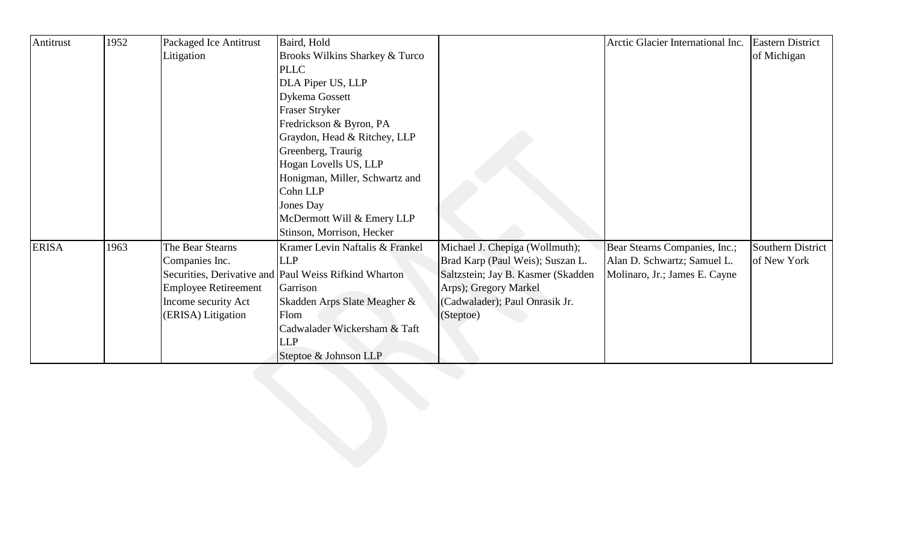| Antitrust    | 1952 | Packaged Ice Antitrust      | Baird, Hold                                           |                                    | Arctic Glacier International Inc. | <b>Eastern District</b> |
|--------------|------|-----------------------------|-------------------------------------------------------|------------------------------------|-----------------------------------|-------------------------|
|              |      | Litigation                  | Brooks Wilkins Sharkey & Turco                        |                                    |                                   | of Michigan             |
|              |      |                             | <b>PLLC</b>                                           |                                    |                                   |                         |
|              |      |                             | DLA Piper US, LLP                                     |                                    |                                   |                         |
|              |      |                             | <b>Dykema Gossett</b>                                 |                                    |                                   |                         |
|              |      |                             | <b>Fraser Stryker</b>                                 |                                    |                                   |                         |
|              |      |                             | Fredrickson & Byron, PA                               |                                    |                                   |                         |
|              |      |                             | Graydon, Head & Ritchey, LLP                          |                                    |                                   |                         |
|              |      |                             | Greenberg, Traurig                                    |                                    |                                   |                         |
|              |      |                             | Hogan Lovells US, LLP                                 |                                    |                                   |                         |
|              |      |                             | Honigman, Miller, Schwartz and                        |                                    |                                   |                         |
|              |      |                             | Cohn LLP                                              |                                    |                                   |                         |
|              |      |                             | Jones Day                                             |                                    |                                   |                         |
|              |      |                             | McDermott Will & Emery LLP                            |                                    |                                   |                         |
|              |      |                             | Stinson, Morrison, Hecker                             |                                    |                                   |                         |
| <b>ERISA</b> | 1963 | The Bear Stearns            | Kramer Levin Naftalis & Frankel                       | Michael J. Chepiga (Wollmuth);     | Bear Stearns Companies, Inc.;     | Southern District       |
|              |      | Companies Inc.              | <b>LLP</b>                                            | Brad Karp (Paul Weis); Suszan L.   | Alan D. Schwartz; Samuel L.       | of New York             |
|              |      |                             | Securities, Derivative and Paul Weiss Rifkind Wharton | Saltzstein; Jay B. Kasmer (Skadden | Molinaro, Jr.; James E. Cayne     |                         |
|              |      | <b>Employee Retireement</b> | Garrison                                              | Arps); Gregory Markel              |                                   |                         |
|              |      | Income security Act         | Skadden Arps Slate Meagher &                          | (Cadwalader); Paul Onrasik Jr.     |                                   |                         |
|              |      | (ERISA) Litigation          | Flom                                                  | (Steptoe)                          |                                   |                         |
|              |      |                             | Cadwalader Wickersham & Taft                          |                                    |                                   |                         |
|              |      |                             | <b>LLP</b>                                            |                                    |                                   |                         |
|              |      |                             | Steptoe & Johnson LLP                                 |                                    |                                   |                         |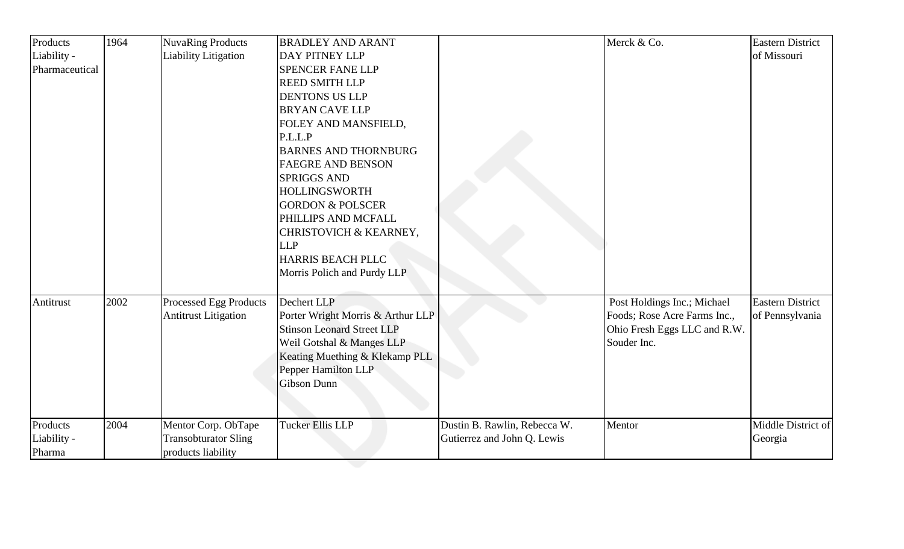| Products       | 1964 | <b>NuvaRing Products</b>    | <b>BRADLEY AND ARANT</b>          |                              | Merck & Co.                  | <b>Eastern District</b> |
|----------------|------|-----------------------------|-----------------------------------|------------------------------|------------------------------|-------------------------|
| Liability -    |      | <b>Liability Litigation</b> | DAY PITNEY LLP                    |                              |                              | of Missouri             |
| Pharmaceutical |      |                             | <b>SPENCER FANE LLP</b>           |                              |                              |                         |
|                |      |                             | <b>REED SMITH LLP</b>             |                              |                              |                         |
|                |      |                             | <b>DENTONS US LLP</b>             |                              |                              |                         |
|                |      |                             | <b>BRYAN CAVE LLP</b>             |                              |                              |                         |
|                |      |                             | FOLEY AND MANSFIELD,              |                              |                              |                         |
|                |      |                             | P.L.L.P                           |                              |                              |                         |
|                |      |                             | <b>BARNES AND THORNBURG</b>       |                              |                              |                         |
|                |      |                             | <b>FAEGRE AND BENSON</b>          |                              |                              |                         |
|                |      |                             | <b>SPRIGGS AND</b>                |                              |                              |                         |
|                |      |                             | <b>HOLLINGSWORTH</b>              |                              |                              |                         |
|                |      |                             | <b>GORDON &amp; POLSCER</b>       |                              |                              |                         |
|                |      |                             | PHILLIPS AND MCFALL               |                              |                              |                         |
|                |      |                             | CHRISTOVICH & KEARNEY,            |                              |                              |                         |
|                |      |                             | <b>LLP</b>                        |                              |                              |                         |
|                |      |                             | HARRIS BEACH PLLC                 |                              |                              |                         |
|                |      |                             | Morris Polich and Purdy LLP       |                              |                              |                         |
| Antitrust      | 2002 | Processed Egg Products      | Dechert LLP                       |                              | Post Holdings Inc.; Michael  | <b>Eastern District</b> |
|                |      | <b>Antitrust Litigation</b> | Porter Wright Morris & Arthur LLP |                              | Foods; Rose Acre Farms Inc., | of Pennsylvania         |
|                |      |                             | <b>Stinson Leonard Street LLP</b> |                              | Ohio Fresh Eggs LLC and R.W. |                         |
|                |      |                             | Weil Gotshal & Manges LLP         |                              | Souder Inc.                  |                         |
|                |      |                             | Keating Muething & Klekamp PLL    |                              |                              |                         |
|                |      |                             | Pepper Hamilton LLP               |                              |                              |                         |
|                |      |                             | <b>Gibson Dunn</b>                |                              |                              |                         |
|                |      |                             |                                   |                              |                              |                         |
| Products       | 2004 | Mentor Corp. ObTape         | Tucker Ellis LLP                  | Dustin B. Rawlin, Rebecca W. | Mentor                       | Middle District of      |
| Liability -    |      | <b>Transobturator Sling</b> |                                   | Gutierrez and John Q. Lewis  |                              | Georgia                 |
| Pharma         |      | products liability          |                                   |                              |                              |                         |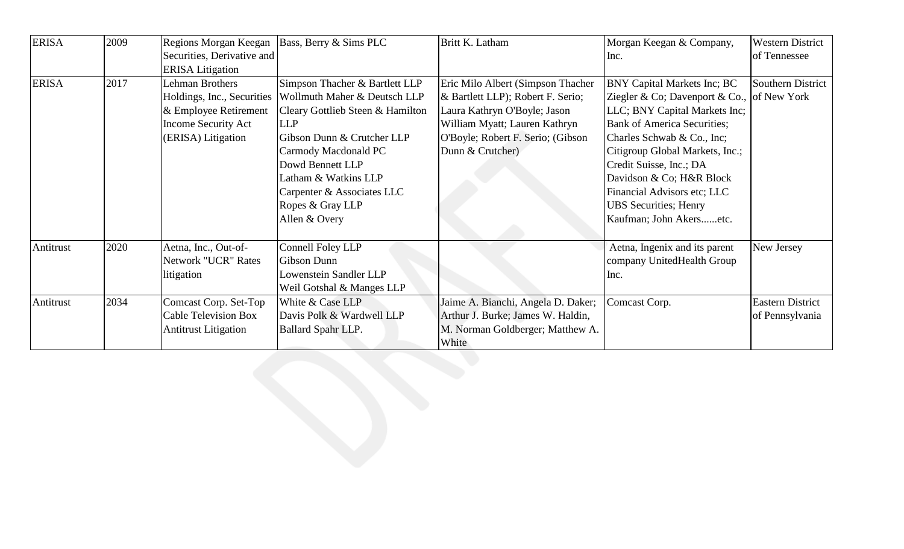| <b>ERISA</b> | 2009 | Regions Morgan Keegan       | Bass, Berry & Sims PLC           | Britt K. Latham                    | Morgan Keegan & Company,                   | <b>Western District</b> |
|--------------|------|-----------------------------|----------------------------------|------------------------------------|--------------------------------------------|-------------------------|
|              |      | Securities, Derivative and  |                                  |                                    | Inc.                                       | of Tennessee            |
|              |      | <b>ERISA</b> Litigation     |                                  |                                    |                                            |                         |
| <b>ERISA</b> | 2017 | Lehman Brothers             | Simpson Thacher & Bartlett LLP   | Eric Milo Albert (Simpson Thacher  | <b>BNY Capital Markets Inc; BC</b>         | Southern District       |
|              |      | Holdings, Inc., Securities  | Wollmuth Maher & Deutsch LLP     | & Bartlett LLP); Robert F. Serio;  | Ziegler & Co; Davenport & Co., of New York |                         |
|              |      | & Employee Retirement       | Cleary Gottlieb Steen & Hamilton | Laura Kathryn O'Boyle; Jason       | LLC; BNY Capital Markets Inc;              |                         |
|              |      | <b>Income Security Act</b>  | <b>LLP</b>                       | William Myatt; Lauren Kathryn      | <b>Bank of America Securities;</b>         |                         |
|              |      | (ERISA) Litigation          | Gibson Dunn & Crutcher LLP       | O'Boyle; Robert F. Serio; (Gibson  | Charles Schwab & Co., Inc;                 |                         |
|              |      |                             | Carmody Macdonald PC             | Dunn & Crutcher)                   | Citigroup Global Markets, Inc.;            |                         |
|              |      |                             | Dowd Bennett LLP                 |                                    | Credit Suisse, Inc.; DA                    |                         |
|              |      |                             | Latham & Watkins LLP             |                                    | Davidson & Co; H&R Block                   |                         |
|              |      |                             | Carpenter & Associates LLC       |                                    | Financial Advisors etc; LLC                |                         |
|              |      |                             | Ropes & Gray LLP                 |                                    | <b>UBS</b> Securities; Henry               |                         |
|              |      |                             | Allen & Overy                    |                                    | Kaufman; John Akersetc.                    |                         |
| Antitrust    | 2020 | Aetna, Inc., Out-of-        | Connell Foley LLP                |                                    | Aetna, Ingenix and its parent              | New Jersey              |
|              |      | Network "UCR" Rates         | Gibson Dunn                      |                                    | company UnitedHealth Group                 |                         |
|              |      | litigation                  | Lowenstein Sandler LLP           |                                    | Inc.                                       |                         |
|              |      |                             | Weil Gotshal & Manges LLP        |                                    |                                            |                         |
| Antitrust    | 2034 | Comcast Corp. Set-Top       | White & Case LLP                 | Jaime A. Bianchi, Angela D. Daker; | Comcast Corp.                              | <b>Eastern District</b> |
|              |      | <b>Cable Television Box</b> | Davis Polk & Wardwell LLP        | Arthur J. Burke; James W. Haldin,  |                                            | of Pennsylvania         |
|              |      | <b>Antitrust Litigation</b> | <b>Ballard Spahr LLP.</b>        | M. Norman Goldberger; Matthew A.   |                                            |                         |
|              |      |                             |                                  | White                              |                                            |                         |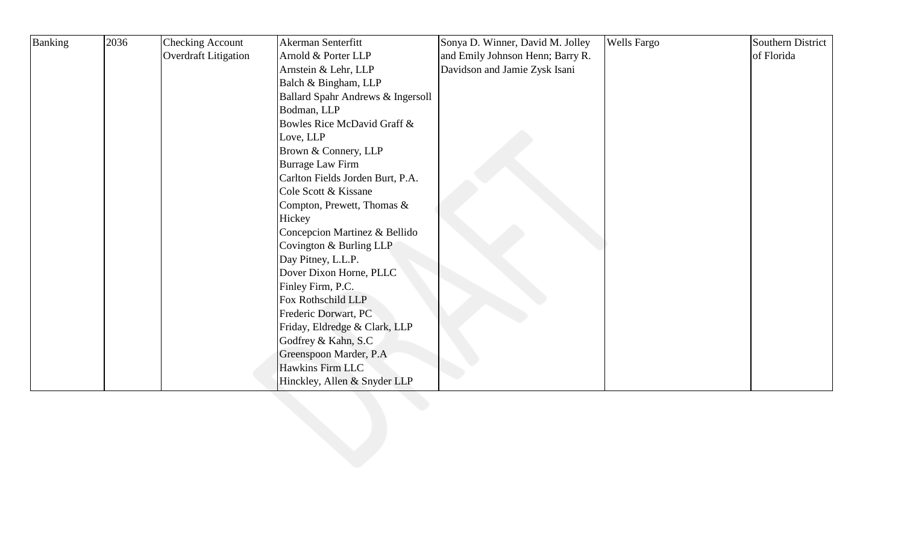| Banking | 2036 | <b>Checking Account</b>     | Akerman Senterfitt                | Sonya D. Winner, David M. Jolley | <b>Wells Fargo</b> | Southern District |
|---------|------|-----------------------------|-----------------------------------|----------------------------------|--------------------|-------------------|
|         |      | <b>Overdraft Litigation</b> | Arnold & Porter LLP               | and Emily Johnson Henn; Barry R. |                    | of Florida        |
|         |      |                             | Arnstein & Lehr, LLP              | Davidson and Jamie Zysk Isani    |                    |                   |
|         |      |                             | Balch & Bingham, LLP              |                                  |                    |                   |
|         |      |                             | Ballard Spahr Andrews & Ingersoll |                                  |                    |                   |
|         |      |                             | Bodman, LLP                       |                                  |                    |                   |
|         |      |                             | Bowles Rice McDavid Graff &       |                                  |                    |                   |
|         |      |                             | Love, LLP                         |                                  |                    |                   |
|         |      |                             | Brown & Connery, LLP              |                                  |                    |                   |
|         |      |                             | <b>Burrage Law Firm</b>           |                                  |                    |                   |
|         |      |                             | Carlton Fields Jorden Burt, P.A.  |                                  |                    |                   |
|         |      |                             | Cole Scott & Kissane              |                                  |                    |                   |
|         |      |                             | Compton, Prewett, Thomas &        |                                  |                    |                   |
|         |      |                             | Hickey                            |                                  |                    |                   |
|         |      |                             | Concepcion Martinez & Bellido     |                                  |                    |                   |
|         |      |                             | Covington & Burling LLP           |                                  |                    |                   |
|         |      |                             | Day Pitney, L.L.P.                |                                  |                    |                   |
|         |      |                             | Dover Dixon Horne, PLLC           |                                  |                    |                   |
|         |      |                             | Finley Firm, P.C.                 |                                  |                    |                   |
|         |      |                             | Fox Rothschild LLP                |                                  |                    |                   |
|         |      |                             | Frederic Dorwart, PC              |                                  |                    |                   |
|         |      |                             | Friday, Eldredge & Clark, LLP     |                                  |                    |                   |
|         |      |                             | Godfrey & Kahn, S.C               |                                  |                    |                   |
|         |      |                             | Greenspoon Marder, P.A.           |                                  |                    |                   |
|         |      |                             | Hawkins Firm LLC                  |                                  |                    |                   |
|         |      |                             | Hinckley, Allen & Snyder LLP      |                                  |                    |                   |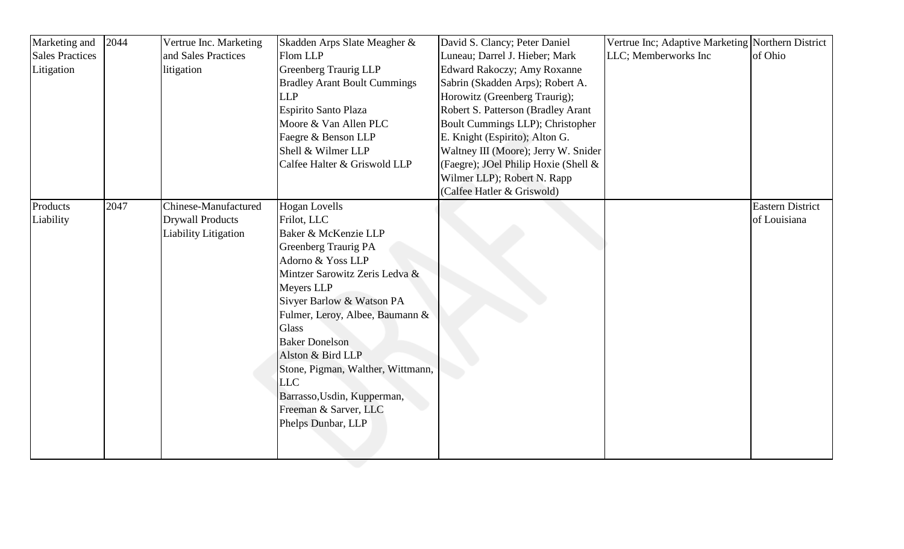| Marketing and          | 2044 | Vertrue Inc. Marketing  | Skadden Arps Slate Meagher &        | David S. Clancy; Peter Daniel        | Vertrue Inc; Adaptive Marketing Northern District |                         |
|------------------------|------|-------------------------|-------------------------------------|--------------------------------------|---------------------------------------------------|-------------------------|
| <b>Sales Practices</b> |      | and Sales Practices     | Flom LLP                            | Luneau; Darrel J. Hieber; Mark       | LLC; Memberworks Inc                              | of Ohio                 |
| Litigation             |      | litigation              | <b>Greenberg Traurig LLP</b>        | <b>Edward Rakoczy; Amy Roxanne</b>   |                                                   |                         |
|                        |      |                         | <b>Bradley Arant Boult Cummings</b> | Sabrin (Skadden Arps); Robert A.     |                                                   |                         |
|                        |      |                         | <b>LLP</b>                          | Horowitz (Greenberg Traurig);        |                                                   |                         |
|                        |      |                         | <b>Espirito Santo Plaza</b>         | Robert S. Patterson (Bradley Arant   |                                                   |                         |
|                        |      |                         | Moore & Van Allen PLC               | Boult Cummings LLP); Christopher     |                                                   |                         |
|                        |      |                         | Faegre & Benson LLP                 | E. Knight (Espirito); Alton G.       |                                                   |                         |
|                        |      |                         | Shell & Wilmer LLP                  | Waltney III (Moore); Jerry W. Snider |                                                   |                         |
|                        |      |                         | Calfee Halter & Griswold LLP        | (Faegre); JOel Philip Hoxie (Shell & |                                                   |                         |
|                        |      |                         |                                     | Wilmer LLP); Robert N. Rapp          |                                                   |                         |
|                        |      |                         |                                     | (Calfee Hatler & Griswold)           |                                                   |                         |
| Products               | 2047 | Chinese-Manufactured    | <b>Hogan Lovells</b>                |                                      |                                                   | <b>Eastern District</b> |
| Liability              |      | <b>Drywall Products</b> | Frilot, LLC                         |                                      |                                                   | of Louisiana            |
|                        |      | Liability Litigation    | Baker & McKenzie LLP                |                                      |                                                   |                         |
|                        |      |                         | <b>Greenberg Traurig PA</b>         |                                      |                                                   |                         |
|                        |      |                         | Adorno & Yoss LLP                   |                                      |                                                   |                         |
|                        |      |                         | Mintzer Sarowitz Zeris Ledva &      |                                      |                                                   |                         |
|                        |      |                         | Meyers LLP                          |                                      |                                                   |                         |
|                        |      |                         | Sivyer Barlow & Watson PA           |                                      |                                                   |                         |
|                        |      |                         | Fulmer, Leroy, Albee, Baumann &     |                                      |                                                   |                         |
|                        |      |                         | <b>Glass</b>                        |                                      |                                                   |                         |
|                        |      |                         | <b>Baker Donelson</b>               |                                      |                                                   |                         |
|                        |      |                         | Alston & Bird LLP                   |                                      |                                                   |                         |
|                        |      |                         | Stone, Pigman, Walther, Wittmann,   |                                      |                                                   |                         |
|                        |      |                         | <b>LLC</b>                          |                                      |                                                   |                         |
|                        |      |                         | Barrasso, Usdin, Kupperman,         |                                      |                                                   |                         |
|                        |      |                         | Freeman & Sarver, LLC               |                                      |                                                   |                         |
|                        |      |                         | Phelps Dunbar, LLP                  |                                      |                                                   |                         |
|                        |      |                         |                                     |                                      |                                                   |                         |
|                        |      |                         |                                     |                                      |                                                   |                         |
|                        |      |                         |                                     |                                      |                                                   |                         |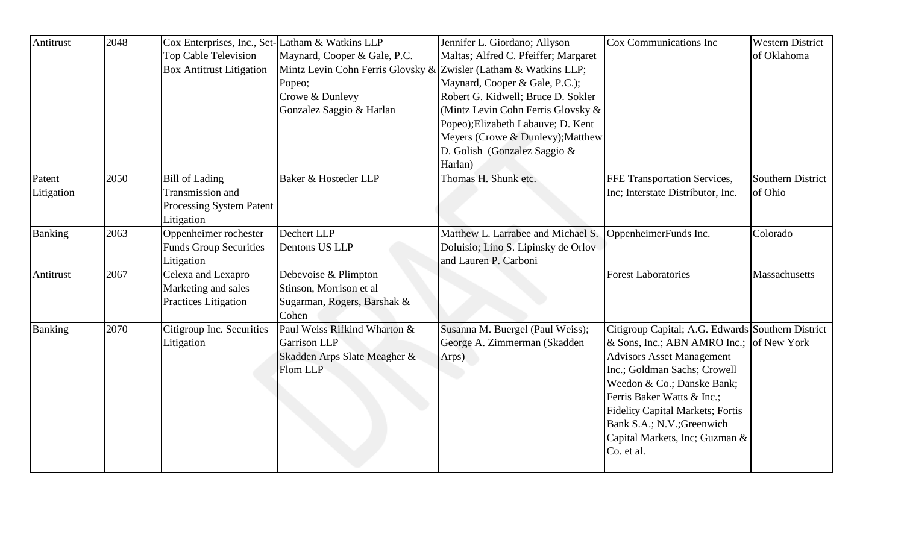| Antitrust      | 2048 | Cox Enterprises, Inc., Set-Latham & Watkins LLP<br>Top Cable Television<br><b>Box Antitrust Litigation</b> | Maynard, Cooper & Gale, P.C.<br>Mintz Levin Cohn Ferris Glovsky &<br>Popeo;<br>Crowe & Dunlevy<br>Gonzalez Saggio & Harlan | Jennifer L. Giordano; Allyson<br>Maltas; Alfred C. Pfeiffer; Margaret<br>Zwisler (Latham & Watkins LLP;<br>Maynard, Cooper & Gale, P.C.);<br>Robert G. Kidwell; Bruce D. Sokler<br>(Mintz Levin Cohn Ferris Glovsky &<br>Popeo); Elizabeth Labauve; D. Kent<br>Meyers (Crowe & Dunlevy); Matthew | Cox Communications Inc                                                                                                                                                                                                                                                                                                                                 | <b>Western District</b><br>of Oklahoma |
|----------------|------|------------------------------------------------------------------------------------------------------------|----------------------------------------------------------------------------------------------------------------------------|--------------------------------------------------------------------------------------------------------------------------------------------------------------------------------------------------------------------------------------------------------------------------------------------------|--------------------------------------------------------------------------------------------------------------------------------------------------------------------------------------------------------------------------------------------------------------------------------------------------------------------------------------------------------|----------------------------------------|
| Patent         | 2050 | <b>Bill of Lading</b>                                                                                      | Baker & Hostetler LLP                                                                                                      | D. Golish (Gonzalez Saggio &<br>Harlan)<br>Thomas H. Shunk etc.                                                                                                                                                                                                                                  | FFE Transportation Services,                                                                                                                                                                                                                                                                                                                           | Southern District                      |
| Litigation     |      | Transmission and<br>Processing System Patent<br>Litigation                                                 |                                                                                                                            |                                                                                                                                                                                                                                                                                                  | Inc; Interstate Distributor, Inc.                                                                                                                                                                                                                                                                                                                      | of Ohio                                |
| Banking        | 2063 | Oppenheimer rochester<br><b>Funds Group Securities</b><br>Litigation                                       | Dechert LLP<br>Dentons US LLP                                                                                              | Matthew L. Larrabee and Michael S.<br>Doluisio; Lino S. Lipinsky de Orlov<br>and Lauren P. Carboni                                                                                                                                                                                               | OppenheimerFunds Inc.                                                                                                                                                                                                                                                                                                                                  | Colorado                               |
| Antitrust      | 2067 | Celexa and Lexapro<br>Marketing and sales<br><b>Practices Litigation</b>                                   | Debevoise & Plimpton<br>Stinson, Morrison et al<br>Sugarman, Rogers, Barshak &<br>Cohen                                    |                                                                                                                                                                                                                                                                                                  | <b>Forest Laboratories</b>                                                                                                                                                                                                                                                                                                                             | Massachusetts                          |
| <b>Banking</b> | 2070 | Citigroup Inc. Securities<br>Litigation                                                                    | Paul Weiss Rifkind Wharton &<br>Garrison LLP<br>Skadden Arps Slate Meagher &<br>Flom LLP                                   | Susanna M. Buergel (Paul Weiss);<br>George A. Zimmerman (Skadden<br>Arps)                                                                                                                                                                                                                        | Citigroup Capital; A.G. Edwards Southern District<br>& Sons, Inc.; ABN AMRO Inc.; of New York<br><b>Advisors Asset Management</b><br>Inc.; Goldman Sachs; Crowell<br>Weedon & Co.; Danske Bank;<br>Ferris Baker Watts & Inc.;<br><b>Fidelity Capital Markets; Fortis</b><br>Bank S.A.; N.V.; Greenwich<br>Capital Markets, Inc; Guzman &<br>Co. et al. |                                        |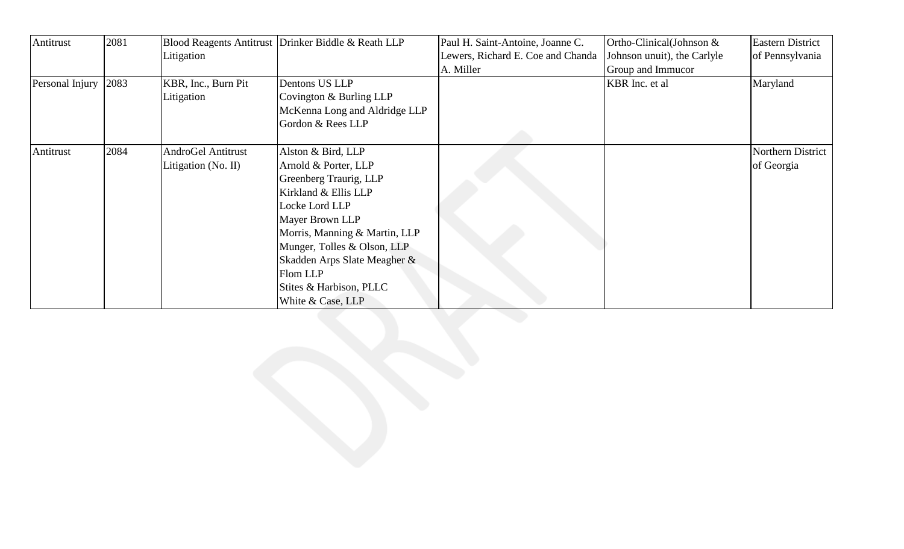| Antitrust       | 2081 |                           | Blood Reagents Antitrust Drinker Biddle & Reath LLP | Paul H. Saint-Antoine, Joanne C.  | Ortho-Clinical(Johnson &    | <b>Eastern District</b> |
|-----------------|------|---------------------------|-----------------------------------------------------|-----------------------------------|-----------------------------|-------------------------|
|                 |      | Litigation                |                                                     | Lewers, Richard E. Coe and Chanda | Johnson unuit), the Carlyle | of Pennsylvania         |
|                 |      |                           |                                                     | A. Miller                         | Group and Immucor           |                         |
| Personal Injury | 2083 | KBR, Inc., Burn Pit       | Dentons US LLP                                      |                                   | KBR Inc. et al              | Maryland                |
|                 |      | Litigation                | Covington & Burling LLP                             |                                   |                             |                         |
|                 |      |                           | McKenna Long and Aldridge LLP                       |                                   |                             |                         |
|                 |      |                           | Gordon & Rees LLP                                   |                                   |                             |                         |
|                 |      |                           |                                                     |                                   |                             |                         |
| Antitrust       | 2084 | <b>AndroGel Antitrust</b> | Alston & Bird, LLP                                  |                                   |                             | Northern District       |
|                 |      | Litigation (No. II)       | Arnold & Porter, LLP                                |                                   |                             | of Georgia              |
|                 |      |                           | Greenberg Traurig, LLP                              |                                   |                             |                         |
|                 |      |                           | Kirkland & Ellis LLP                                |                                   |                             |                         |
|                 |      |                           | Locke Lord LLP                                      |                                   |                             |                         |
|                 |      |                           | Mayer Brown LLP                                     |                                   |                             |                         |
|                 |      |                           | Morris, Manning & Martin, LLP                       |                                   |                             |                         |
|                 |      |                           | Munger, Tolles & Olson, LLP                         |                                   |                             |                         |
|                 |      |                           | Skadden Arps Slate Meagher &                        |                                   |                             |                         |
|                 |      |                           | Flom LLP                                            |                                   |                             |                         |
|                 |      |                           | Stites & Harbison, PLLC                             |                                   |                             |                         |
|                 |      |                           | White & Case, LLP                                   |                                   |                             |                         |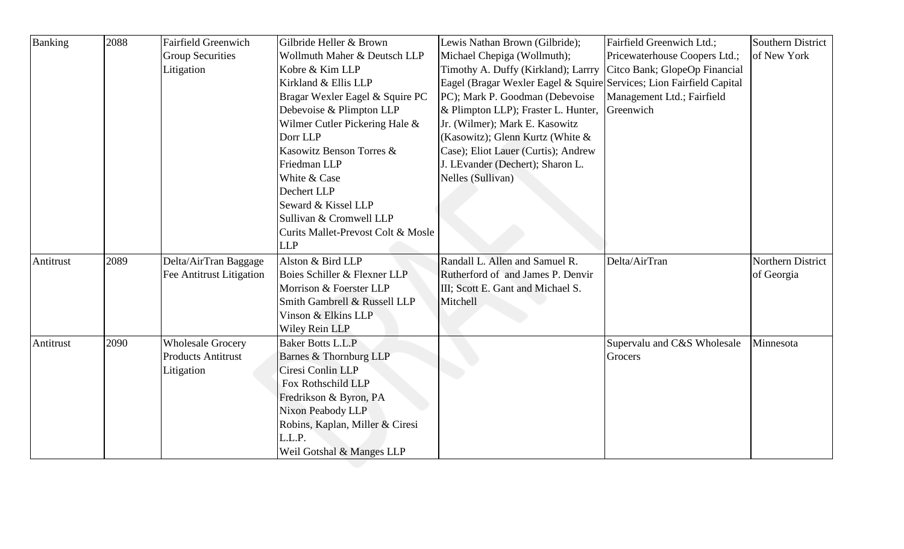| <b>Banking</b> | 2088 | <b>Fairfield Greenwich</b> | Gilbride Heller & Brown            | Lewis Nathan Brown (Gilbride);                                       | Fairfield Greenwich Ltd.;     | Southern District |
|----------------|------|----------------------------|------------------------------------|----------------------------------------------------------------------|-------------------------------|-------------------|
|                |      | <b>Group Securities</b>    | Wollmuth Maher & Deutsch LLP       | Michael Chepiga (Wollmuth);                                          | Pricewaterhouse Coopers Ltd.; | of New York       |
|                |      | Litigation                 | Kobre & Kim LLP                    | Timothy A. Duffy (Kirkland); Larrry                                  | Citco Bank; GlopeOp Financial |                   |
|                |      |                            | Kirkland & Ellis LLP               | Eagel (Bragar Wexler Eagel & Squire Services; Lion Fairfield Capital |                               |                   |
|                |      |                            | Bragar Wexler Eagel & Squire PC    | PC); Mark P. Goodman (Debevoise                                      | Management Ltd.; Fairfield    |                   |
|                |      |                            | Debevoise & Plimpton LLP           | & Plimpton LLP); Fraster L. Hunter,                                  | Greenwich                     |                   |
|                |      |                            | Wilmer Cutler Pickering Hale &     | Jr. (Wilmer); Mark E. Kasowitz                                       |                               |                   |
|                |      |                            | Dorr LLP                           | (Kasowitz); Glenn Kurtz (White &                                     |                               |                   |
|                |      |                            | Kasowitz Benson Torres &           | Case); Eliot Lauer (Curtis); Andrew                                  |                               |                   |
|                |      |                            | Friedman LLP                       | J. LEvander (Dechert); Sharon L.                                     |                               |                   |
|                |      |                            | White & Case                       | Nelles (Sullivan)                                                    |                               |                   |
|                |      |                            | Dechert LLP                        |                                                                      |                               |                   |
|                |      |                            | Seward & Kissel LLP                |                                                                      |                               |                   |
|                |      |                            | Sullivan & Cromwell LLP            |                                                                      |                               |                   |
|                |      |                            | Curits Mallet-Prevost Colt & Mosle |                                                                      |                               |                   |
|                |      |                            | <b>LLP</b>                         |                                                                      |                               |                   |
| Antitrust      | 2089 | Delta/AirTran Baggage      | Alston & Bird LLP                  | Randall L. Allen and Samuel R.                                       | Delta/AirTran                 | Northern District |
|                |      | Fee Antitrust Litigation   | Boies Schiller & Flexner LLP       | Rutherford of and James P. Denvir                                    |                               | of Georgia        |
|                |      |                            | Morrison & Foerster LLP            | III; Scott E. Gant and Michael S.                                    |                               |                   |
|                |      |                            | Smith Gambrell & Russell LLP       | Mitchell                                                             |                               |                   |
|                |      |                            | Vinson & Elkins LLP                |                                                                      |                               |                   |
|                |      |                            | <b>Wiley Rein LLP</b>              |                                                                      |                               |                   |
| Antitrust      | 2090 | <b>Wholesale Grocery</b>   | Baker Botts L.L.P                  |                                                                      | Supervalu and C&S Wholesale   | Minnesota         |
|                |      | <b>Products Antitrust</b>  | Barnes & Thornburg LLP             |                                                                      | Grocers                       |                   |
|                |      | Litigation                 | Ciresi Conlin LLP                  |                                                                      |                               |                   |
|                |      |                            | Fox Rothschild LLP                 |                                                                      |                               |                   |
|                |      |                            | Fredrikson & Byron, PA             |                                                                      |                               |                   |
|                |      |                            | Nixon Peabody LLP                  |                                                                      |                               |                   |
|                |      |                            | Robins, Kaplan, Miller & Ciresi    |                                                                      |                               |                   |
|                |      |                            | L.L.P.                             |                                                                      |                               |                   |
|                |      |                            | Weil Gotshal & Manges LLP          |                                                                      |                               |                   |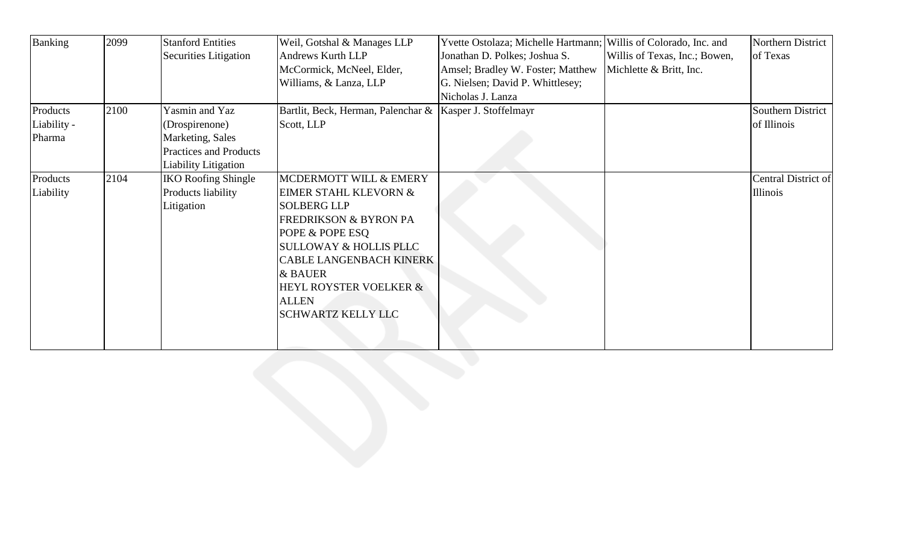| <b>Banking</b> | 2099 | <b>Stanford Entities</b>    | Weil, Gotshal & Manages LLP                                | Yvette Ostolaza; Michelle Hartmann; Willis of Colorado, Inc. and |                               | Northern District   |
|----------------|------|-----------------------------|------------------------------------------------------------|------------------------------------------------------------------|-------------------------------|---------------------|
|                |      | Securities Litigation       | Andrews Kurth LLP                                          | Jonathan D. Polkes; Joshua S.                                    | Willis of Texas, Inc.; Bowen, | of Texas            |
|                |      |                             | McCormick, McNeel, Elder,                                  | Amsel; Bradley W. Foster; Matthew                                | Michlette & Britt, Inc.       |                     |
|                |      |                             | Williams, & Lanza, LLP                                     | G. Nielsen; David P. Whittlesey;                                 |                               |                     |
|                |      |                             |                                                            | Nicholas J. Lanza                                                |                               |                     |
| Products       | 2100 | Yasmin and Yaz              | Bartlit, Beck, Herman, Palenchar &   Kasper J. Stoffelmayr |                                                                  |                               | Southern District   |
| Liability -    |      | (Drospirenone)              | Scott, LLP                                                 |                                                                  |                               | of Illinois         |
| Pharma         |      | Marketing, Sales            |                                                            |                                                                  |                               |                     |
|                |      | Practices and Products      |                                                            |                                                                  |                               |                     |
|                |      | <b>Liability Litigation</b> |                                                            |                                                                  |                               |                     |
| Products       | 2104 | <b>IKO Roofing Shingle</b>  | MCDERMOTT WILL & EMERY                                     |                                                                  |                               | Central District of |
| Liability      |      | Products liability          | <b>EIMER STAHL KLEVORN &amp;</b>                           |                                                                  |                               | <b>Illinois</b>     |
|                |      | Litigation                  | <b>SOLBERG LLP</b>                                         |                                                                  |                               |                     |
|                |      |                             | <b>FREDRIKSON &amp; BYRON PA</b>                           |                                                                  |                               |                     |
|                |      |                             | POPE & POPE ESQ                                            |                                                                  |                               |                     |
|                |      |                             | <b>SULLOWAY &amp; HOLLIS PLLC</b>                          |                                                                  |                               |                     |
|                |      |                             | <b>CABLE LANGENBACH KINERK</b>                             |                                                                  |                               |                     |
|                |      |                             | & BAUER                                                    |                                                                  |                               |                     |
|                |      |                             | <b>HEYL ROYSTER VOELKER &amp;</b>                          |                                                                  |                               |                     |
|                |      |                             | <b>ALLEN</b>                                               |                                                                  |                               |                     |
|                |      |                             | <b>SCHWARTZ KELLY LLC</b>                                  |                                                                  |                               |                     |
|                |      |                             |                                                            |                                                                  |                               |                     |
|                |      |                             |                                                            |                                                                  |                               |                     |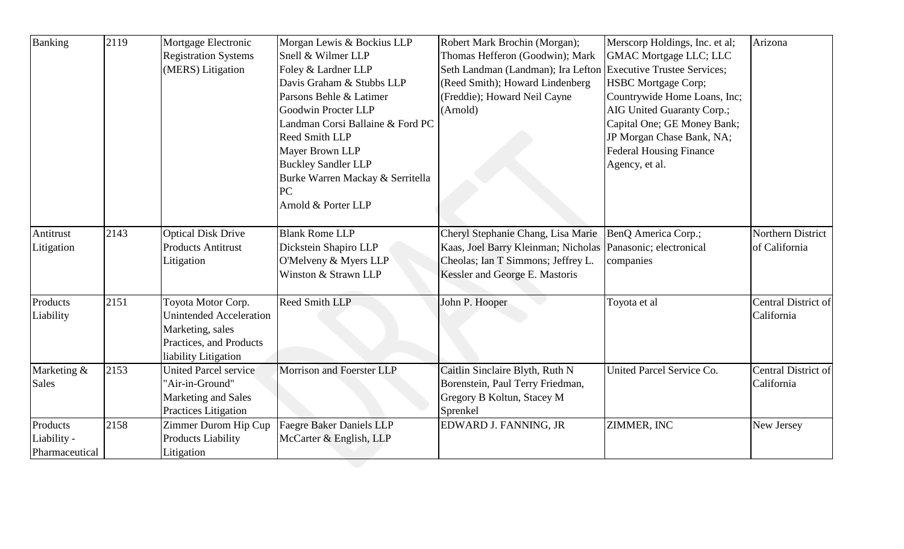| Banking        | 2119 | Mortgage Electronic            | Morgan Lewis & Bockius LLP       | Robert Mark Brochin (Morgan);       | Merscorp Holdings, Inc. et al;     | Arizona             |
|----------------|------|--------------------------------|----------------------------------|-------------------------------------|------------------------------------|---------------------|
|                |      | <b>Registration Systems</b>    | Snell & Wilmer LLP               | Thomas Hefferon (Goodwin); Mark     | <b>GMAC Mortgage LLC; LLC</b>      |                     |
|                |      | (MERS) Litigation              | Foley & Lardner LLP              | Seth Landman (Landman); Ira Lefton  | <b>Executive Trustee Services;</b> |                     |
|                |      |                                | Davis Graham & Stubbs LLP        | (Reed Smith); Howard Lindenberg     | <b>HSBC</b> Mortgage Corp;         |                     |
|                |      |                                | Parsons Behle & Latimer          | (Freddie); Howard Neil Cayne        | Countrywide Home Loans, Inc;       |                     |
|                |      |                                | Goodwin Procter LLP              | (Arnold)                            | AIG United Guaranty Corp.;         |                     |
|                |      |                                | Landman Corsi Ballaine & Ford PC |                                     | Capital One; GE Money Bank;        |                     |
|                |      |                                | <b>Reed Smith LLP</b>            |                                     | JP Morgan Chase Bank, NA;          |                     |
|                |      |                                | Mayer Brown LLP                  |                                     | <b>Federal Housing Finance</b>     |                     |
|                |      |                                | <b>Buckley Sandler LLP</b>       |                                     | Agency, et al.                     |                     |
|                |      |                                | Burke Warren Mackay & Serritella |                                     |                                    |                     |
|                |      |                                | PC                               |                                     |                                    |                     |
|                |      |                                | Arnold & Porter LLP              |                                     |                                    |                     |
|                |      |                                |                                  |                                     |                                    |                     |
| Antitrust      | 2143 | <b>Optical Disk Drive</b>      | <b>Blank Rome LLP</b>            | Cheryl Stephanie Chang, Lisa Marie  | BenQ America Corp.;                | Northern District   |
| Litigation     |      | <b>Products Antitrust</b>      | Dickstein Shapiro LLP            | Kaas, Joel Barry Kleinman; Nicholas | Panasonic; electronical            | of California       |
|                |      | Litigation                     | O'Melveny & Myers LLP            | Cheolas; Ian T Simmons; Jeffrey L.  | companies                          |                     |
|                |      |                                | Winston & Strawn LLP             | Kessler and George E. Mastoris      |                                    |                     |
| Products       | 2151 | Toyota Motor Corp.             | <b>Reed Smith LLP</b>            | John P. Hooper                      | Toyota et al                       | Central District of |
| Liability      |      | <b>Unintended Acceleration</b> |                                  |                                     |                                    | California          |
|                |      | Marketing, sales               |                                  |                                     |                                    |                     |
|                |      | Practices, and Products        |                                  |                                     |                                    |                     |
|                |      | liability Litigation           |                                  |                                     |                                    |                     |
| Marketing &    | 2153 | <b>United Parcel service</b>   | Morrison and Foerster LLP        | Caitlin Sinclaire Blyth, Ruth N     | United Parcel Service Co.          | Central District of |
| <b>Sales</b>   |      | 'Air-in-Ground"                |                                  | Borenstein, Paul Terry Friedman,    |                                    | California          |
|                |      | Marketing and Sales            |                                  | Gregory B Koltun, Stacey M          |                                    |                     |
|                |      | Practices Litigation           |                                  | Sprenkel                            |                                    |                     |
| Products       | 2158 | Zimmer Durom Hip Cup           | <b>Faegre Baker Daniels LLP</b>  | EDWARD J. FANNING, JR               | ZIMMER, INC                        | New Jersey          |
| Liability -    |      | <b>Products Liability</b>      | McCarter & English, LLP          |                                     |                                    |                     |
| Pharmaceutical |      | Litigation                     |                                  |                                     |                                    |                     |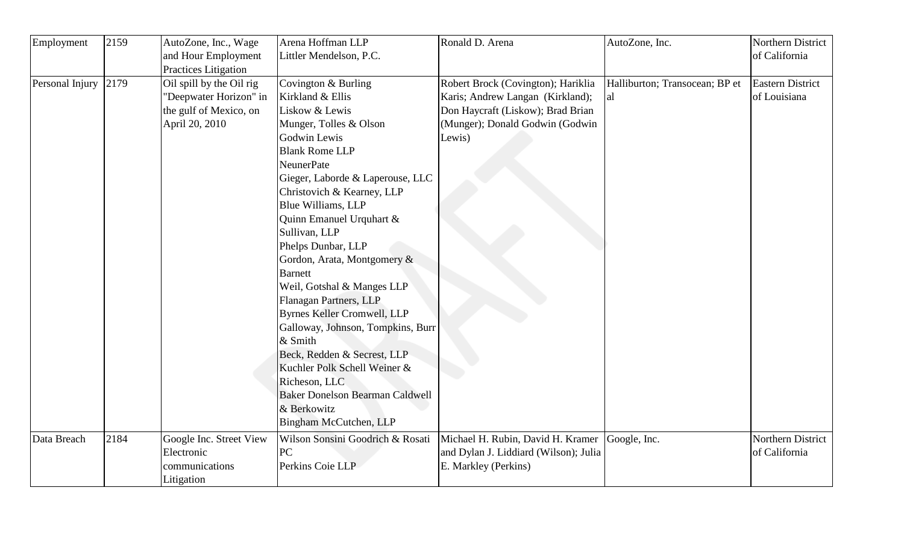| Employment      | 2159 | AutoZone, Inc., Wage        | Arena Hoffman LLP                      | Ronald D. Arena                       | AutoZone, Inc.                 | Northern District       |
|-----------------|------|-----------------------------|----------------------------------------|---------------------------------------|--------------------------------|-------------------------|
|                 |      | and Hour Employment         | Littler Mendelson, P.C.                |                                       |                                | of California           |
|                 |      | <b>Practices Litigation</b> |                                        |                                       |                                |                         |
| Personal Injury | 2179 | Oil spill by the Oil rig    | Covington & Burling                    | Robert Brock (Covington); Hariklia    | Halliburton; Transocean; BP et | <b>Eastern District</b> |
|                 |      | 'Deepwater Horizon" in      | Kirkland & Ellis                       | Karis; Andrew Langan (Kirkland);      | al                             | of Louisiana            |
|                 |      | the gulf of Mexico, on      | Liskow & Lewis                         | Don Haycraft (Liskow); Brad Brian     |                                |                         |
|                 |      | April 20, 2010              | Munger, Tolles & Olson                 | (Munger); Donald Godwin (Godwin       |                                |                         |
|                 |      |                             | Godwin Lewis                           | Lewis)                                |                                |                         |
|                 |      |                             | <b>Blank Rome LLP</b>                  |                                       |                                |                         |
|                 |      |                             | <b>NeunerPate</b>                      |                                       |                                |                         |
|                 |      |                             | Gieger, Laborde & Laperouse, LLC       |                                       |                                |                         |
|                 |      |                             | Christovich & Kearney, LLP             |                                       |                                |                         |
|                 |      |                             | Blue Williams, LLP                     |                                       |                                |                         |
|                 |      |                             | Quinn Emanuel Urquhart &               |                                       |                                |                         |
|                 |      |                             | Sullivan, LLP                          |                                       |                                |                         |
|                 |      |                             | Phelps Dunbar, LLP                     |                                       |                                |                         |
|                 |      |                             | Gordon, Arata, Montgomery &            |                                       |                                |                         |
|                 |      |                             | <b>Barnett</b>                         |                                       |                                |                         |
|                 |      |                             | Weil, Gotshal & Manges LLP             |                                       |                                |                         |
|                 |      |                             | Flanagan Partners, LLP                 |                                       |                                |                         |
|                 |      |                             | <b>Byrnes Keller Cromwell, LLP</b>     |                                       |                                |                         |
|                 |      |                             | Galloway, Johnson, Tompkins, Burr      |                                       |                                |                         |
|                 |      |                             | & Smith                                |                                       |                                |                         |
|                 |      |                             | Beck, Redden & Secrest, LLP            |                                       |                                |                         |
|                 |      |                             | Kuchler Polk Schell Weiner &           |                                       |                                |                         |
|                 |      |                             | Richeson, LLC                          |                                       |                                |                         |
|                 |      |                             | <b>Baker Donelson Bearman Caldwell</b> |                                       |                                |                         |
|                 |      |                             | & Berkowitz                            |                                       |                                |                         |
|                 |      |                             | Bingham McCutchen, LLP                 |                                       |                                |                         |
| Data Breach     | 2184 | Google Inc. Street View     | Wilson Sonsini Goodrich & Rosati       | Michael H. Rubin, David H. Kramer     | Google, Inc.                   | Northern District       |
|                 |      | Electronic                  | PC                                     | and Dylan J. Liddiard (Wilson); Julia |                                | of California           |
|                 |      | communications              | Perkins Coie LLP                       | E. Markley (Perkins)                  |                                |                         |
|                 |      | Litigation                  |                                        |                                       |                                |                         |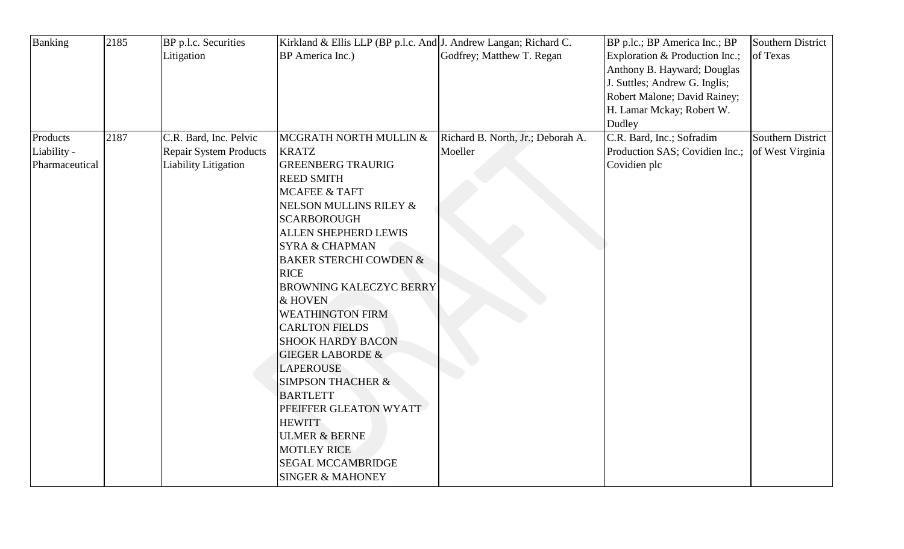|      | BP p.l.c. Securities          |                                   | Kirkland & Ellis LLP (BP p.l.c. And J. Andrew Langan; Richard C. | BP p.lc.; BP America Inc.; BP             | Southern District                                                                                                                                                      |
|------|-------------------------------|-----------------------------------|------------------------------------------------------------------|-------------------------------------------|------------------------------------------------------------------------------------------------------------------------------------------------------------------------|
|      | Litigation                    | BP America Inc.)                  | Godfrey; Matthew T. Regan                                        | Exploration & Production Inc.;            | of Texas                                                                                                                                                               |
|      |                               |                                   |                                                                  |                                           |                                                                                                                                                                        |
|      |                               |                                   |                                                                  |                                           |                                                                                                                                                                        |
|      |                               |                                   |                                                                  | Robert Malone; David Rainey;              |                                                                                                                                                                        |
|      |                               |                                   |                                                                  | H. Lamar Mckay; Robert W.                 |                                                                                                                                                                        |
|      |                               |                                   |                                                                  |                                           |                                                                                                                                                                        |
| 2187 |                               | MCGRATH NORTH MULLIN &            | Richard B. North, Jr.; Deborah A.                                |                                           | <b>Southern District</b>                                                                                                                                               |
|      | <b>Repair System Products</b> |                                   |                                                                  |                                           |                                                                                                                                                                        |
|      | <b>Liability Litigation</b>   | <b>GREENBERG TRAURIG</b>          |                                                                  |                                           |                                                                                                                                                                        |
|      |                               | <b>REED SMITH</b>                 |                                                                  |                                           |                                                                                                                                                                        |
|      |                               | <b>MCAFEE &amp; TAFT</b>          |                                                                  |                                           |                                                                                                                                                                        |
|      |                               | NELSON MULLINS RILEY &            |                                                                  |                                           |                                                                                                                                                                        |
|      |                               | <b>SCARBOROUGH</b>                |                                                                  |                                           |                                                                                                                                                                        |
|      |                               | <b>ALLEN SHEPHERD LEWIS</b>       |                                                                  |                                           |                                                                                                                                                                        |
|      |                               | <b>SYRA &amp; CHAPMAN</b>         |                                                                  |                                           |                                                                                                                                                                        |
|      |                               | <b>BAKER STERCHI COWDEN &amp;</b> |                                                                  |                                           |                                                                                                                                                                        |
|      |                               | <b>RICE</b>                       |                                                                  |                                           |                                                                                                                                                                        |
|      |                               |                                   |                                                                  |                                           |                                                                                                                                                                        |
|      |                               | & HOVEN                           |                                                                  |                                           |                                                                                                                                                                        |
|      |                               | <b>WEATHINGTON FIRM</b>           |                                                                  |                                           |                                                                                                                                                                        |
|      |                               | <b>CARLTON FIELDS</b>             |                                                                  |                                           |                                                                                                                                                                        |
|      |                               | <b>SHOOK HARDY BACON</b>          |                                                                  |                                           |                                                                                                                                                                        |
|      |                               | <b>GIEGER LABORDE &amp;</b>       |                                                                  |                                           |                                                                                                                                                                        |
|      |                               | <b>LAPEROUSE</b>                  |                                                                  |                                           |                                                                                                                                                                        |
|      |                               | <b>SIMPSON THACHER &amp;</b>      |                                                                  |                                           |                                                                                                                                                                        |
|      |                               | <b>BARTLETT</b>                   |                                                                  |                                           |                                                                                                                                                                        |
|      |                               | PFEIFFER GLEATON WYATT            |                                                                  |                                           |                                                                                                                                                                        |
|      |                               | <b>HEWITT</b>                     |                                                                  |                                           |                                                                                                                                                                        |
|      |                               | <b>ULMER &amp; BERNE</b>          |                                                                  |                                           |                                                                                                                                                                        |
|      |                               | <b>MOTLEY RICE</b>                |                                                                  |                                           |                                                                                                                                                                        |
|      |                               | <b>SEGAL MCCAMBRIDGE</b>          |                                                                  |                                           |                                                                                                                                                                        |
|      |                               | <b>SINGER &amp; MAHONEY</b>       |                                                                  |                                           |                                                                                                                                                                        |
|      |                               | C.R. Bard, Inc. Pelvic            | <b>KRATZ</b>                                                     | Moeller<br><b>BROWNING KALECZYC BERRY</b> | Anthony B. Hayward; Douglas<br>J. Suttles; Andrew G. Inglis;<br>Dudley<br>C.R. Bard, Inc.; Sofradim<br>Production SAS; Covidien Inc.; of West Virginia<br>Covidien plc |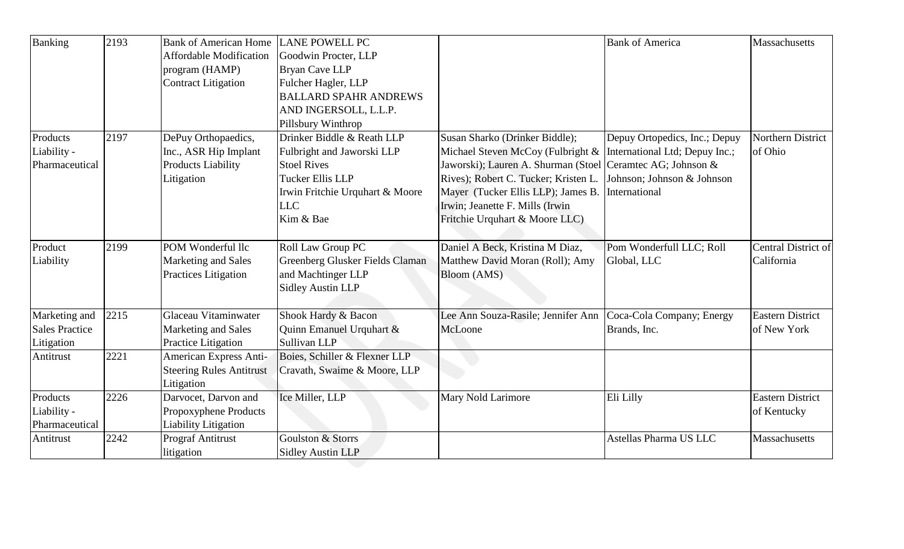| Banking               | 2193 | <b>Bank of American Home</b>    | <b>LANE POWELL PC</b>           |                                                                  | <b>Bank of America</b>        | Massachusetts           |
|-----------------------|------|---------------------------------|---------------------------------|------------------------------------------------------------------|-------------------------------|-------------------------|
|                       |      | <b>Affordable Modification</b>  | Goodwin Procter, LLP            |                                                                  |                               |                         |
|                       |      | program (HAMP)                  | <b>Bryan Cave LLP</b>           |                                                                  |                               |                         |
|                       |      | <b>Contract Litigation</b>      | Fulcher Hagler, LLP             |                                                                  |                               |                         |
|                       |      |                                 | <b>BALLARD SPAHR ANDREWS</b>    |                                                                  |                               |                         |
|                       |      |                                 | AND INGERSOLL, L.L.P.           |                                                                  |                               |                         |
|                       |      |                                 | Pillsbury Winthrop              |                                                                  |                               |                         |
| Products              | 2197 | DePuy Orthopaedics,             | Drinker Biddle & Reath LLP      | Susan Sharko (Drinker Biddle);                                   | Depuy Ortopedics, Inc.; Depuy | Northern District       |
| Liability -           |      | Inc., ASR Hip Implant           | Fulbright and Jaworski LLP      | Michael Steven McCoy (Fulbright & International Ltd; Depuy Inc.; |                               | of Ohio                 |
| Pharmaceutical        |      | <b>Products Liability</b>       | <b>Stoel Rives</b>              | Jaworski); Lauren A. Shurman (Stoel Ceramtec AG; Johnson &       |                               |                         |
|                       |      | Litigation                      | <b>Tucker Ellis LLP</b>         | Rives); Robert C. Tucker; Kristen L.                             | Johnson; Johnson & Johnson    |                         |
|                       |      |                                 | Irwin Fritchie Urquhart & Moore | Mayer (Tucker Ellis LLP); James B.                               | International                 |                         |
|                       |      |                                 | <b>LLC</b>                      | Irwin; Jeanette F. Mills (Irwin                                  |                               |                         |
|                       |      |                                 | Kim & Bae                       | Fritchie Urquhart & Moore LLC)                                   |                               |                         |
|                       |      |                                 |                                 |                                                                  |                               |                         |
| Product               | 2199 | POM Wonderful llc               | Roll Law Group PC               | Daniel A Beck, Kristina M Diaz,                                  | Pom Wonderfull LLC; Roll      | Central District of     |
| Liability             |      | Marketing and Sales             | Greenberg Glusker Fields Claman | Matthew David Moran (Roll); Amy                                  | Global, LLC                   | California              |
|                       |      | <b>Practices Litigation</b>     | and Machtinger LLP              | Bloom (AMS)                                                      |                               |                         |
|                       |      |                                 | <b>Sidley Austin LLP</b>        |                                                                  |                               |                         |
|                       |      |                                 |                                 |                                                                  |                               |                         |
| Marketing and         | 2215 | Glaceau Vitaminwater            | Shook Hardy & Bacon             | Lee Ann Souza-Rasile; Jennifer Ann                               | Coca-Cola Company; Energy     | <b>Eastern District</b> |
| <b>Sales Practice</b> |      | Marketing and Sales             | Quinn Emanuel Urquhart &        | McLoone                                                          | Brands, Inc.                  | of New York             |
| Litigation            |      | Practice Litigation             | Sullivan LLP                    |                                                                  |                               |                         |
| Antitrust             | 2221 | American Express Anti-          | Boies, Schiller & Flexner LLP   |                                                                  |                               |                         |
|                       |      | <b>Steering Rules Antitrust</b> | Cravath, Swaime & Moore, LLP    |                                                                  |                               |                         |
|                       |      | Litigation                      |                                 |                                                                  |                               |                         |
| Products              | 2226 | Darvocet, Darvon and            | Ice Miller, LLP                 | Mary Nold Larimore                                               | Eli Lilly                     | <b>Eastern District</b> |
| Liability -           |      | Propoxyphene Products           |                                 |                                                                  |                               | of Kentucky             |
| Pharmaceutical        |      | <b>Liability Litigation</b>     |                                 |                                                                  |                               |                         |
| Antitrust             | 2242 | <b>Prograf Antitrust</b>        | Goulston & Storrs               |                                                                  | Astellas Pharma US LLC        | Massachusetts           |
|                       |      | litigation                      | <b>Sidley Austin LLP</b>        |                                                                  |                               |                         |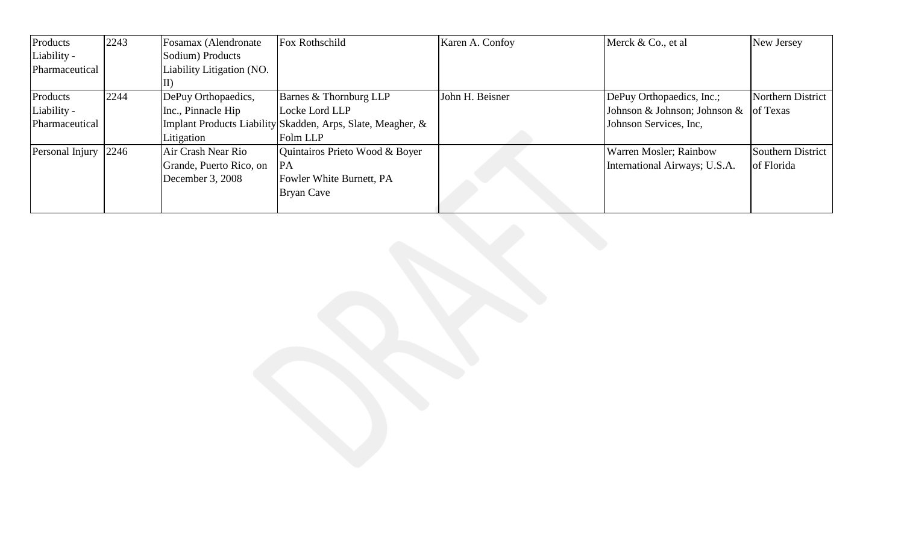| Products        | 2243 | Fosamax (Alendronate      | Fox Rothschild                                              | Karen A. Confoy | Merck & Co., et al                             | New Jersey        |
|-----------------|------|---------------------------|-------------------------------------------------------------|-----------------|------------------------------------------------|-------------------|
| Liability -     |      | Sodium) Products          |                                                             |                 |                                                |                   |
| Pharmaceutical  |      | Liability Litigation (NO. |                                                             |                 |                                                |                   |
|                 |      |                           |                                                             |                 |                                                |                   |
| Products        | 2244 | DePuy Orthopaedics,       | Barnes & Thornburg LLP                                      | John H. Beisner | DePuy Orthopaedics, Inc.;                      | Northern District |
| Liability -     |      | Inc., Pinnacle Hip        | Locke Lord LLP                                              |                 | Johnson & Johnson; Johnson & $\sigma$ of Texas |                   |
| Pharmaceutical  |      |                           | Implant Products Liability Skadden, Arps, Slate, Meagher, & |                 | Johnson Services, Inc.                         |                   |
|                 |      | Litigation                | Folm LLP                                                    |                 |                                                |                   |
| Personal Injury | 2246 | Air Crash Near Rio        | Quintairos Prieto Wood & Boyer                              |                 | <b>Warren Mosler</b> ; Rainbow                 | Southern District |
|                 |      | Grande, Puerto Rico, on   | PA                                                          |                 | International Airways; U.S.A.                  | of Florida        |
|                 |      | December 3, 2008          | Fowler White Burnett, PA                                    |                 |                                                |                   |
|                 |      |                           | Bryan Cave                                                  |                 |                                                |                   |
|                 |      |                           |                                                             |                 |                                                |                   |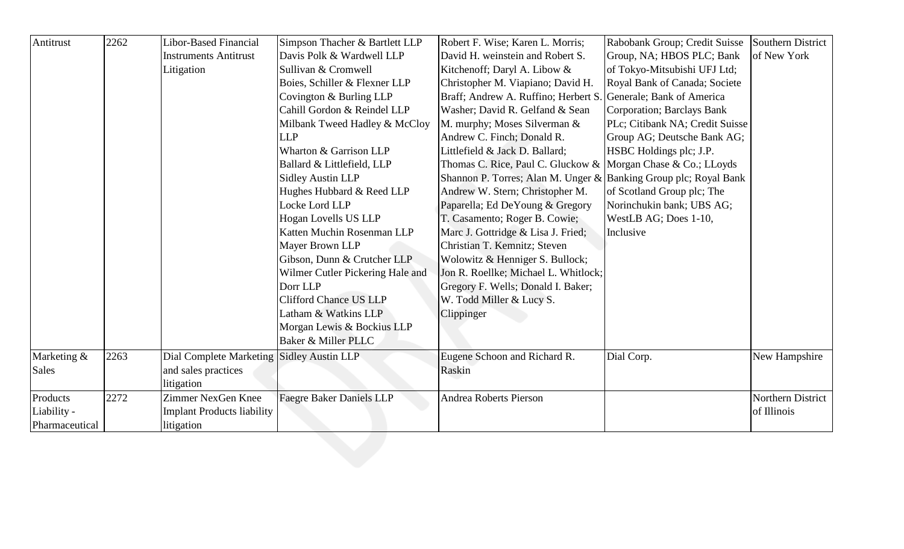| Antitrust      | 2262 | Libor-Based Financial                     | Simpson Thacher & Bartlett LLP   | Robert F. Wise; Karen L. Morris;                                 | Rabobank Group; Credit Suisse      | Southern District |
|----------------|------|-------------------------------------------|----------------------------------|------------------------------------------------------------------|------------------------------------|-------------------|
|                |      | <b>Instruments Antitrust</b>              | Davis Polk & Wardwell LLP        | David H. weinstein and Robert S.                                 | Group, NA; HBOS PLC; Bank          | of New York       |
|                |      | Litigation                                | Sullivan & Cromwell              | Kitchenoff; Daryl A. Libow &                                     | of Tokyo-Mitsubishi UFJ Ltd;       |                   |
|                |      |                                           | Boies, Schiller & Flexner LLP    | Christopher M. Viapiano; David H.                                | Royal Bank of Canada; Societe      |                   |
|                |      |                                           | Covington & Burling LLP          | Braff; Andrew A. Ruffino; Herbert S. Generale; Bank of America   |                                    |                   |
|                |      |                                           | Cahill Gordon & Reindel LLP      | Washer; David R. Gelfand & Sean                                  | <b>Corporation</b> ; Barclays Bank |                   |
|                |      |                                           | Milbank Tweed Hadley & McCloy    | M. murphy; Moses Silverman &                                     | PLc; Citibank NA; Credit Suisse    |                   |
|                |      |                                           | <b>LLP</b>                       | Andrew C. Finch; Donald R.                                       | Group AG; Deutsche Bank AG;        |                   |
|                |      |                                           | Wharton & Garrison LLP           | Littlefield & Jack D. Ballard;                                   | HSBC Holdings plc; J.P.            |                   |
|                |      |                                           | Ballard & Littlefield, LLP       | Thomas C. Rice, Paul C. Gluckow & Morgan Chase & Co.; LLoyds     |                                    |                   |
|                |      |                                           | <b>Sidley Austin LLP</b>         | Shannon P. Torres; Alan M. Unger & Banking Group plc; Royal Bank |                                    |                   |
|                |      |                                           | Hughes Hubbard & Reed LLP        | Andrew W. Stern; Christopher M.                                  | of Scotland Group plc; The         |                   |
|                |      |                                           | Locke Lord LLP                   | Paparella; Ed DeYoung & Gregory                                  | Norinchukin bank; UBS AG;          |                   |
|                |      |                                           | Hogan Lovells US LLP             | T. Casamento; Roger B. Cowie;                                    | WestLB AG; Does 1-10,              |                   |
|                |      |                                           | Katten Muchin Rosenman LLP       | Marc J. Gottridge & Lisa J. Fried;                               | Inclusive                          |                   |
|                |      |                                           | Mayer Brown LLP                  | Christian T. Kemnitz; Steven                                     |                                    |                   |
|                |      |                                           | Gibson, Dunn & Crutcher LLP      | Wolowitz & Henniger S. Bullock;                                  |                                    |                   |
|                |      |                                           | Wilmer Cutler Pickering Hale and | Jon R. Roellke; Michael L. Whitlock;                             |                                    |                   |
|                |      |                                           | Dorr LLP                         | Gregory F. Wells; Donald I. Baker;                               |                                    |                   |
|                |      |                                           | <b>Clifford Chance US LLP</b>    | W. Todd Miller & Lucy S.                                         |                                    |                   |
|                |      |                                           | Latham & Watkins LLP             | Clippinger                                                       |                                    |                   |
|                |      |                                           | Morgan Lewis & Bockius LLP       |                                                                  |                                    |                   |
|                |      |                                           | Baker & Miller PLLC              |                                                                  |                                    |                   |
| Marketing &    | 2263 | Dial Complete Marketing Sidley Austin LLP |                                  | Eugene Schoon and Richard R.                                     | Dial Corp.                         | New Hampshire     |
| Sales          |      | and sales practices                       |                                  | Raskin                                                           |                                    |                   |
|                |      | litigation                                |                                  |                                                                  |                                    |                   |
| Products       | 2272 | Zimmer NexGen Knee                        | <b>Faegre Baker Daniels LLP</b>  | <b>Andrea Roberts Pierson</b>                                    |                                    | Northern District |
| Liability -    |      | <b>Implant Products liability</b>         |                                  |                                                                  |                                    | of Illinois       |
| Pharmaceutical |      | litigation                                |                                  |                                                                  |                                    |                   |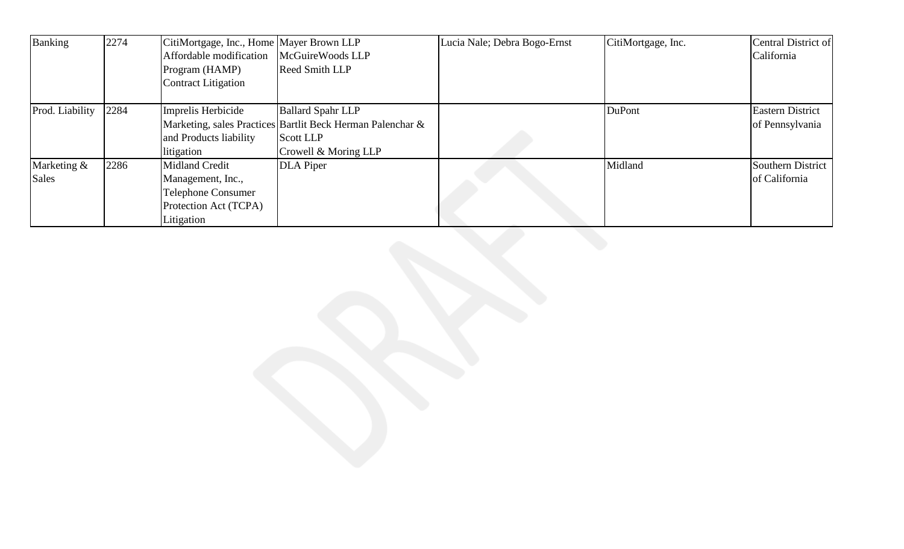| <b>Banking</b>  | 2274 | CitiMortgage, Inc., Home Mayer Brown LLP |                                                            | Lucia Nale; Debra Bogo-Ernst | CitiMortgage, Inc. | Central District of     |
|-----------------|------|------------------------------------------|------------------------------------------------------------|------------------------------|--------------------|-------------------------|
|                 |      | Affordable modification                  | McGuireWoods LLP                                           |                              |                    | California              |
|                 |      | Program (HAMP)                           | Reed Smith LLP                                             |                              |                    |                         |
|                 |      | <b>Contract Litigation</b>               |                                                            |                              |                    |                         |
| Prod. Liability | 2284 |                                          | <b>Ballard Spahr LLP</b>                                   |                              | <b>DuPont</b>      | <b>Eastern District</b> |
|                 |      | Imprelis Herbicide                       |                                                            |                              |                    |                         |
|                 |      |                                          | Marketing, sales Practices Bartlit Beck Herman Palenchar & |                              |                    | of Pennsylvania         |
|                 |      | and Products liability                   | <b>Scott LLP</b>                                           |                              |                    |                         |
|                 |      | litigation                               | Crowell & Moring LLP                                       |                              |                    |                         |
| Marketing &     | 2286 | Midland Credit                           | <b>DLA</b> Piper                                           |                              | Midland            | Southern District       |
| Sales           |      | Management, Inc.,                        |                                                            |                              |                    | of California           |
|                 |      | <b>Telephone Consumer</b>                |                                                            |                              |                    |                         |
|                 |      | Protection Act (TCPA)                    |                                                            |                              |                    |                         |
|                 |      | Litigation                               |                                                            |                              |                    |                         |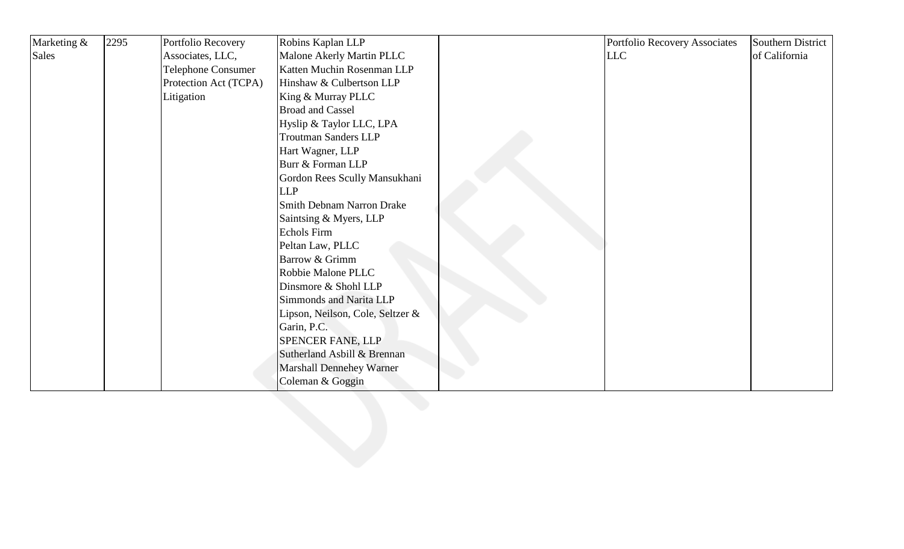| Marketing & | 2295 | Portfolio Recovery        | Robins Kaplan LLP                | Portfolio Recovery Associates | Southern District |
|-------------|------|---------------------------|----------------------------------|-------------------------------|-------------------|
| Sales       |      | Associates, LLC,          | Malone Akerly Martin PLLC        | <b>LLC</b>                    | of California     |
|             |      | <b>Telephone Consumer</b> | Katten Muchin Rosenman LLP       |                               |                   |
|             |      | Protection Act (TCPA)     | Hinshaw & Culbertson LLP         |                               |                   |
|             |      | Litigation                | King & Murray PLLC               |                               |                   |
|             |      |                           | <b>Broad and Cassel</b>          |                               |                   |
|             |      |                           | Hyslip & Taylor LLC, LPA         |                               |                   |
|             |      |                           | <b>Troutman Sanders LLP</b>      |                               |                   |
|             |      |                           | Hart Wagner, LLP                 |                               |                   |
|             |      |                           | Burr & Forman LLP                |                               |                   |
|             |      |                           | Gordon Rees Scully Mansukhani    |                               |                   |
|             |      |                           | <b>LLP</b>                       |                               |                   |
|             |      |                           | <b>Smith Debnam Narron Drake</b> |                               |                   |
|             |      |                           | Saintsing & Myers, LLP           |                               |                   |
|             |      |                           | Echols Firm                      |                               |                   |
|             |      |                           | Peltan Law, PLLC                 |                               |                   |
|             |      |                           | Barrow & Grimm                   |                               |                   |
|             |      |                           | Robbie Malone PLLC               |                               |                   |
|             |      |                           | Dinsmore & Shohl LLP             |                               |                   |
|             |      |                           | Simmonds and Narita LLP          |                               |                   |
|             |      |                           | Lipson, Neilson, Cole, Seltzer & |                               |                   |
|             |      |                           | Garin, P.C.                      |                               |                   |
|             |      |                           | <b>SPENCER FANE, LLP</b>         |                               |                   |
|             |      |                           | Sutherland Asbill & Brennan      |                               |                   |
|             |      |                           | <b>Marshall Dennehey Warner</b>  |                               |                   |
|             |      |                           | Coleman & Goggin                 |                               |                   |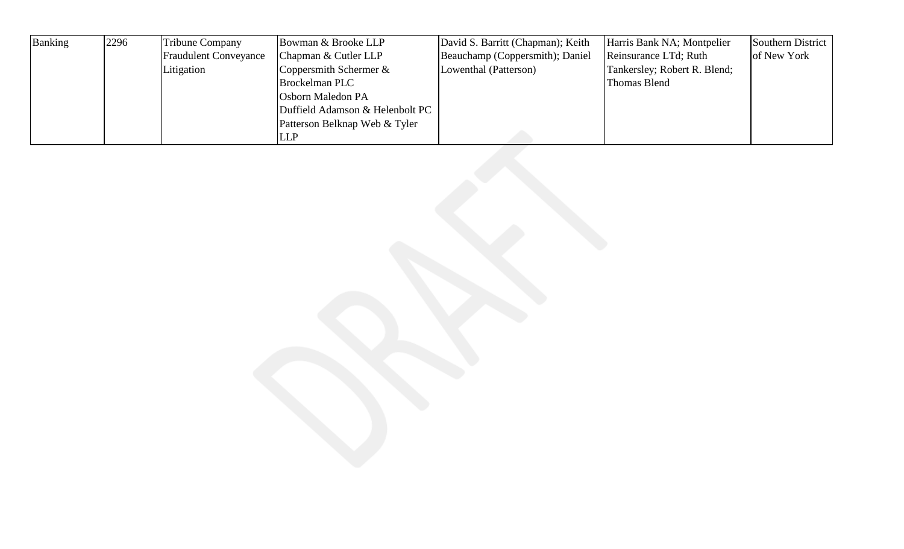| Banking | 2296 | <b>Tribune Company</b>       | Bowman & Brooke LLP             | David S. Barritt (Chapman); Keith | Harris Bank NA; Montpelier   | Southern District |
|---------|------|------------------------------|---------------------------------|-----------------------------------|------------------------------|-------------------|
|         |      | <b>Fraudulent Conveyance</b> | Chapman & Cutler LLP            | Beauchamp (Coppersmith); Daniel   | Reinsurance LTd; Ruth        | of New York       |
|         |      | Litigation                   | Coppersmith Schermer $\&$       | Lowenthal (Patterson)             | Tankersley; Robert R. Blend; |                   |
|         |      |                              | <b>Brockelman PLC</b>           |                                   | Thomas Blend                 |                   |
|         |      |                              | <b>Osborn Maledon PA</b>        |                                   |                              |                   |
|         |      |                              | Duffield Adamson & Helenbolt PC |                                   |                              |                   |
|         |      |                              | Patterson Belknap Web & Tyler   |                                   |                              |                   |
|         |      |                              | <b>LLP</b>                      |                                   |                              |                   |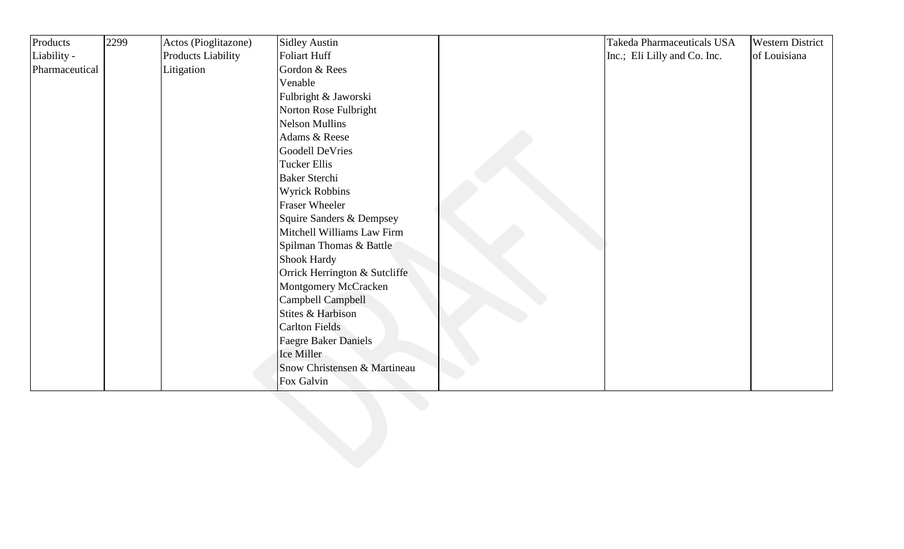| Products       | 2299 | Actos (Pioglitazone) | <b>Sidley Austin</b>          | Takeda Pharmaceuticals USA   | <b>Western District</b> |
|----------------|------|----------------------|-------------------------------|------------------------------|-------------------------|
| Liability -    |      | Products Liability   | Foliart Huff                  | Inc.; Eli Lilly and Co. Inc. | of Louisiana            |
| Pharmaceutical |      | Litigation           | Gordon & Rees                 |                              |                         |
|                |      |                      | Venable                       |                              |                         |
|                |      |                      | Fulbright & Jaworski          |                              |                         |
|                |      |                      | Norton Rose Fulbright         |                              |                         |
|                |      |                      | <b>Nelson Mullins</b>         |                              |                         |
|                |      |                      | Adams & Reese                 |                              |                         |
|                |      |                      | <b>Goodell DeVries</b>        |                              |                         |
|                |      |                      | <b>Tucker Ellis</b>           |                              |                         |
|                |      |                      | <b>Baker Sterchi</b>          |                              |                         |
|                |      |                      | <b>Wyrick Robbins</b>         |                              |                         |
|                |      |                      | <b>Fraser Wheeler</b>         |                              |                         |
|                |      |                      | Squire Sanders & Dempsey      |                              |                         |
|                |      |                      | Mitchell Williams Law Firm    |                              |                         |
|                |      |                      | Spilman Thomas & Battle       |                              |                         |
|                |      |                      | Shook Hardy                   |                              |                         |
|                |      |                      | Orrick Herrington & Sutcliffe |                              |                         |
|                |      |                      | Montgomery McCracken          |                              |                         |
|                |      |                      | Campbell Campbell             |                              |                         |
|                |      |                      | Stites & Harbison             |                              |                         |
|                |      |                      | <b>Carlton Fields</b>         |                              |                         |
|                |      |                      | <b>Faegre Baker Daniels</b>   |                              |                         |
|                |      |                      | Ice Miller                    |                              |                         |
|                |      |                      | Snow Christensen & Martineau  |                              |                         |
|                |      |                      | Fox Galvin                    |                              |                         |
|                |      |                      |                               |                              |                         |
|                |      |                      |                               |                              |                         |
|                |      |                      |                               |                              |                         |
|                |      |                      |                               |                              |                         |
|                |      |                      |                               |                              |                         |
|                |      |                      |                               |                              |                         |
|                |      |                      |                               |                              |                         |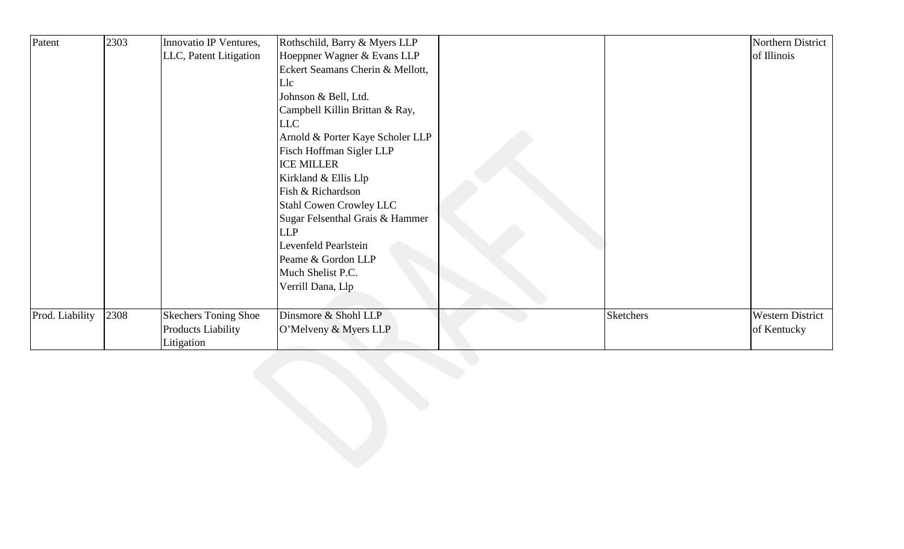| Patent          | 2303 | Innovatio IP Ventures,      | Rothschild, Barry & Myers LLP    |                  | Northern District       |
|-----------------|------|-----------------------------|----------------------------------|------------------|-------------------------|
|                 |      | LLC, Patent Litigation      | Hoeppner Wagner & Evans LLP      |                  | of Illinois             |
|                 |      |                             | Eckert Seamans Cherin & Mellott, |                  |                         |
|                 |      |                             | Llc                              |                  |                         |
|                 |      |                             | Johnson & Bell, Ltd.             |                  |                         |
|                 |      |                             | Campbell Killin Brittan & Ray,   |                  |                         |
|                 |      |                             | LLC                              |                  |                         |
|                 |      |                             | Arnold & Porter Kaye Scholer LLP |                  |                         |
|                 |      |                             | Fisch Hoffman Sigler LLP         |                  |                         |
|                 |      |                             | <b>ICE MILLER</b>                |                  |                         |
|                 |      |                             | Kirkland & Ellis Llp             |                  |                         |
|                 |      |                             | Fish & Richardson                |                  |                         |
|                 |      |                             | <b>Stahl Cowen Crowley LLC</b>   |                  |                         |
|                 |      |                             | Sugar Felsenthal Grais & Hammer  |                  |                         |
|                 |      |                             | <b>LLP</b>                       |                  |                         |
|                 |      |                             | Levenfeld Pearlstein             |                  |                         |
|                 |      |                             | Peame & Gordon LLP               |                  |                         |
|                 |      |                             | Much Shelist P.C.                |                  |                         |
|                 |      |                             | Verrill Dana, Llp                |                  |                         |
|                 |      |                             |                                  |                  |                         |
| Prod. Liability | 2308 | <b>Skechers Toning Shoe</b> | Dinsmore & Shohl LLP             | <b>Sketchers</b> | <b>Western District</b> |
|                 |      | Products Liability          | O'Melveny & Myers LLP            |                  | of Kentucky             |
|                 |      | Litigation                  |                                  |                  |                         |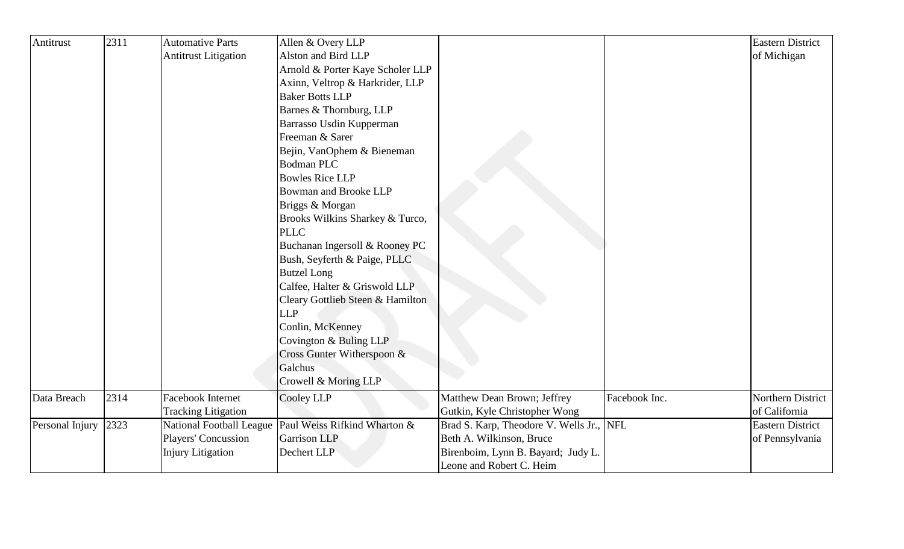| Antitrust       | 2311 | <b>Automative Parts</b>     | Allen & Overy LLP                                       |                                      |               | <b>Eastern District</b> |
|-----------------|------|-----------------------------|---------------------------------------------------------|--------------------------------------|---------------|-------------------------|
|                 |      | <b>Antitrust Litigation</b> | Alston and Bird LLP                                     |                                      |               | of Michigan             |
|                 |      |                             | Arnold & Porter Kaye Scholer LLP                        |                                      |               |                         |
|                 |      |                             | Axinn, Veltrop & Harkrider, LLP                         |                                      |               |                         |
|                 |      |                             | <b>Baker Botts LLP</b>                                  |                                      |               |                         |
|                 |      |                             | Barnes & Thornburg, LLP                                 |                                      |               |                         |
|                 |      |                             | Barrasso Usdin Kupperman                                |                                      |               |                         |
|                 |      |                             | Freeman & Sarer                                         |                                      |               |                         |
|                 |      |                             | Bejin, VanOphem & Bieneman                              |                                      |               |                         |
|                 |      |                             | <b>Bodman PLC</b>                                       |                                      |               |                         |
|                 |      |                             | <b>Bowles Rice LLP</b>                                  |                                      |               |                         |
|                 |      |                             | <b>Bowman and Brooke LLP</b>                            |                                      |               |                         |
|                 |      |                             | Briggs & Morgan                                         |                                      |               |                         |
|                 |      |                             | Brooks Wilkins Sharkey & Turco,                         |                                      |               |                         |
|                 |      |                             | <b>PLLC</b>                                             |                                      |               |                         |
|                 |      |                             | Buchanan Ingersoll & Rooney PC                          |                                      |               |                         |
|                 |      |                             | Bush, Seyferth & Paige, PLLC                            |                                      |               |                         |
|                 |      |                             | <b>Butzel Long</b>                                      |                                      |               |                         |
|                 |      |                             | Calfee, Halter & Griswold LLP                           |                                      |               |                         |
|                 |      |                             | Cleary Gottlieb Steen & Hamilton                        |                                      |               |                         |
|                 |      |                             | <b>LLP</b>                                              |                                      |               |                         |
|                 |      |                             | Conlin, McKenney                                        |                                      |               |                         |
|                 |      |                             | Covington & Buling LLP                                  |                                      |               |                         |
|                 |      |                             | Cross Gunter Witherspoon &                              |                                      |               |                         |
|                 |      |                             | Galchus                                                 |                                      |               |                         |
|                 |      |                             | Crowell & Moring LLP                                    |                                      |               |                         |
| Data Breach     | 2314 | Facebook Internet           | Cooley LLP                                              | Matthew Dean Brown; Jeffrey          | Facebook Inc. | Northern District       |
|                 |      | <b>Tracking Litigation</b>  |                                                         | Gutkin, Kyle Christopher Wong        |               | of California           |
| Personal Injury | 2323 |                             | National Football League   Paul Weiss Rifkind Wharton & | Brad S. Karp, Theodore V. Wells Jr., | <b>NFL</b>    | <b>Eastern District</b> |
|                 |      | Players' Concussion         | <b>Garrison LLP</b>                                     | Beth A. Wilkinson, Bruce             |               | of Pennsylvania         |
|                 |      | <b>Injury Litigation</b>    | Dechert LLP                                             | Birenboim, Lynn B. Bayard; Judy L.   |               |                         |
|                 |      |                             |                                                         | Leone and Robert C. Heim             |               |                         |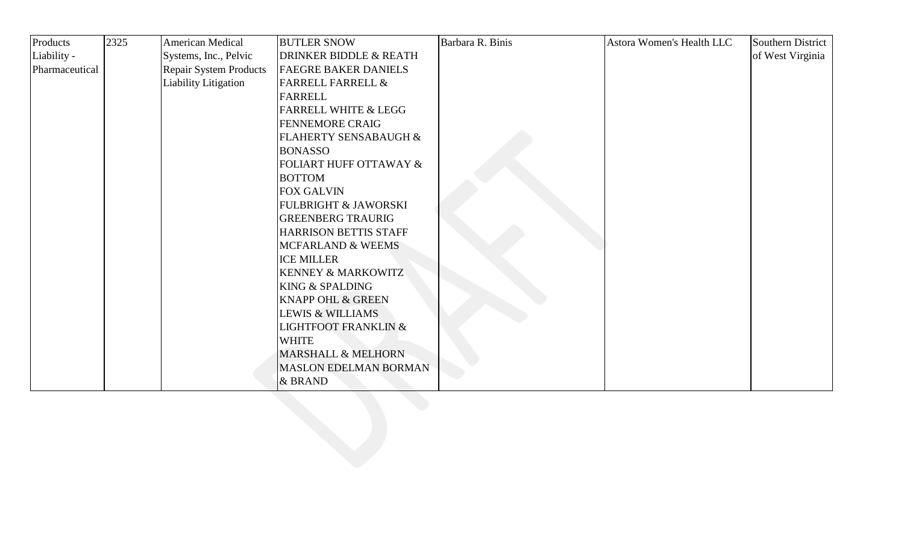| Products       | 2325 | American Medical              | <b>BUTLER SNOW</b>                | Barbara R. Binis | Astora Women's Health LLC | Southern District |
|----------------|------|-------------------------------|-----------------------------------|------------------|---------------------------|-------------------|
| Liability -    |      | Systems, Inc., Pelvic         | <b>DRINKER BIDDLE &amp; REATH</b> |                  |                           | of West Virginia  |
| Pharmaceutical |      | <b>Repair System Products</b> | <b>FAEGRE BAKER DANIELS</b>       |                  |                           |                   |
|                |      | Liability Litigation          | <b>FARRELL FARRELL &amp;</b>      |                  |                           |                   |
|                |      |                               | FARRELL                           |                  |                           |                   |
|                |      |                               | <b>FARRELL WHITE &amp; LEGG</b>   |                  |                           |                   |
|                |      |                               | <b>FENNEMORE CRAIG</b>            |                  |                           |                   |
|                |      |                               | FLAHERTY SENSABAUGH &             |                  |                           |                   |
|                |      |                               | <b>BONASSO</b>                    |                  |                           |                   |
|                |      |                               | <b>FOLIART HUFF OTTAWAY &amp;</b> |                  |                           |                   |
|                |      |                               | <b>BOTTOM</b>                     |                  |                           |                   |
|                |      |                               | <b>FOX GALVIN</b>                 |                  |                           |                   |
|                |      |                               | <b>FULBRIGHT &amp; JAWORSKI</b>   |                  |                           |                   |
|                |      |                               | <b>GREENBERG TRAURIG</b>          |                  |                           |                   |
|                |      |                               | HARRISON BETTIS STAFF             |                  |                           |                   |
|                |      |                               | <b>MCFARLAND &amp; WEEMS</b>      |                  |                           |                   |
|                |      |                               | <b>ICE MILLER</b>                 |                  |                           |                   |
|                |      |                               | <b>KENNEY &amp; MARKOWITZ</b>     |                  |                           |                   |
|                |      |                               | <b>KING &amp; SPALDING</b>        |                  |                           |                   |
|                |      |                               | <b>KNAPP OHL &amp; GREEN</b>      |                  |                           |                   |
|                |      |                               | <b>LEWIS &amp; WILLIAMS</b>       |                  |                           |                   |
|                |      |                               | <b>LIGHTFOOT FRANKLIN &amp;</b>   |                  |                           |                   |
|                |      |                               | <b>WHITE</b>                      |                  |                           |                   |
|                |      |                               | <b>MARSHALL &amp; MELHORN</b>     |                  |                           |                   |
|                |      |                               | <b>MASLON EDELMAN BORMAN</b>      |                  |                           |                   |
|                |      |                               | & BRAND                           |                  |                           |                   |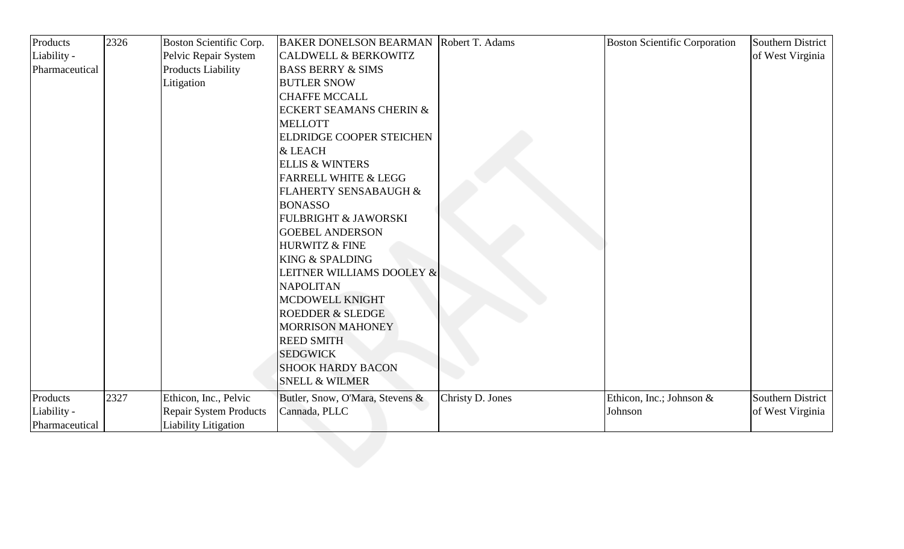| Products       | 2326 | Boston Scientific Corp.       | <b>BAKER DONELSON BEARMAN Robert T. Adams</b> |                  | <b>Boston Scientific Corporation</b> | Southern District |
|----------------|------|-------------------------------|-----------------------------------------------|------------------|--------------------------------------|-------------------|
| Liability -    |      | Pelvic Repair System          | <b>CALDWELL &amp; BERKOWITZ</b>               |                  |                                      | of West Virginia  |
| Pharmaceutical |      | <b>Products Liability</b>     | <b>BASS BERRY &amp; SIMS</b>                  |                  |                                      |                   |
|                |      | Litigation                    | <b>BUTLER SNOW</b>                            |                  |                                      |                   |
|                |      |                               | <b>CHAFFE MCCALL</b>                          |                  |                                      |                   |
|                |      |                               | <b>ECKERT SEAMANS CHERIN &amp;</b>            |                  |                                      |                   |
|                |      |                               | <b>MELLOTT</b>                                |                  |                                      |                   |
|                |      |                               | <b>ELDRIDGE COOPER STEICHEN</b>               |                  |                                      |                   |
|                |      |                               | & LEACH                                       |                  |                                      |                   |
|                |      |                               | <b>ELLIS &amp; WINTERS</b>                    |                  |                                      |                   |
|                |      |                               | <b>FARRELL WHITE &amp; LEGG</b>               |                  |                                      |                   |
|                |      |                               | FLAHERTY SENSABAUGH &                         |                  |                                      |                   |
|                |      |                               | <b>BONASSO</b>                                |                  |                                      |                   |
|                |      |                               | <b>FULBRIGHT &amp; JAWORSKI</b>               |                  |                                      |                   |
|                |      |                               | <b>GOEBEL ANDERSON</b>                        |                  |                                      |                   |
|                |      |                               | HURWITZ & FINE                                |                  |                                      |                   |
|                |      |                               | <b>KING &amp; SPALDING</b>                    |                  |                                      |                   |
|                |      |                               | LEITNER WILLIAMS DOOLEY &                     |                  |                                      |                   |
|                |      |                               | <b>NAPOLITAN</b>                              |                  |                                      |                   |
|                |      |                               | MCDOWELL KNIGHT                               |                  |                                      |                   |
|                |      |                               | <b>ROEDDER &amp; SLEDGE</b>                   |                  |                                      |                   |
|                |      |                               | <b>MORRISON MAHONEY</b>                       |                  |                                      |                   |
|                |      |                               | <b>REED SMITH</b>                             |                  |                                      |                   |
|                |      |                               | <b>SEDGWICK</b>                               |                  |                                      |                   |
|                |      |                               | <b>SHOOK HARDY BACON</b>                      |                  |                                      |                   |
|                |      |                               | <b>SNELL &amp; WILMER</b>                     |                  |                                      |                   |
| Products       | 2327 | Ethicon, Inc., Pelvic         | Butler, Snow, O'Mara, Stevens &               | Christy D. Jones | Ethicon, Inc.; Johnson &             | Southern District |
| Liability -    |      | <b>Repair System Products</b> | Cannada, PLLC                                 |                  | Johnson                              | of West Virginia  |
| Pharmaceutical |      | <b>Liability Litigation</b>   |                                               |                  |                                      |                   |
|                |      |                               |                                               |                  |                                      |                   |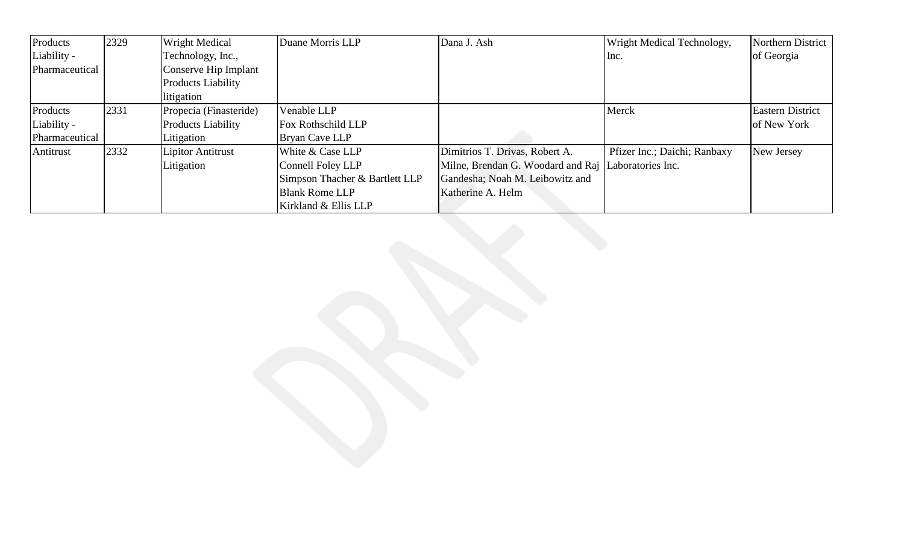| Products       | 2329 | <b>Wright Medical</b>     | Duane Morris LLP               | Dana J. Ash                                         | Wright Medical Technology,   | Northern District       |
|----------------|------|---------------------------|--------------------------------|-----------------------------------------------------|------------------------------|-------------------------|
| Liability -    |      | Technology, Inc.,         |                                |                                                     | Inc.                         | of Georgia              |
| Pharmaceutical |      | Conserve Hip Implant      |                                |                                                     |                              |                         |
|                |      | Products Liability        |                                |                                                     |                              |                         |
|                |      | litigation                |                                |                                                     |                              |                         |
| Products       | 2331 | Propecia (Finasteride)    | Venable LLP                    |                                                     | Merck                        | <b>Eastern District</b> |
| Liability -    |      | <b>Products Liability</b> | <b>Fox Rothschild LLP</b>      |                                                     |                              | of New York             |
| Pharmaceutical |      | Litigation                | Bryan Cave LLP                 |                                                     |                              |                         |
| Antitrust      | 2332 | Lipitor Antitrust         | White & Case LLP               | Dimitrios T. Drivas, Robert A.                      | Pfizer Inc.; Daichi; Ranbaxy | New Jersey              |
|                |      | Litigation                | Connell Foley LLP              | Milne, Brendan G. Woodard and Raj Laboratories Inc. |                              |                         |
|                |      |                           | Simpson Thacher & Bartlett LLP | Gandesha; Noah M. Leibowitz and                     |                              |                         |
|                |      |                           | <b>Blank Rome LLP</b>          | Katherine A. Helm                                   |                              |                         |
|                |      |                           | Kirkland & Ellis LLP           |                                                     |                              |                         |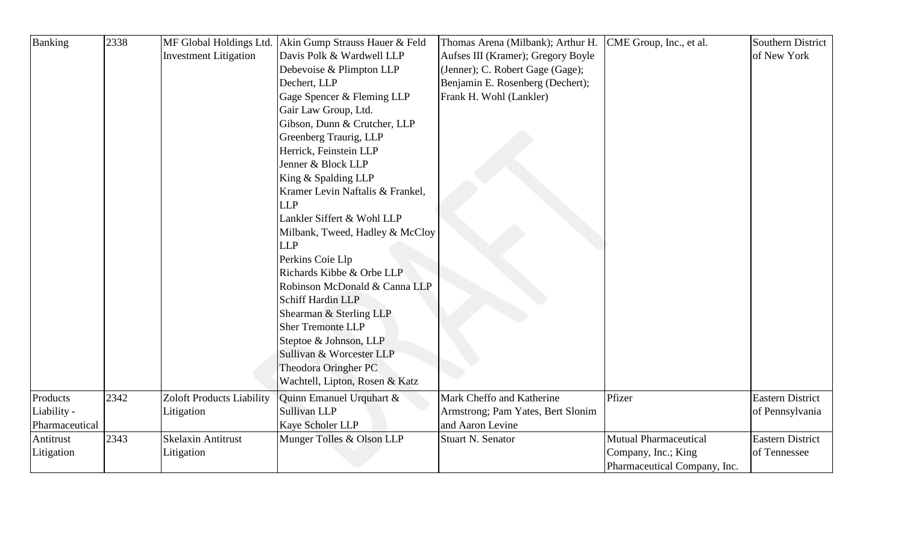| Banking        | 2338 |                                  | MF Global Holdings Ltd. Akin Gump Strauss Hauer & Feld | Thomas Arena (Milbank); Arthur H.  | CME Group, Inc., et al.      | <b>Southern District</b> |
|----------------|------|----------------------------------|--------------------------------------------------------|------------------------------------|------------------------------|--------------------------|
|                |      | <b>Investment Litigation</b>     | Davis Polk & Wardwell LLP                              | Aufses III (Kramer); Gregory Boyle |                              | of New York              |
|                |      |                                  | Debevoise & Plimpton LLP                               | (Jenner); C. Robert Gage (Gage);   |                              |                          |
|                |      |                                  | Dechert, LLP                                           | Benjamin E. Rosenberg (Dechert);   |                              |                          |
|                |      |                                  | Gage Spencer & Fleming LLP                             | Frank H. Wohl (Lankler)            |                              |                          |
|                |      |                                  | Gair Law Group, Ltd.                                   |                                    |                              |                          |
|                |      |                                  | Gibson, Dunn & Crutcher, LLP                           |                                    |                              |                          |
|                |      |                                  | Greenberg Traurig, LLP                                 |                                    |                              |                          |
|                |      |                                  | Herrick, Feinstein LLP                                 |                                    |                              |                          |
|                |      |                                  | Jenner & Block LLP                                     |                                    |                              |                          |
|                |      |                                  | King & Spalding LLP                                    |                                    |                              |                          |
|                |      |                                  | Kramer Levin Naftalis & Frankel,                       |                                    |                              |                          |
|                |      |                                  | <b>LLP</b>                                             |                                    |                              |                          |
|                |      |                                  | Lankler Siffert & Wohl LLP                             |                                    |                              |                          |
|                |      |                                  | Milbank, Tweed, Hadley & McCloy                        |                                    |                              |                          |
|                |      |                                  | <b>LLP</b>                                             |                                    |                              |                          |
|                |      |                                  | Perkins Coie Llp                                       |                                    |                              |                          |
|                |      |                                  | Richards Kibbe & Orbe LLP                              |                                    |                              |                          |
|                |      |                                  | Robinson McDonald & Canna LLP                          |                                    |                              |                          |
|                |      |                                  | <b>Schiff Hardin LLP</b>                               |                                    |                              |                          |
|                |      |                                  | Shearman & Sterling LLP                                |                                    |                              |                          |
|                |      |                                  | <b>Sher Tremonte LLP</b>                               |                                    |                              |                          |
|                |      |                                  | Steptoe & Johnson, LLP                                 |                                    |                              |                          |
|                |      |                                  | Sullivan & Worcester LLP                               |                                    |                              |                          |
|                |      |                                  | Theodora Oringher PC                                   |                                    |                              |                          |
|                |      |                                  | Wachtell, Lipton, Rosen & Katz                         |                                    |                              |                          |
| Products       | 2342 | <b>Zoloft Products Liability</b> | Quinn Emanuel Urquhart &                               | Mark Cheffo and Katherine          | Pfizer                       | <b>Eastern District</b>  |
| Liability -    |      | Litigation                       | Sullivan LLP                                           | Armstrong; Pam Yates, Bert Slonim  |                              | of Pennsylvania          |
| Pharmaceutical |      |                                  | Kaye Scholer LLP                                       | and Aaron Levine                   |                              |                          |
| Antitrust      | 2343 | <b>Skelaxin Antitrust</b>        | Munger Tolles & Olson LLP                              | <b>Stuart N. Senator</b>           | <b>Mutual Pharmaceutical</b> | <b>Eastern District</b>  |
| Litigation     |      | Litigation                       |                                                        |                                    | Company, Inc.; King          | of Tennessee             |
|                |      |                                  |                                                        |                                    | Pharmaceutical Company, Inc. |                          |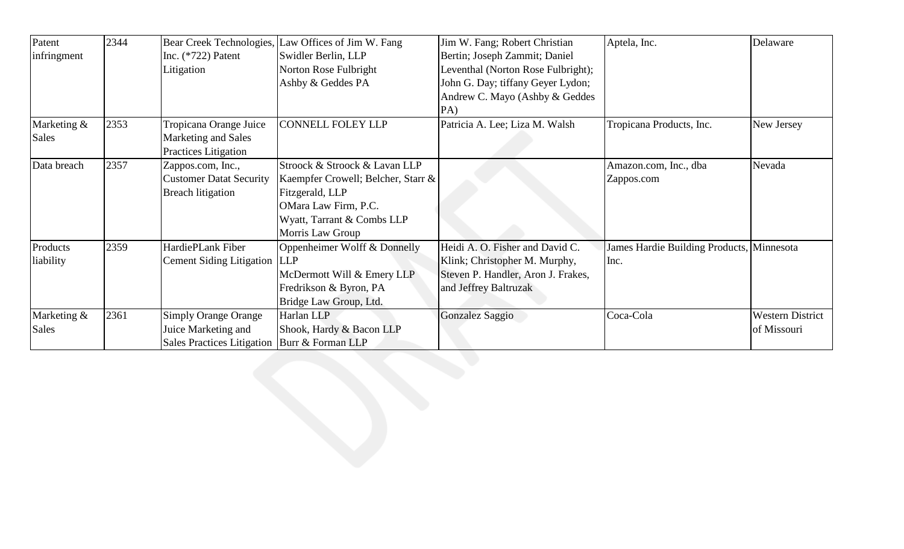| Patent      | 2344 | Bear Creek Technologies,                       | Law Offices of Jim W. Fang         | Jim W. Fang; Robert Christian      | Aptela, Inc.                              | Delaware                |
|-------------|------|------------------------------------------------|------------------------------------|------------------------------------|-------------------------------------------|-------------------------|
| infringment |      | Inc. $(*722)$ Patent                           | Swidler Berlin, LLP                | Bertin; Joseph Zammit; Daniel      |                                           |                         |
|             |      | Litigation                                     | Norton Rose Fulbright              | Leventhal (Norton Rose Fulbright); |                                           |                         |
|             |      |                                                | Ashby & Geddes PA                  | John G. Day; tiffany Geyer Lydon;  |                                           |                         |
|             |      |                                                |                                    | Andrew C. Mayo (Ashby & Geddes     |                                           |                         |
|             |      |                                                |                                    | PA)                                |                                           |                         |
| Marketing & | 2353 | Tropicana Orange Juice                         | <b>CONNELL FOLEY LLP</b>           | Patricia A. Lee; Liza M. Walsh     | Tropicana Products, Inc.                  | New Jersey              |
| Sales       |      | Marketing and Sales                            |                                    |                                    |                                           |                         |
|             |      | Practices Litigation                           |                                    |                                    |                                           |                         |
| Data breach | 2357 | Zappos.com, Inc.,                              | Stroock & Stroock & Lavan LLP      |                                    | Amazon.com, Inc., dba                     | Nevada                  |
|             |      | <b>Customer Datat Security</b>                 | Kaempfer Crowell; Belcher, Starr & |                                    | Zappos.com                                |                         |
|             |      | <b>Breach litigation</b>                       | Fitzgerald, LLP                    |                                    |                                           |                         |
|             |      |                                                | OMara Law Firm, P.C.               |                                    |                                           |                         |
|             |      |                                                | Wyatt, Tarrant & Combs LLP         |                                    |                                           |                         |
|             |      |                                                | Morris Law Group                   |                                    |                                           |                         |
| Products    | 2359 | HardiePLank Fiber                              | Oppenheimer Wolff & Donnelly       | Heidi A. O. Fisher and David C.    | James Hardie Building Products, Minnesota |                         |
| liability   |      | Cement Siding Litigation LLP                   |                                    | Klink; Christopher M. Murphy,      | Inc.                                      |                         |
|             |      |                                                | McDermott Will & Emery LLP         | Steven P. Handler, Aron J. Frakes, |                                           |                         |
|             |      |                                                | Fredrikson & Byron, PA             | and Jeffrey Baltruzak              |                                           |                         |
|             |      |                                                | Bridge Law Group, Ltd.             |                                    |                                           |                         |
| Marketing & | 2361 | <b>Simply Orange Orange</b>                    | Harlan LLP                         | Gonzalez Saggio                    | Coca-Cola                                 | <b>Western District</b> |
| Sales       |      | Juice Marketing and                            | Shook, Hardy & Bacon LLP           |                                    |                                           | of Missouri             |
|             |      | Sales Practices Litigation   Burr & Forman LLP |                                    |                                    |                                           |                         |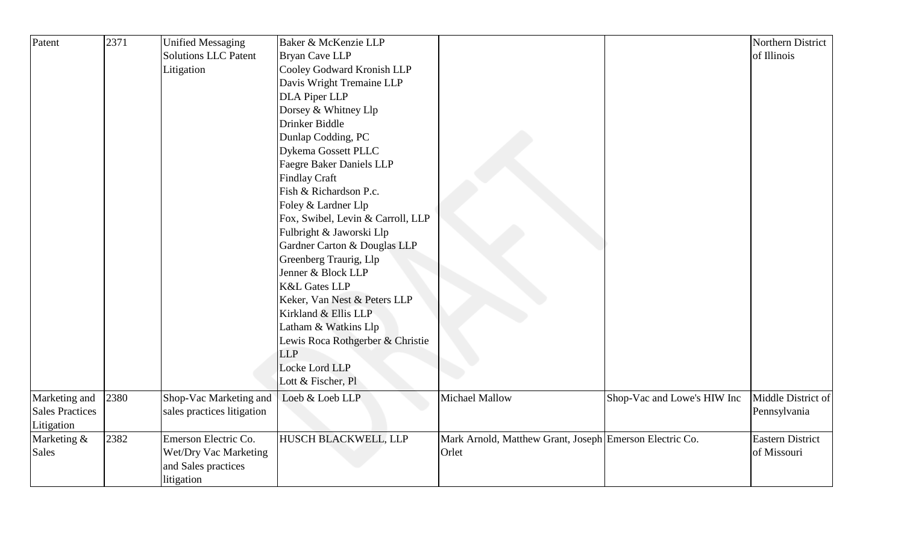| Patent                 | 2371 | <b>Unified Messaging</b>    | Baker & McKenzie LLP              |                                                         |                             | Northern District       |
|------------------------|------|-----------------------------|-----------------------------------|---------------------------------------------------------|-----------------------------|-------------------------|
|                        |      | <b>Solutions LLC Patent</b> | <b>Bryan Cave LLP</b>             |                                                         |                             | of Illinois             |
|                        |      | Litigation                  | Cooley Godward Kronish LLP        |                                                         |                             |                         |
|                        |      |                             | Davis Wright Tremaine LLP         |                                                         |                             |                         |
|                        |      |                             | DLA Piper LLP                     |                                                         |                             |                         |
|                        |      |                             | Dorsey & Whitney Llp              |                                                         |                             |                         |
|                        |      |                             | Drinker Biddle                    |                                                         |                             |                         |
|                        |      |                             | Dunlap Codding, PC                |                                                         |                             |                         |
|                        |      |                             | Dykema Gossett PLLC               |                                                         |                             |                         |
|                        |      |                             | <b>Faegre Baker Daniels LLP</b>   |                                                         |                             |                         |
|                        |      |                             | <b>Findlay Craft</b>              |                                                         |                             |                         |
|                        |      |                             | Fish & Richardson P.c.            |                                                         |                             |                         |
|                        |      |                             | Foley & Lardner Llp               |                                                         |                             |                         |
|                        |      |                             | Fox, Swibel, Levin & Carroll, LLP |                                                         |                             |                         |
|                        |      |                             | Fulbright & Jaworski Llp          |                                                         |                             |                         |
|                        |      |                             | Gardner Carton & Douglas LLP      |                                                         |                             |                         |
|                        |      |                             | Greenberg Traurig, Llp            |                                                         |                             |                         |
|                        |      |                             | Jenner & Block LLP                |                                                         |                             |                         |
|                        |      |                             | <b>K&amp;L Gates LLP</b>          |                                                         |                             |                         |
|                        |      |                             | Keker, Van Nest & Peters LLP      |                                                         |                             |                         |
|                        |      |                             | Kirkland & Ellis LLP              |                                                         |                             |                         |
|                        |      |                             | Latham & Watkins Llp              |                                                         |                             |                         |
|                        |      |                             | Lewis Roca Rothgerber & Christie  |                                                         |                             |                         |
|                        |      |                             | <b>LLP</b>                        |                                                         |                             |                         |
|                        |      |                             | Locke Lord LLP                    |                                                         |                             |                         |
|                        |      |                             | Lott & Fischer, Pl                |                                                         |                             |                         |
| Marketing and          | 2380 | Shop-Vac Marketing and      | Loeb & Loeb LLP                   | <b>Michael Mallow</b>                                   | Shop-Vac and Lowe's HIW Inc | Middle District of      |
| <b>Sales Practices</b> |      | sales practices litigation  |                                   |                                                         |                             | Pennsylvania            |
| Litigation             |      |                             |                                   |                                                         |                             |                         |
| Marketing &            | 2382 | Emerson Electric Co.        | <b>HUSCH BLACKWELL, LLP</b>       | Mark Arnold, Matthew Grant, Joseph Emerson Electric Co. |                             | <b>Eastern District</b> |
| Sales                  |      | Wet/Dry Vac Marketing       |                                   | Orlet                                                   |                             | of Missouri             |
|                        |      | and Sales practices         |                                   |                                                         |                             |                         |
|                        |      | litigation                  |                                   |                                                         |                             |                         |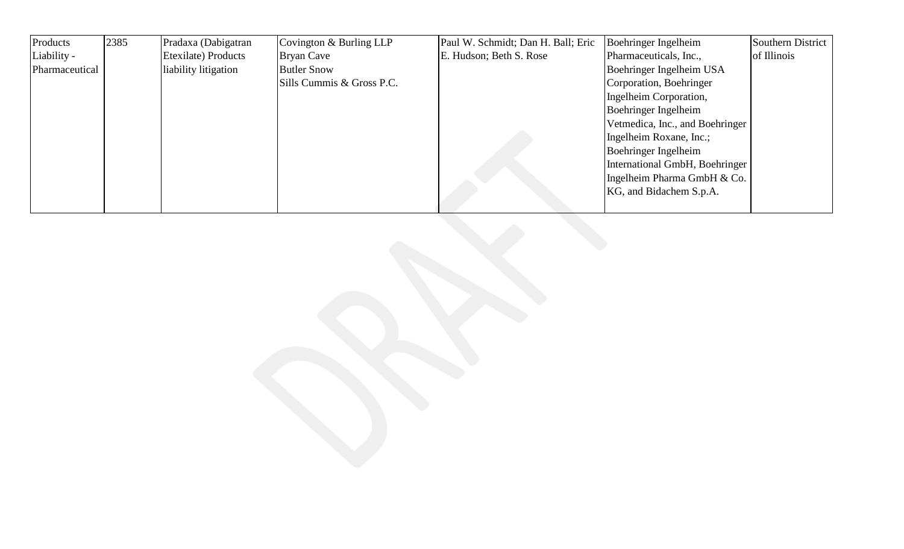| Products       | 2385 | Pradaxa (Dabigatran  | Covington & Burling LLP   | Paul W. Schmidt; Dan H. Ball; Eric | Boehringer Ingelheim            | <b>Southern District</b> |
|----------------|------|----------------------|---------------------------|------------------------------------|---------------------------------|--------------------------|
| Liability -    |      | Etexilate) Products  | Bryan Cave                | E. Hudson; Beth S. Rose            | Pharmaceuticals, Inc.,          | of Illinois              |
| Pharmaceutical |      | liability litigation | <b>Butler Snow</b>        |                                    | Boehringer Ingelheim USA        |                          |
|                |      |                      | Sills Cummis & Gross P.C. |                                    | Corporation, Boehringer         |                          |
|                |      |                      |                           |                                    | Ingelheim Corporation,          |                          |
|                |      |                      |                           |                                    | Boehringer Ingelheim            |                          |
|                |      |                      |                           |                                    | Vetmedica, Inc., and Boehringer |                          |
|                |      |                      |                           |                                    | Ingelheim Roxane, Inc.;         |                          |
|                |      |                      |                           |                                    | Boehringer Ingelheim            |                          |
|                |      |                      |                           |                                    | International GmbH, Boehringer  |                          |
|                |      |                      |                           |                                    | Ingelheim Pharma GmbH & Co.     |                          |
|                |      |                      |                           |                                    | KG, and Bidachem S.p.A.         |                          |
|                |      |                      |                           |                                    |                                 |                          |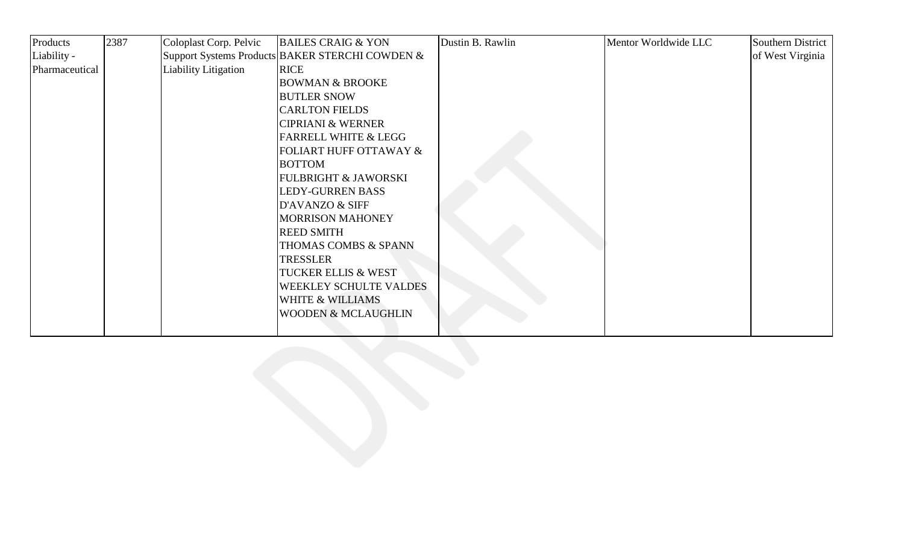| Products       | 2387 | Coloplast Corp. Pelvic | <b>BAILES CRAIG &amp; YON</b>                   | Dustin B. Rawlin | Mentor Worldwide LLC | <b>Southern District</b> |
|----------------|------|------------------------|-------------------------------------------------|------------------|----------------------|--------------------------|
| Liability -    |      |                        | Support Systems Products BAKER STERCHI COWDEN & |                  |                      | of West Virginia         |
| Pharmaceutical |      | Liability Litigation   | <b>RICE</b>                                     |                  |                      |                          |
|                |      |                        | <b>BOWMAN &amp; BROOKE</b>                      |                  |                      |                          |
|                |      |                        | <b>BUTLER SNOW</b>                              |                  |                      |                          |
|                |      |                        | <b>CARLTON FIELDS</b>                           |                  |                      |                          |
|                |      |                        | <b>CIPRIANI &amp; WERNER</b>                    |                  |                      |                          |
|                |      |                        | <b>FARRELL WHITE &amp; LEGG</b>                 |                  |                      |                          |
|                |      |                        | FOLIART HUFF OTTAWAY &                          |                  |                      |                          |
|                |      |                        | <b>BOTTOM</b>                                   |                  |                      |                          |
|                |      |                        | <b>FULBRIGHT &amp; JAWORSKI</b>                 |                  |                      |                          |
|                |      |                        | <b>LEDY-GURREN BASS</b>                         |                  |                      |                          |
|                |      |                        | D'AVANZO & SIFF                                 |                  |                      |                          |
|                |      |                        | MORRISON MAHONEY                                |                  |                      |                          |
|                |      |                        | <b>REED SMITH</b>                               |                  |                      |                          |
|                |      |                        | THOMAS COMBS & SPANN                            |                  |                      |                          |
|                |      |                        | <b>TRESSLER</b>                                 |                  |                      |                          |
|                |      |                        | <b>TUCKER ELLIS &amp; WEST</b>                  |                  |                      |                          |
|                |      |                        | <b>WEEKLEY SCHULTE VALDES</b>                   |                  |                      |                          |
|                |      |                        | <b>WHITE &amp; WILLIAMS</b>                     |                  |                      |                          |
|                |      |                        | <b>WOODEN &amp; MCLAUGHLIN</b>                  |                  |                      |                          |
|                |      |                        |                                                 |                  |                      |                          |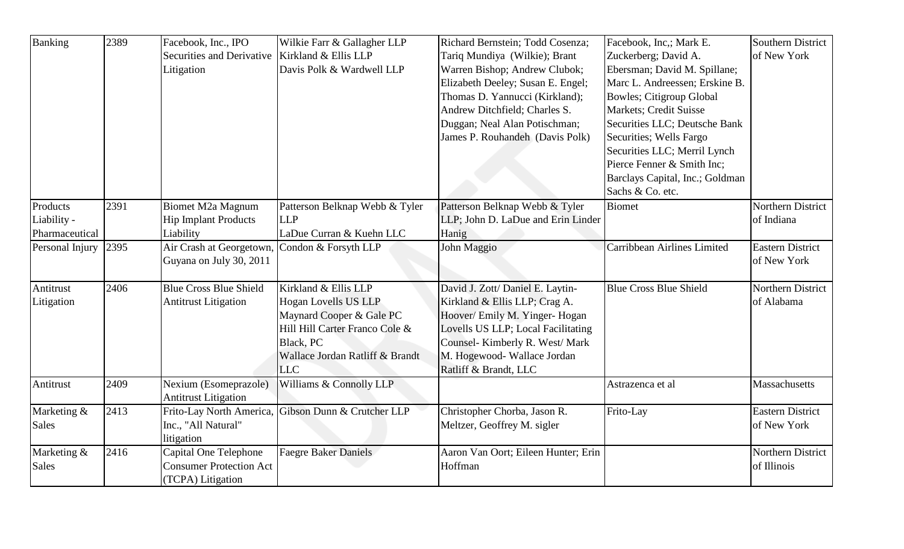| Banking                                   | 2389 | Facebook, Inc., IPO<br>Securities and Derivative<br>Litigation               | Wilkie Farr & Gallagher LLP<br>Kirkland & Ellis LLP<br>Davis Polk & Wardwell LLP                                                                                         | Richard Bernstein; Todd Cosenza;<br>Tariq Mundiya (Wilkie); Brant<br>Warren Bishop; Andrew Clubok;<br>Elizabeth Deeley; Susan E. Engel;<br>Thomas D. Yannucci (Kirkland);<br>Andrew Ditchfield; Charles S.<br>Duggan; Neal Alan Potischman;<br>James P. Rouhandeh (Davis Polk) | Facebook, Inc.; Mark E.<br>Zuckerberg; David A.<br>Ebersman; David M. Spillane;<br>Marc L. Andreessen; Erskine B.<br><b>Bowles</b> ; Citigroup Global<br><b>Markets</b> ; Credit Suisse<br>Securities LLC; Deutsche Bank<br>Securities; Wells Fargo<br>Securities LLC; Merril Lynch<br>Pierce Fenner & Smith Inc;<br>Barclays Capital, Inc.; Goldman<br>Sachs & Co. etc. | Southern District<br>of New York       |
|-------------------------------------------|------|------------------------------------------------------------------------------|--------------------------------------------------------------------------------------------------------------------------------------------------------------------------|--------------------------------------------------------------------------------------------------------------------------------------------------------------------------------------------------------------------------------------------------------------------------------|--------------------------------------------------------------------------------------------------------------------------------------------------------------------------------------------------------------------------------------------------------------------------------------------------------------------------------------------------------------------------|----------------------------------------|
| Products<br>Liability -<br>Pharmaceutical | 2391 | Biomet M2a Magnum<br><b>Hip Implant Products</b><br>Liability                | Patterson Belknap Webb & Tyler<br><b>LLP</b><br>LaDue Curran & Kuehn LLC                                                                                                 | Patterson Belknap Webb & Tyler<br>LLP; John D. LaDue and Erin Linder<br>Hanig                                                                                                                                                                                                  | <b>Biomet</b>                                                                                                                                                                                                                                                                                                                                                            | Northern District<br>of Indiana        |
| Personal Injury                           | 2395 | Air Crash at Georgetown,<br>Guyana on July 30, 2011                          | Condon & Forsyth LLP                                                                                                                                                     | John Maggio                                                                                                                                                                                                                                                                    | Carribbean Airlines Limited                                                                                                                                                                                                                                                                                                                                              | <b>Eastern District</b><br>of New York |
| Antitrust<br>Litigation                   | 2406 | <b>Blue Cross Blue Shield</b><br><b>Antitrust Litigation</b>                 | Kirkland & Ellis LLP<br>Hogan Lovells US LLP<br>Maynard Cooper & Gale PC<br>Hill Hill Carter Franco Cole &<br>Black, PC<br>Wallace Jordan Ratliff & Brandt<br><b>LLC</b> | David J. Zott/ Daniel E. Laytin-<br>Kirkland & Ellis LLP; Crag A.<br>Hoover/ Emily M. Yinger- Hogan<br>Lovells US LLP; Local Facilitating<br>Counsel-Kimberly R. West/Mark<br>M. Hogewood- Wallace Jordan<br>Ratliff & Brandt, LLC                                             | <b>Blue Cross Blue Shield</b>                                                                                                                                                                                                                                                                                                                                            | Northern District<br>of Alabama        |
| Antitrust                                 | 2409 | Nexium (Esomeprazole)<br><b>Antitrust Litigation</b>                         | Williams & Connolly LLP                                                                                                                                                  |                                                                                                                                                                                                                                                                                | Astrazenca et al                                                                                                                                                                                                                                                                                                                                                         | Massachusetts                          |
| Marketing &<br><b>Sales</b>               | 2413 | Frito-Lay North America,<br>Inc., "All Natural"<br>litigation                | Gibson Dunn & Crutcher LLP                                                                                                                                               | Christopher Chorba, Jason R.<br>Meltzer, Geoffrey M. sigler                                                                                                                                                                                                                    | Frito-Lay                                                                                                                                                                                                                                                                                                                                                                | <b>Eastern District</b><br>of New York |
| Marketing &<br><b>Sales</b>               | 2416 | Capital One Telephone<br><b>Consumer Protection Act</b><br>(TCPA) Litigation | <b>Faegre Baker Daniels</b>                                                                                                                                              | Aaron Van Oort; Eileen Hunter; Erin<br>Hoffman                                                                                                                                                                                                                                 |                                                                                                                                                                                                                                                                                                                                                                          | Northern District<br>of Illinois       |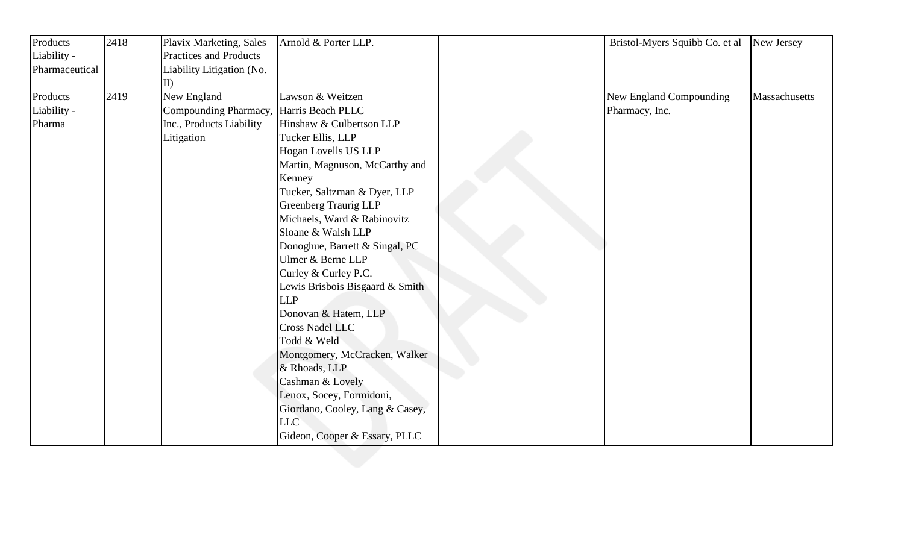| Products       | 2418 | Plavix Marketing, Sales       | Arnold & Porter LLP.            | Bristol-Myers Squibb Co. et al | New Jersey    |
|----------------|------|-------------------------------|---------------------------------|--------------------------------|---------------|
| Liability -    |      | <b>Practices and Products</b> |                                 |                                |               |
| Pharmaceutical |      | Liability Litigation (No.     |                                 |                                |               |
|                |      | $\vert$ II)                   |                                 |                                |               |
| Products       | 2419 | New England                   | Lawson & Weitzen                | New England Compounding        | Massachusetts |
| Liability -    |      | Compounding Pharmacy,         | Harris Beach PLLC               | Pharmacy, Inc.                 |               |
| Pharma         |      | Inc., Products Liability      | Hinshaw & Culbertson LLP        |                                |               |
|                |      | Litigation                    | Tucker Ellis, LLP               |                                |               |
|                |      |                               | Hogan Lovells US LLP            |                                |               |
|                |      |                               | Martin, Magnuson, McCarthy and  |                                |               |
|                |      |                               | Kenney                          |                                |               |
|                |      |                               | Tucker, Saltzman & Dyer, LLP    |                                |               |
|                |      |                               | <b>Greenberg Traurig LLP</b>    |                                |               |
|                |      |                               | Michaels, Ward & Rabinovitz     |                                |               |
|                |      |                               | Sloane & Walsh LLP              |                                |               |
|                |      |                               | Donoghue, Barrett & Singal, PC  |                                |               |
|                |      |                               | Ulmer & Berne LLP               |                                |               |
|                |      |                               | Curley & Curley P.C.            |                                |               |
|                |      |                               | Lewis Brisbois Bisgaard & Smith |                                |               |
|                |      |                               | <b>LLP</b>                      |                                |               |
|                |      |                               | Donovan & Hatem, LLP            |                                |               |
|                |      |                               | <b>Cross Nadel LLC</b>          |                                |               |
|                |      |                               | Todd & Weld                     |                                |               |
|                |      |                               | Montgomery, McCracken, Walker   |                                |               |
|                |      |                               | & Rhoads, LLP                   |                                |               |
|                |      |                               | Cashman & Lovely                |                                |               |
|                |      |                               | Lenox, Socey, Formidoni,        |                                |               |
|                |      |                               | Giordano, Cooley, Lang & Casey, |                                |               |
|                |      |                               | <b>LLC</b>                      |                                |               |
|                |      |                               | Gideon, Cooper & Essary, PLLC   |                                |               |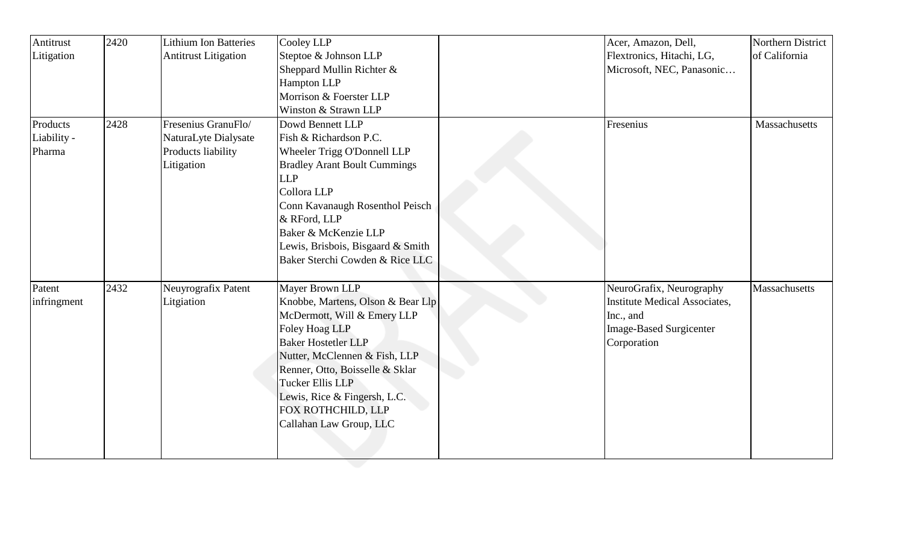| Antitrust   | 2420 | <b>Lithium Ion Batteries</b> | Cooley LLP                          | Acer, Amazon, Dell,            | Northern District |
|-------------|------|------------------------------|-------------------------------------|--------------------------------|-------------------|
| Litigation  |      | <b>Antitrust Litigation</b>  | Steptoe & Johnson LLP               | Flextronics, Hitachi, LG,      | of California     |
|             |      |                              | Sheppard Mullin Richter &           | Microsoft, NEC, Panasonic      |                   |
|             |      |                              | Hampton LLP                         |                                |                   |
|             |      |                              | Morrison & Foerster LLP             |                                |                   |
|             |      |                              | Winston & Strawn LLP                |                                |                   |
| Products    | 2428 | Fresenius GranuFlo/          | Dowd Bennett LLP                    | Fresenius                      | Massachusetts     |
| Liability - |      | NaturaLyte Dialysate         | Fish & Richardson P.C.              |                                |                   |
| Pharma      |      | Products liability           | Wheeler Trigg O'Donnell LLP         |                                |                   |
|             |      | Litigation                   | <b>Bradley Arant Boult Cummings</b> |                                |                   |
|             |      |                              | <b>LLP</b>                          |                                |                   |
|             |      |                              | Collora LLP                         |                                |                   |
|             |      |                              | Conn Kavanaugh Rosenthol Peisch     |                                |                   |
|             |      |                              | & RFord, LLP                        |                                |                   |
|             |      |                              | Baker & McKenzie LLP                |                                |                   |
|             |      |                              | Lewis, Brisbois, Bisgaard & Smith   |                                |                   |
|             |      |                              | Baker Sterchi Cowden & Rice LLC     |                                |                   |
|             |      |                              |                                     |                                |                   |
| Patent      | 2432 | Neuyrografix Patent          | Mayer Brown LLP                     | NeuroGrafix, Neurography       | Massachusetts     |
| infringment |      | Litgiation                   | Knobbe, Martens, Olson & Bear Llp   | Institute Medical Associates,  |                   |
|             |      |                              | McDermott, Will & Emery LLP         | Inc., and                      |                   |
|             |      |                              | <b>Foley Hoag LLP</b>               | <b>Image-Based Surgicenter</b> |                   |
|             |      |                              | <b>Baker Hostetler LLP</b>          | Corporation                    |                   |
|             |      |                              | Nutter, McClennen & Fish, LLP       |                                |                   |
|             |      |                              | Renner, Otto, Boisselle & Sklar     |                                |                   |
|             |      |                              | <b>Tucker Ellis LLP</b>             |                                |                   |
|             |      |                              | Lewis, Rice & Fingersh, L.C.        |                                |                   |
|             |      |                              | FOX ROTHCHILD, LLP                  |                                |                   |
|             |      |                              | Callahan Law Group, LLC             |                                |                   |
|             |      |                              |                                     |                                |                   |
|             |      |                              |                                     |                                |                   |

Ų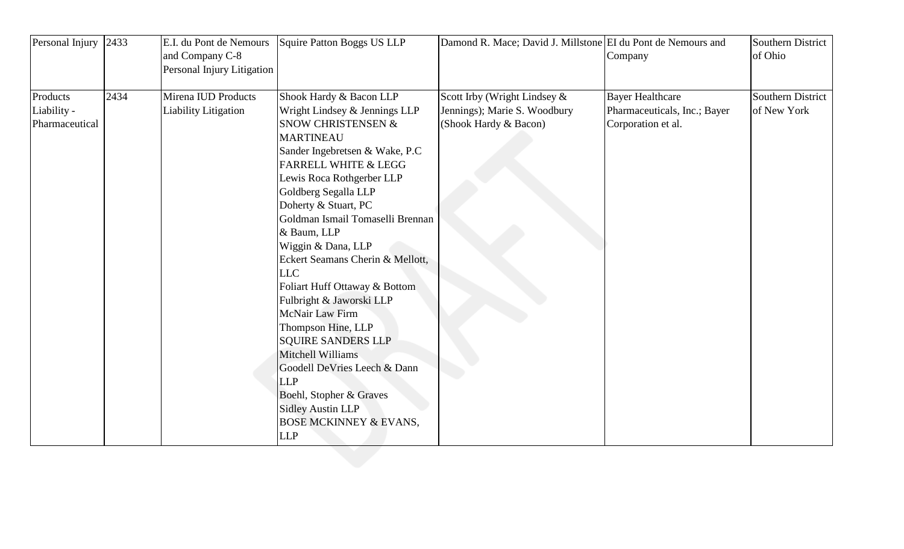| Personal Injury                           | 2433 | E.I. du Pont de Nemours<br>and Company C-8<br>Personal Injury Litigation | Squire Patton Boggs US LLP                                                                                                                                                                                                                                                                                                                                                                                                                                                                                                                                                                                                                                                                                 | Damond R. Mace; David J. Millstone EI du Pont de Nemours and                          | Company                                                                       | Southern District<br>of Ohio     |
|-------------------------------------------|------|--------------------------------------------------------------------------|------------------------------------------------------------------------------------------------------------------------------------------------------------------------------------------------------------------------------------------------------------------------------------------------------------------------------------------------------------------------------------------------------------------------------------------------------------------------------------------------------------------------------------------------------------------------------------------------------------------------------------------------------------------------------------------------------------|---------------------------------------------------------------------------------------|-------------------------------------------------------------------------------|----------------------------------|
| Products<br>Liability -<br>Pharmaceutical | 2434 | Mirena IUD Products<br><b>Liability Litigation</b>                       | Shook Hardy & Bacon LLP<br>Wright Lindsey & Jennings LLP<br><b>SNOW CHRISTENSEN &amp;</b><br><b>MARTINEAU</b><br>Sander Ingebretsen & Wake, P.C<br><b>FARRELL WHITE &amp; LEGG</b><br>Lewis Roca Rothgerber LLP<br>Goldberg Segalla LLP<br>Doherty & Stuart, PC<br>Goldman Ismail Tomaselli Brennan<br>& Baum, LLP<br>Wiggin & Dana, LLP<br>Eckert Seamans Cherin & Mellott,<br><b>LLC</b><br>Foliart Huff Ottaway & Bottom<br>Fulbright & Jaworski LLP<br>McNair Law Firm<br>Thompson Hine, LLP<br><b>SQUIRE SANDERS LLP</b><br>Mitchell Williams<br>Goodell DeVries Leech & Dann<br><b>LLP</b><br>Boehl, Stopher & Graves<br><b>Sidley Austin LLP</b><br><b>BOSE MCKINNEY &amp; EVANS,</b><br><b>LLP</b> | Scott Irby (Wright Lindsey &<br>Jennings); Marie S. Woodbury<br>(Shook Hardy & Bacon) | <b>Bayer Healthcare</b><br>Pharmaceuticals, Inc.; Bayer<br>Corporation et al. | Southern District<br>of New York |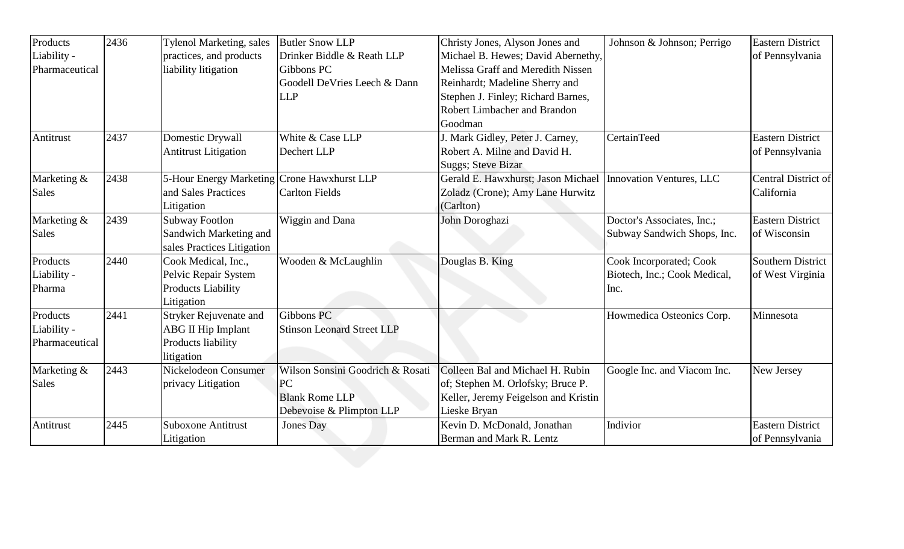| Products       | 2436 | Tylenol Marketing, sales                    | <b>Butler Snow LLP</b>            | Christy Jones, Alyson Jones and      | Johnson & Johnson; Perrigo   | <b>Eastern District</b> |
|----------------|------|---------------------------------------------|-----------------------------------|--------------------------------------|------------------------------|-------------------------|
| Liability -    |      | practices, and products                     | Drinker Biddle & Reath LLP        | Michael B. Hewes; David Abernethy,   |                              | of Pennsylvania         |
| Pharmaceutical |      | liability litigation                        | Gibbons PC                        | Melissa Graff and Meredith Nissen    |                              |                         |
|                |      |                                             | Goodell DeVries Leech & Dann      | Reinhardt; Madeline Sherry and       |                              |                         |
|                |      |                                             | <b>LLP</b>                        | Stephen J. Finley; Richard Barnes,   |                              |                         |
|                |      |                                             |                                   | Robert Limbacher and Brandon         |                              |                         |
|                |      |                                             |                                   | Goodman                              |                              |                         |
| Antitrust      | 2437 | Domestic Drywall                            | White & Case LLP                  | J. Mark Gidley, Peter J. Carney,     | <b>CertainTeed</b>           | <b>Eastern District</b> |
|                |      | <b>Antitrust Litigation</b>                 | Dechert LLP                       | Robert A. Milne and David H.         |                              | of Pennsylvania         |
|                |      |                                             |                                   | <b>Suggs</b> ; Steve Bizar           |                              |                         |
| Marketing &    | 2438 | 5-Hour Energy Marketing Crone Hawxhurst LLP |                                   | Gerald E. Hawxhurst; Jason Michael   | Innovation Ventures, LLC     | Central District of     |
| <b>Sales</b>   |      | and Sales Practices                         | <b>Carlton Fields</b>             | Zoladz (Crone); Amy Lane Hurwitz     |                              | California              |
|                |      | Litigation                                  |                                   | (Carlton)                            |                              |                         |
| Marketing &    | 2439 | <b>Subway Footlon</b>                       | Wiggin and Dana                   | John Doroghazi                       | Doctor's Associates, Inc.;   | <b>Eastern District</b> |
| <b>Sales</b>   |      | Sandwich Marketing and                      |                                   |                                      | Subway Sandwich Shops, Inc.  | of Wisconsin            |
|                |      | sales Practices Litigation                  |                                   |                                      |                              |                         |
| Products       | 2440 | Cook Medical, Inc.,                         | Wooden & McLaughlin               | Douglas B. King                      | Cook Incorporated; Cook      | Southern District       |
| Liability -    |      | Pelvic Repair System                        |                                   |                                      | Biotech, Inc.; Cook Medical, | of West Virginia        |
| Pharma         |      | <b>Products Liability</b>                   |                                   |                                      | Inc.                         |                         |
|                |      | Litigation                                  |                                   |                                      |                              |                         |
| Products       | 2441 | Stryker Rejuvenate and                      | Gibbons PC                        |                                      | Howmedica Osteonics Corp.    | Minnesota               |
| Liability -    |      | <b>ABG II Hip Implant</b>                   | <b>Stinson Leonard Street LLP</b> |                                      |                              |                         |
| Pharmaceutical |      | Products liability                          |                                   |                                      |                              |                         |
|                |      | litigation                                  |                                   |                                      |                              |                         |
| Marketing &    | 2443 | Nickelodeon Consumer                        | Wilson Sonsini Goodrich & Rosati  | Colleen Bal and Michael H. Rubin     | Google Inc. and Viacom Inc.  | New Jersey              |
| <b>Sales</b>   |      | privacy Litigation                          | PC                                | of; Stephen M. Orlofsky; Bruce P.    |                              |                         |
|                |      |                                             | <b>Blank Rome LLP</b>             | Keller, Jeremy Feigelson and Kristin |                              |                         |
|                |      |                                             | Debevoise & Plimpton LLP          | Lieske Bryan                         |                              |                         |
| Antitrust      | 2445 | <b>Suboxone Antitrust</b>                   | <b>Jones Day</b>                  | Kevin D. McDonald, Jonathan          | Indivior                     | <b>Eastern District</b> |
|                |      | Litigation                                  |                                   | Berman and Mark R. Lentz             |                              | of Pennsylvania         |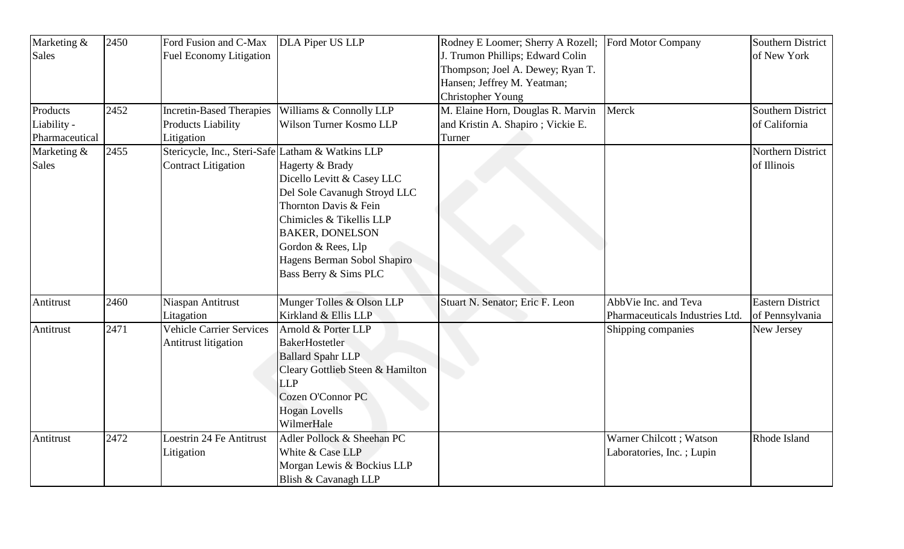| Marketing &    | 2450 | Ford Fusion and C-Max                             | DLA Piper US LLP                 | Rodney E Loomer; Sherry A Rozell; | Ford Motor Company              | <b>Southern District</b> |
|----------------|------|---------------------------------------------------|----------------------------------|-----------------------------------|---------------------------------|--------------------------|
| <b>Sales</b>   |      | <b>Fuel Economy Litigation</b>                    |                                  | J. Trumon Phillips; Edward Colin  |                                 | of New York              |
|                |      |                                                   |                                  | Thompson; Joel A. Dewey; Ryan T.  |                                 |                          |
|                |      |                                                   |                                  | Hansen; Jeffrey M. Yeatman;       |                                 |                          |
|                |      |                                                   |                                  | Christopher Young                 |                                 |                          |
| Products       | 2452 | <b>Incretin-Based Therapies</b>                   | Williams & Connolly LLP          | M. Elaine Horn, Douglas R. Marvin | Merck                           | <b>Southern District</b> |
| Liability -    |      | <b>Products Liability</b>                         | Wilson Turner Kosmo LLP          | and Kristin A. Shapiro; Vickie E. |                                 | of California            |
| Pharmaceutical |      | Litigation                                        |                                  | Turner                            |                                 |                          |
| Marketing &    | 2455 | Stericycle, Inc., Steri-Safe Latham & Watkins LLP |                                  |                                   |                                 | Northern District        |
| <b>Sales</b>   |      | <b>Contract Litigation</b>                        | Hagerty & Brady                  |                                   |                                 | of Illinois              |
|                |      |                                                   | Dicello Levitt & Casey LLC       |                                   |                                 |                          |
|                |      |                                                   | Del Sole Cavanugh Stroyd LLC     |                                   |                                 |                          |
|                |      |                                                   | Thornton Davis & Fein            |                                   |                                 |                          |
|                |      |                                                   | Chimicles & Tikellis LLP         |                                   |                                 |                          |
|                |      |                                                   | <b>BAKER, DONELSON</b>           |                                   |                                 |                          |
|                |      |                                                   | Gordon & Rees, Llp               |                                   |                                 |                          |
|                |      |                                                   | Hagens Berman Sobol Shapiro      |                                   |                                 |                          |
|                |      |                                                   | Bass Berry & Sims PLC            |                                   |                                 |                          |
|                |      |                                                   |                                  |                                   |                                 |                          |
| Antitrust      | 2460 | Niaspan Antitrust                                 | Munger Tolles & Olson LLP        | Stuart N. Senator; Eric F. Leon   | AbbVie Inc. and Teva            | <b>Eastern District</b>  |
|                |      | Litagation                                        | Kirkland & Ellis LLP             |                                   | Pharmaceuticals Industries Ltd. | of Pennsylvania          |
| Antitrust      | 2471 | <b>Vehicle Carrier Services</b>                   | Arnold & Porter LLP              |                                   | Shipping companies              | New Jersey               |
|                |      | <b>Antitrust litigation</b>                       | <b>BakerHostetler</b>            |                                   |                                 |                          |
|                |      |                                                   | <b>Ballard Spahr LLP</b>         |                                   |                                 |                          |
|                |      |                                                   | Cleary Gottlieb Steen & Hamilton |                                   |                                 |                          |
|                |      |                                                   | <b>LLP</b>                       |                                   |                                 |                          |
|                |      |                                                   | <b>Cozen O'Connor PC</b>         |                                   |                                 |                          |
|                |      |                                                   | <b>Hogan Lovells</b>             |                                   |                                 |                          |
|                |      |                                                   | WilmerHale                       |                                   |                                 |                          |
| Antitrust      | 2472 | <b>Loestrin 24 Fe Antitrust</b>                   | Adler Pollock & Sheehan PC       |                                   | Warner Chilcott; Watson         | Rhode Island             |
|                |      | Litigation                                        | White & Case LLP                 |                                   | Laboratories, Inc.; Lupin       |                          |
|                |      |                                                   | Morgan Lewis & Bockius LLP       |                                   |                                 |                          |
|                |      |                                                   | Blish & Cavanagh LLP             |                                   |                                 |                          |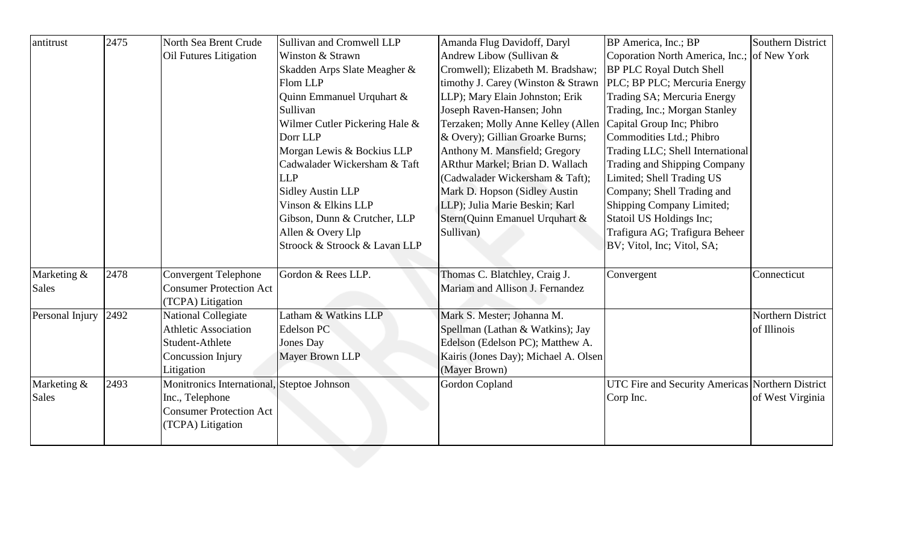| antitrust       | 2475 | North Sea Brent Crude                      | Sullivan and Cromwell LLP      | Amanda Flug Davidoff, Daryl          | BP America, Inc.; BP                             | <b>Southern District</b> |
|-----------------|------|--------------------------------------------|--------------------------------|--------------------------------------|--------------------------------------------------|--------------------------|
|                 |      | Oil Futures Litigation                     | Winston & Strawn               | Andrew Libow (Sullivan &             | Coporation North America, Inc.; of New York      |                          |
|                 |      |                                            | Skadden Arps Slate Meagher &   | Cromwell); Elizabeth M. Bradshaw;    | <b>BP PLC Royal Dutch Shell</b>                  |                          |
|                 |      |                                            | Flom LLP                       | timothy J. Carey (Winston & Strawn   | PLC; BP PLC; Mercuria Energy                     |                          |
|                 |      |                                            | Quinn Emmanuel Urquhart &      | LLP); Mary Elain Johnston; Erik      | Trading SA; Mercuria Energy                      |                          |
|                 |      |                                            | Sullivan                       | Joseph Raven-Hansen; John            | Trading, Inc.; Morgan Stanley                    |                          |
|                 |      |                                            | Wilmer Cutler Pickering Hale & | Terzaken; Molly Anne Kelley (Allen   | Capital Group Inc; Phibro                        |                          |
|                 |      |                                            | Dorr LLP                       | & Overy); Gillian Groarke Burns;     | Commodities Ltd.; Phibro                         |                          |
|                 |      |                                            | Morgan Lewis & Bockius LLP     | Anthony M. Mansfield; Gregory        | Trading LLC; Shell International                 |                          |
|                 |      |                                            | Cadwalader Wickersham & Taft   | ARthur Markel; Brian D. Wallach      | Trading and Shipping Company                     |                          |
|                 |      |                                            | <b>LLP</b>                     | (Cadwalader Wickersham & Taft);      | Limited; Shell Trading US                        |                          |
|                 |      |                                            | <b>Sidley Austin LLP</b>       | Mark D. Hopson (Sidley Austin        | Company; Shell Trading and                       |                          |
|                 |      |                                            | Vinson & Elkins LLP            | LLP); Julia Marie Beskin; Karl       | Shipping Company Limited;                        |                          |
|                 |      |                                            | Gibson, Dunn & Crutcher, LLP   | Stern(Quinn Emanuel Urquhart &       | Statoil US Holdings Inc;                         |                          |
|                 |      |                                            | Allen & Overy Llp              | Sullivan)                            | Trafigura AG; Trafigura Beheer                   |                          |
|                 |      |                                            | Stroock & Stroock & Lavan LLP  |                                      | BV; Vitol, Inc; Vitol, SA;                       |                          |
| Marketing &     | 2478 | Convergent Telephone                       | Gordon & Rees LLP.             | Thomas C. Blatchley, Craig J.        | Convergent                                       | Connecticut              |
| <b>Sales</b>    |      | <b>Consumer Protection Act</b>             |                                | Mariam and Allison J. Fernandez      |                                                  |                          |
|                 |      | (TCPA) Litigation                          |                                |                                      |                                                  |                          |
| Personal Injury | 2492 | National Collegiate                        | Latham & Watkins LLP           | Mark S. Mester; Johanna M.           |                                                  | Northern District        |
|                 |      | <b>Athletic Association</b>                | Edelson PC                     | Spellman (Lathan & Watkins); Jay     |                                                  | of Illinois              |
|                 |      | Student-Athlete                            | Jones Day                      | Edelson (Edelson PC); Matthew A.     |                                                  |                          |
|                 |      | Concussion Injury                          | Mayer Brown LLP                | Kairis (Jones Day); Michael A. Olsen |                                                  |                          |
|                 |      | Litigation                                 |                                | (Mayer Brown)                        |                                                  |                          |
| Marketing &     | 2493 | Monitronics International, Steptoe Johnson |                                | <b>Gordon Copland</b>                | UTC Fire and Security Americas Northern District |                          |
| Sales           |      | Inc., Telephone                            |                                |                                      | Corp Inc.                                        | of West Virginia         |
|                 |      | <b>Consumer Protection Act</b>             |                                |                                      |                                                  |                          |
|                 |      | (TCPA) Litigation                          |                                |                                      |                                                  |                          |
|                 |      |                                            |                                |                                      |                                                  |                          |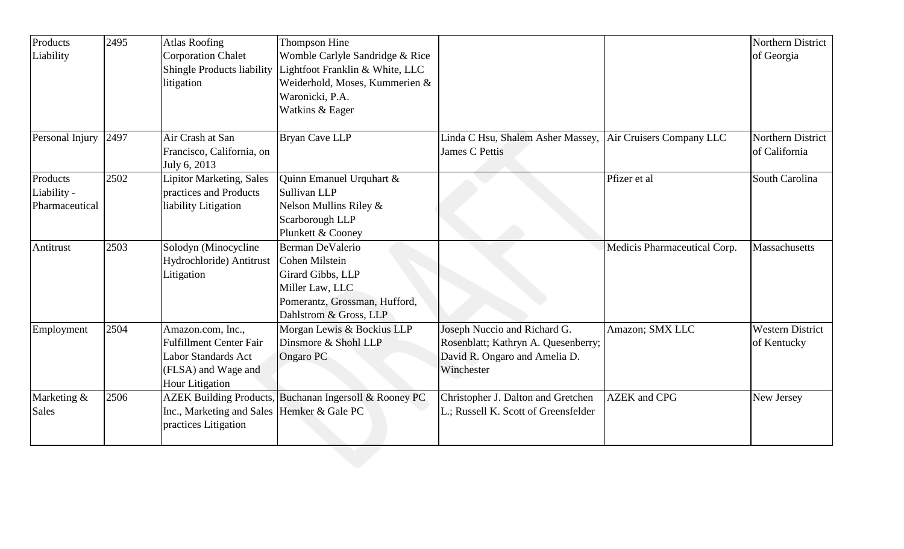| Products        | 2495 | <b>Atlas Roofing</b>                                                | Thompson Hine                   |                                                            |                              | Northern District       |
|-----------------|------|---------------------------------------------------------------------|---------------------------------|------------------------------------------------------------|------------------------------|-------------------------|
| Liability       |      | <b>Corporation Chalet</b>                                           | Womble Carlyle Sandridge & Rice |                                                            |                              | of Georgia              |
|                 |      | Shingle Products liability                                          | Lightfoot Franklin & White, LLC |                                                            |                              |                         |
|                 |      | litigation                                                          | Weiderhold, Moses, Kummerien &  |                                                            |                              |                         |
|                 |      |                                                                     | Waronicki, P.A.                 |                                                            |                              |                         |
|                 |      |                                                                     | Watkins & Eager                 |                                                            |                              |                         |
| Personal Injury | 2497 | Air Crash at San                                                    | <b>Bryan Cave LLP</b>           | Linda C Hsu, Shalem Asher Massey, Air Cruisers Company LLC |                              | Northern District       |
|                 |      | Francisco, California, on                                           |                                 | <b>James C Pettis</b>                                      |                              | of California           |
|                 |      | July 6, 2013                                                        |                                 |                                                            |                              |                         |
| Products        | 2502 | <b>Lipitor Marketing, Sales</b>                                     | Quinn Emanuel Urquhart &        |                                                            | Pfizer et al                 | South Carolina          |
| Liability -     |      | practices and Products                                              | Sullivan LLP                    |                                                            |                              |                         |
| Pharmaceutical  |      | liability Litigation                                                | Nelson Mullins Riley &          |                                                            |                              |                         |
|                 |      |                                                                     | Scarborough LLP                 |                                                            |                              |                         |
|                 |      |                                                                     | Plunkett & Cooney               |                                                            |                              |                         |
| Antitrust       | 2503 | Solodyn (Minocycline                                                | Berman DeValerio                |                                                            | Medicis Pharmaceutical Corp. | Massachusetts           |
|                 |      | Hydrochloride) Antitrust                                            | <b>Cohen Milstein</b>           |                                                            |                              |                         |
|                 |      | Litigation                                                          | Girard Gibbs, LLP               |                                                            |                              |                         |
|                 |      |                                                                     | Miller Law, LLC                 |                                                            |                              |                         |
|                 |      |                                                                     | Pomerantz, Grossman, Hufford,   |                                                            |                              |                         |
|                 |      |                                                                     | Dahlstrom & Gross, LLP          |                                                            |                              |                         |
| Employment      | 2504 | Amazon.com, Inc.,                                                   | Morgan Lewis & Bockius LLP      | Joseph Nuccio and Richard G.                               | Amazon; SMX LLC              | <b>Western District</b> |
|                 |      | <b>Fulfillment Center Fair</b>                                      | Dinsmore & Shohl LLP            | Rosenblatt; Kathryn A. Quesenberry;                        |                              | of Kentucky             |
|                 |      | <b>Labor Standards Act</b>                                          | Ongaro PC                       | David R. Ongaro and Amelia D.                              |                              |                         |
|                 |      | (FLSA) and Wage and                                                 |                                 | Winchester                                                 |                              |                         |
|                 |      | <b>Hour Litigation</b>                                              |                                 |                                                            |                              |                         |
| Marketing &     | 2506 | <b>AZEK Building Products,</b>                                      | Buchanan Ingersoll & Rooney PC  | Christopher J. Dalton and Gretchen                         | <b>AZEK</b> and CPG          | New Jersey              |
| <b>Sales</b>    |      | Inc., Marketing and Sales  Hemker & Gale PC<br>practices Litigation |                                 | L.; Russell K. Scott of Greensfelder                       |                              |                         |
|                 |      |                                                                     |                                 |                                                            |                              |                         |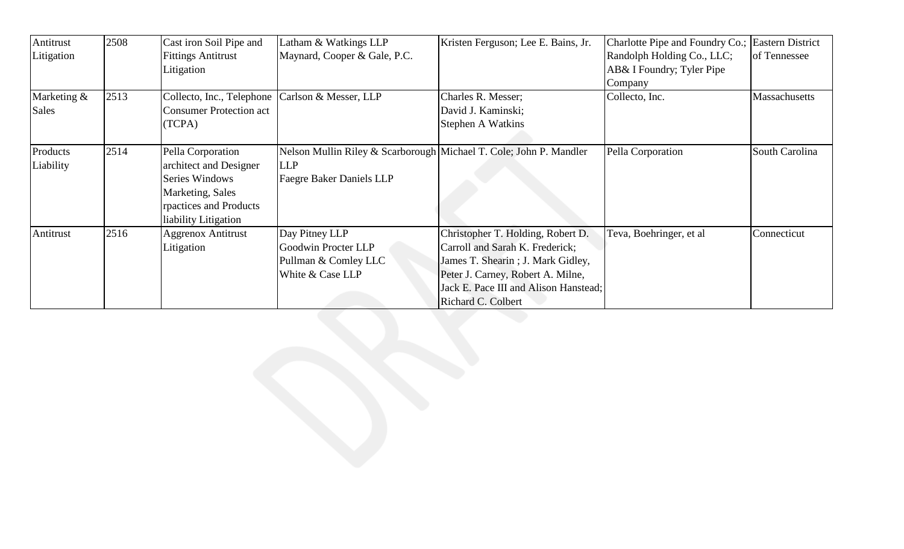| Antitrust<br>Litigation     | 2508 | Cast iron Soil Pipe and<br><b>Fittings Antitrust</b>                                                                                | Latham & Watkings LLP<br>Maynard, Cooper & Gale, P.C.                                                               | Kristen Ferguson; Lee E. Bains, Jr.                                                                                                                                                                           | Charlotte Pipe and Foundry Co.; Eastern District<br>Randolph Holding Co., LLC; | of Tennessee   |
|-----------------------------|------|-------------------------------------------------------------------------------------------------------------------------------------|---------------------------------------------------------------------------------------------------------------------|---------------------------------------------------------------------------------------------------------------------------------------------------------------------------------------------------------------|--------------------------------------------------------------------------------|----------------|
|                             |      | Litigation                                                                                                                          |                                                                                                                     |                                                                                                                                                                                                               | AB& I Foundry; Tyler Pipe<br>Company                                           |                |
| Marketing &<br><b>Sales</b> | 2513 | Collecto, Inc., Telephone   Carlson & Messer, LLP<br><b>Consumer Protection act</b><br>(TCPA)                                       |                                                                                                                     | Charles R. Messer;<br>David J. Kaminski;<br>Stephen A Watkins                                                                                                                                                 | Collecto, Inc.                                                                 | Massachusetts  |
| Products<br>Liability       | 2514 | Pella Corporation<br>architect and Designer<br>Series Windows<br>Marketing, Sales<br>rpactices and Products<br>liability Litigation | Nelson Mullin Riley & Scarborough Michael T. Cole; John P. Mandler<br><b>LLP</b><br><b>Faegre Baker Daniels LLP</b> |                                                                                                                                                                                                               | Pella Corporation                                                              | South Carolina |
| Antitrust                   | 2516 | <b>Aggrenox Antitrust</b><br>Litigation                                                                                             | Day Pitney LLP<br>Goodwin Procter LLP<br>Pullman & Comley LLC<br>White & Case LLP                                   | Christopher T. Holding, Robert D.<br>Carroll and Sarah K. Frederick;<br>James T. Shearin; J. Mark Gidley,<br>Peter J. Carney, Robert A. Milne,<br>Jack E. Pace III and Alison Hanstead;<br>Richard C. Colbert | Teva, Boehringer, et al                                                        | Connecticut    |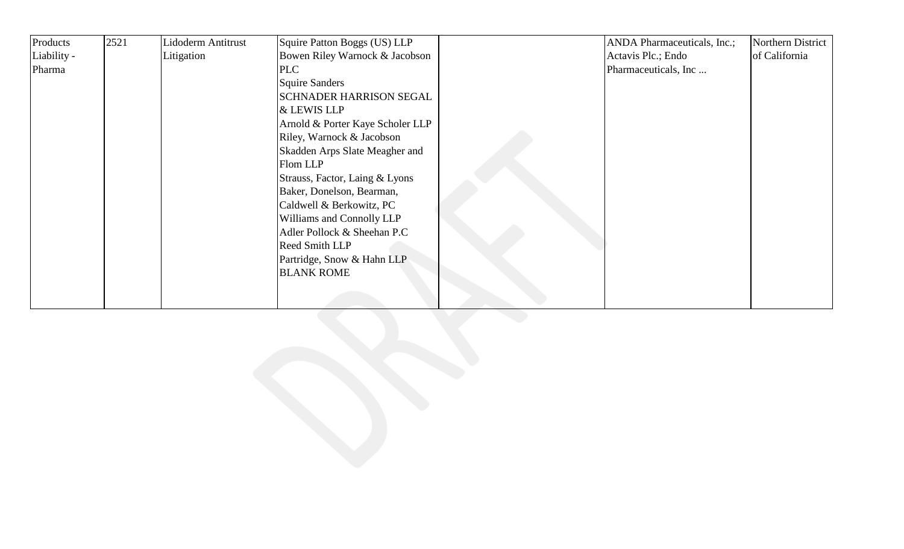| Products    | 2521 | Lidoderm Antitrust | Squire Patton Boggs (US) LLP     | ANDA Pharmaceuticals, Inc.; | Northern District |
|-------------|------|--------------------|----------------------------------|-----------------------------|-------------------|
| Liability - |      | Litigation         | Bowen Riley Warnock & Jacobson   | Actavis Plc.; Endo          | of California     |
| Pharma      |      |                    | <b>PLC</b>                       | Pharmaceuticals, Inc        |                   |
|             |      |                    | <b>Squire Sanders</b>            |                             |                   |
|             |      |                    | <b>SCHNADER HARRISON SEGAL</b>   |                             |                   |
|             |      |                    | & LEWIS LLP                      |                             |                   |
|             |      |                    | Arnold & Porter Kaye Scholer LLP |                             |                   |
|             |      |                    | Riley, Warnock & Jacobson        |                             |                   |
|             |      |                    | Skadden Arps Slate Meagher and   |                             |                   |
|             |      |                    | Flom LLP                         |                             |                   |
|             |      |                    | Strauss, Factor, Laing & Lyons   |                             |                   |
|             |      |                    | Baker, Donelson, Bearman,        |                             |                   |
|             |      |                    | Caldwell & Berkowitz, PC         |                             |                   |
|             |      |                    | Williams and Connolly LLP        |                             |                   |
|             |      |                    | Adler Pollock & Sheehan P.C      |                             |                   |
|             |      |                    | Reed Smith LLP                   |                             |                   |
|             |      |                    | Partridge, Snow & Hahn LLP       |                             |                   |
|             |      |                    | <b>BLANK ROME</b>                |                             |                   |
|             |      |                    |                                  |                             |                   |
|             |      |                    |                                  |                             |                   |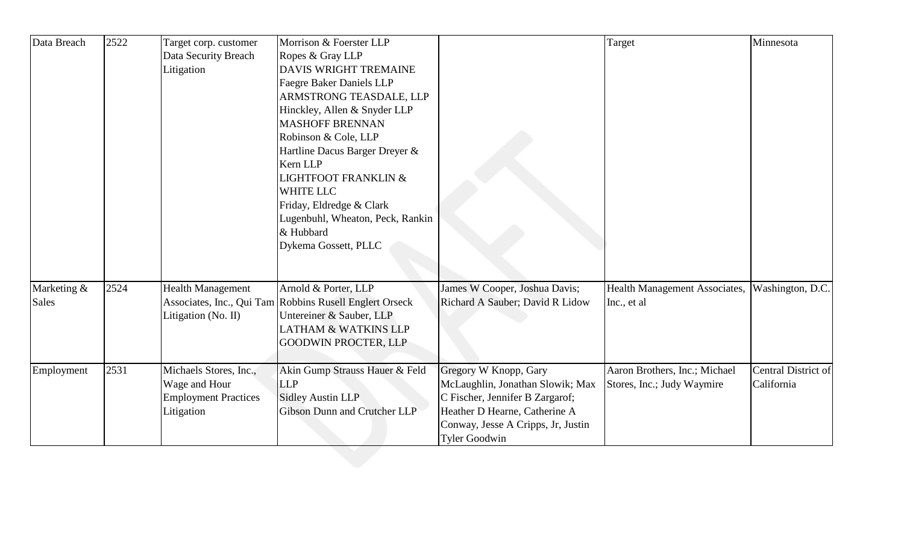| Data Breach  | 2522 | Target corp. customer       | Morrison & Foerster LLP                                 |                                    | Target                        | Minnesota           |
|--------------|------|-----------------------------|---------------------------------------------------------|------------------------------------|-------------------------------|---------------------|
|              |      | Data Security Breach        | Ropes & Gray LLP                                        |                                    |                               |                     |
|              |      | Litigation                  | <b>DAVIS WRIGHT TREMAINE</b>                            |                                    |                               |                     |
|              |      |                             | <b>Faegre Baker Daniels LLP</b>                         |                                    |                               |                     |
|              |      |                             | ARMSTRONG TEASDALE, LLP                                 |                                    |                               |                     |
|              |      |                             | Hinckley, Allen & Snyder LLP                            |                                    |                               |                     |
|              |      |                             | <b>MASHOFF BRENNAN</b>                                  |                                    |                               |                     |
|              |      |                             | Robinson & Cole, LLP                                    |                                    |                               |                     |
|              |      |                             | Hartline Dacus Barger Dreyer &                          |                                    |                               |                     |
|              |      |                             | Kern LLP                                                |                                    |                               |                     |
|              |      |                             | <b>LIGHTFOOT FRANKLIN &amp;</b>                         |                                    |                               |                     |
|              |      |                             | <b>WHITE LLC</b>                                        |                                    |                               |                     |
|              |      |                             | Friday, Eldredge & Clark                                |                                    |                               |                     |
|              |      |                             | Lugenbuhl, Wheaton, Peck, Rankin                        |                                    |                               |                     |
|              |      |                             | & Hubbard                                               |                                    |                               |                     |
|              |      |                             | Dykema Gossett, PLLC                                    |                                    |                               |                     |
|              |      |                             |                                                         |                                    |                               |                     |
| Marketing &  | 2524 | <b>Health Management</b>    | Arnold & Porter, LLP                                    | James W Cooper, Joshua Davis;      | Health Management Associates, | Washington, D.C.    |
| <b>Sales</b> |      |                             | Associates, Inc., Qui Tam Robbins Rusell Englert Orseck | Richard A Sauber; David R Lidow    | Inc., et al.                  |                     |
|              |      | Litigation (No. II)         | Untereiner & Sauber, LLP                                |                                    |                               |                     |
|              |      |                             | <b>LATHAM &amp; WATKINS LLP</b>                         |                                    |                               |                     |
|              |      |                             | <b>GOODWIN PROCTER, LLP</b>                             |                                    |                               |                     |
| Employment   | 2531 | Michaels Stores, Inc.,      | Akin Gump Strauss Hauer & Feld                          | Gregory W Knopp, Gary              | Aaron Brothers, Inc.; Michael | Central District of |
|              |      | Wage and Hour               | <b>LLP</b>                                              | McLaughlin, Jonathan Slowik; Max   | Stores, Inc.; Judy Waymire    | California          |
|              |      | <b>Employment Practices</b> | <b>Sidley Austin LLP</b>                                | C Fischer, Jennifer B Zargarof;    |                               |                     |
|              |      | Litigation                  | Gibson Dunn and Crutcher LLP                            | Heather D Hearne, Catherine A      |                               |                     |
|              |      |                             |                                                         | Conway, Jesse A Cripps, Jr, Justin |                               |                     |
|              |      |                             |                                                         | <b>Tyler Goodwin</b>               |                               |                     |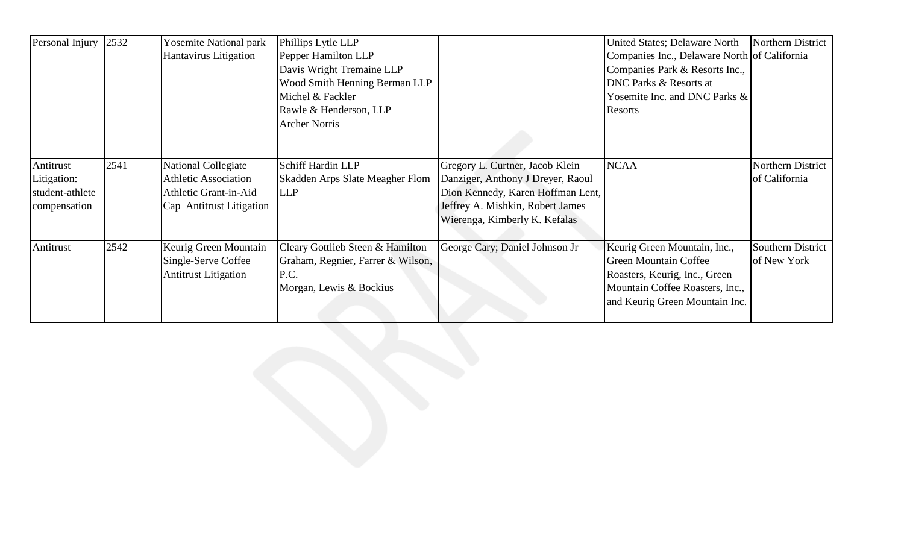| Personal Injury                                             | 2532 | <b>Yosemite National park</b><br>Hantavirus Litigation                                                         | Phillips Lytle LLP<br>Pepper Hamilton LLP<br>Davis Wright Tremaine LLP<br>Wood Smith Henning Berman LLP<br>Michel & Fackler |                                                                                                                                                                                | United States; Delaware North<br>Companies Inc., Delaware North of California<br>Companies Park & Resorts Inc.,<br><b>DNC Parks &amp; Resorts at</b><br>Yosemite Inc. and DNC Parks & | Northern District                  |
|-------------------------------------------------------------|------|----------------------------------------------------------------------------------------------------------------|-----------------------------------------------------------------------------------------------------------------------------|--------------------------------------------------------------------------------------------------------------------------------------------------------------------------------|---------------------------------------------------------------------------------------------------------------------------------------------------------------------------------------|------------------------------------|
|                                                             |      |                                                                                                                | Rawle & Henderson, LLP<br><b>Archer Norris</b>                                                                              |                                                                                                                                                                                | Resorts                                                                                                                                                                               |                                    |
| Antitrust<br>Litigation:<br>student-athlete<br>compensation | 2541 | <b>National Collegiate</b><br><b>Athletic Association</b><br>Athletic Grant-in-Aid<br>Cap Antitrust Litigation | Schiff Hardin LLP<br>Skadden Arps Slate Meagher Flom<br><b>LLP</b>                                                          | Gregory L. Curtner, Jacob Klein<br>Danziger, Anthony J Dreyer, Raoul<br>Dion Kennedy, Karen Hoffman Lent,<br>Jeffrey A. Mishkin, Robert James<br>Wierenga, Kimberly K. Kefalas | <b>NCAA</b>                                                                                                                                                                           | Northern District<br>of California |
| Antitrust                                                   | 2542 | Keurig Green Mountain<br>Single-Serve Coffee<br><b>Antitrust Litigation</b>                                    | Cleary Gottlieb Steen & Hamilton<br>Graham, Regnier, Farrer & Wilson,<br>P.C.<br>Morgan, Lewis & Bockius                    | George Cary; Daniel Johnson Jr                                                                                                                                                 | Keurig Green Mountain, Inc.,<br><b>Green Mountain Coffee</b><br>Roasters, Keurig, Inc., Green<br>Mountain Coffee Roasters, Inc.,<br>and Keurig Green Mountain Inc.                    | Southern District<br>of New York   |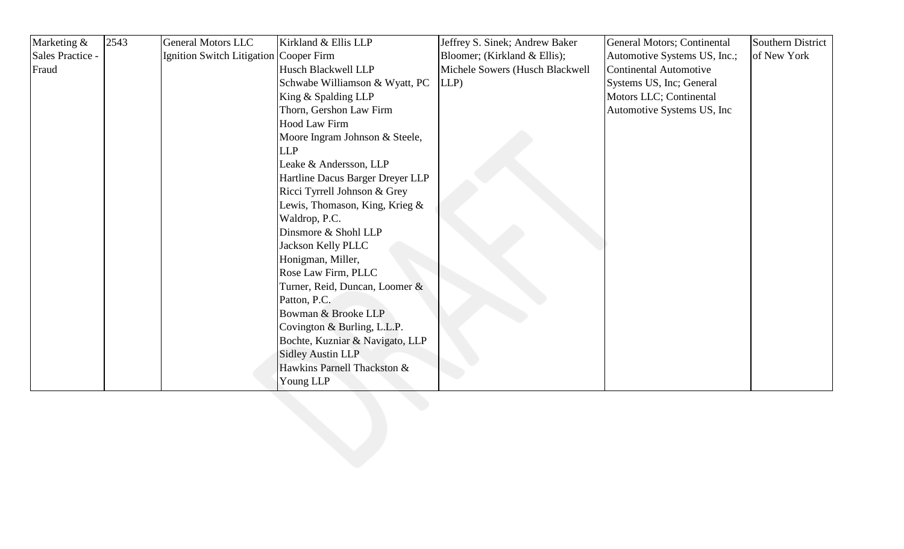| Marketing &      | 2543 | <b>General Motors LLC</b>              | Kirkland & Ellis LLP             | Jeffrey S. Sinek; Andrew Baker  | General Motors; Continental  | Southern District |
|------------------|------|----------------------------------------|----------------------------------|---------------------------------|------------------------------|-------------------|
| Sales Practice - |      | Ignition Switch Litigation Cooper Firm |                                  | Bloomer; (Kirkland & Ellis);    | Automotive Systems US, Inc.; | of New York       |
| Fraud            |      |                                        | Husch Blackwell LLP              | Michele Sowers (Husch Blackwell | Continental Automotive       |                   |
|                  |      |                                        | Schwabe Williamson & Wyatt, PC   | LLP                             | Systems US, Inc; General     |                   |
|                  |      |                                        | King & Spalding LLP              |                                 | Motors LLC; Continental      |                   |
|                  |      |                                        | Thorn, Gershon Law Firm          |                                 | Automotive Systems US, Inc   |                   |
|                  |      |                                        | Hood Law Firm                    |                                 |                              |                   |
|                  |      |                                        | Moore Ingram Johnson & Steele,   |                                 |                              |                   |
|                  |      |                                        | <b>LLP</b>                       |                                 |                              |                   |
|                  |      |                                        | Leake & Andersson, LLP           |                                 |                              |                   |
|                  |      |                                        | Hartline Dacus Barger Dreyer LLP |                                 |                              |                   |
|                  |      |                                        | Ricci Tyrrell Johnson & Grey     |                                 |                              |                   |
|                  |      |                                        | Lewis, Thomason, King, Krieg &   |                                 |                              |                   |
|                  |      |                                        | Waldrop, P.C.                    |                                 |                              |                   |
|                  |      |                                        | Dinsmore & Shohl LLP             |                                 |                              |                   |
|                  |      |                                        | <b>Jackson Kelly PLLC</b>        |                                 |                              |                   |
|                  |      |                                        | Honigman, Miller,                |                                 |                              |                   |
|                  |      |                                        | Rose Law Firm, PLLC              |                                 |                              |                   |
|                  |      |                                        | Turner, Reid, Duncan, Loomer &   |                                 |                              |                   |
|                  |      |                                        | Patton, P.C.                     |                                 |                              |                   |
|                  |      |                                        | Bowman & Brooke LLP              |                                 |                              |                   |
|                  |      |                                        | Covington & Burling, L.L.P.      |                                 |                              |                   |
|                  |      |                                        | Bochte, Kuzniar & Navigato, LLP  |                                 |                              |                   |
|                  |      |                                        | <b>Sidley Austin LLP</b>         |                                 |                              |                   |
|                  |      |                                        | Hawkins Parnell Thackston &      |                                 |                              |                   |
|                  |      |                                        | Young LLP                        |                                 |                              |                   |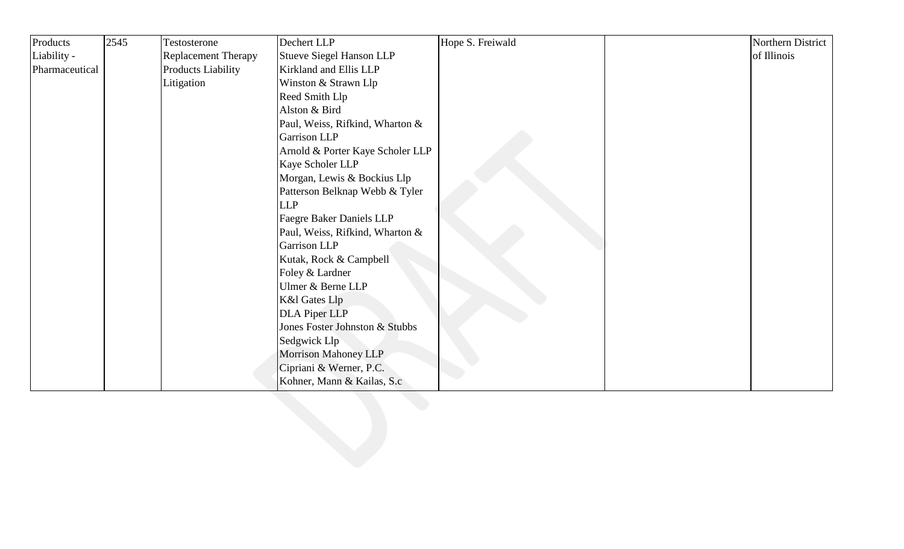| Products       | 2545 | Testosterone               | Dechert LLP                      | Hope S. Freiwald | Northern District |
|----------------|------|----------------------------|----------------------------------|------------------|-------------------|
| Liability -    |      | <b>Replacement Therapy</b> | <b>Stueve Siegel Hanson LLP</b>  |                  | of Illinois       |
| Pharmaceutical |      | Products Liability         | Kirkland and Ellis LLP           |                  |                   |
|                |      | Litigation                 | Winston & Strawn Llp             |                  |                   |
|                |      |                            | Reed Smith Llp                   |                  |                   |
|                |      |                            | Alston & Bird                    |                  |                   |
|                |      |                            | Paul, Weiss, Rifkind, Wharton &  |                  |                   |
|                |      |                            | Garrison LLP                     |                  |                   |
|                |      |                            | Arnold & Porter Kaye Scholer LLP |                  |                   |
|                |      |                            | Kaye Scholer LLP                 |                  |                   |
|                |      |                            | Morgan, Lewis & Bockius Llp      |                  |                   |
|                |      |                            | Patterson Belknap Webb & Tyler   |                  |                   |
|                |      |                            | <b>LLP</b>                       |                  |                   |
|                |      |                            | Faegre Baker Daniels LLP         |                  |                   |
|                |      |                            | Paul, Weiss, Rifkind, Wharton &  |                  |                   |
|                |      |                            | Garrison LLP                     |                  |                   |
|                |      |                            | Kutak, Rock & Campbell           |                  |                   |
|                |      |                            | Foley & Lardner                  |                  |                   |
|                |      |                            | Ulmer & Berne LLP                |                  |                   |
|                |      |                            | <b>K&amp;l Gates Llp</b>         |                  |                   |
|                |      |                            | <b>DLA Piper LLP</b>             |                  |                   |
|                |      |                            | Jones Foster Johnston & Stubbs   |                  |                   |
|                |      |                            | Sedgwick Llp                     |                  |                   |
|                |      |                            | Morrison Mahoney LLP             |                  |                   |
|                |      |                            | Cipriani & Werner, P.C.          |                  |                   |
|                |      |                            | Kohner, Mann & Kailas, S.c       |                  |                   |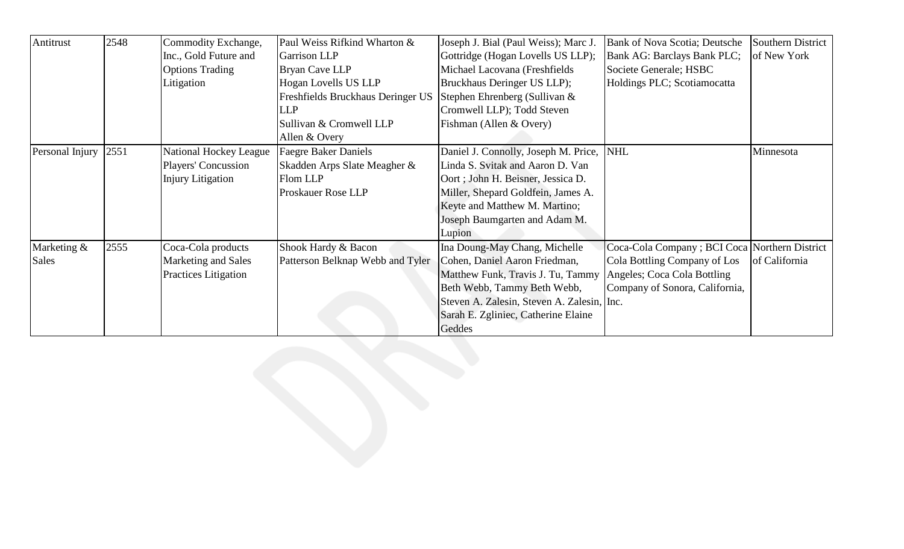| Antitrust       | 2548 | Commodity Exchange,      | Paul Weiss Rifkind Wharton &      | Joseph J. Bial (Paul Weiss); Marc J.       | Bank of Nova Scotia; Deutsche                  | Southern District |
|-----------------|------|--------------------------|-----------------------------------|--------------------------------------------|------------------------------------------------|-------------------|
|                 |      | Inc., Gold Future and    | Garrison LLP                      | Gottridge (Hogan Lovells US LLP);          | Bank AG: Barclays Bank PLC;                    | of New York       |
|                 |      | <b>Options Trading</b>   | Bryan Cave LLP                    | Michael Lacovana (Freshfields              | Societe Generale; HSBC                         |                   |
|                 |      | Litigation               | Hogan Lovells US LLP              | Bruckhaus Deringer US LLP);                | Holdings PLC; Scotiamocatta                    |                   |
|                 |      |                          | Freshfields Bruckhaus Deringer US | Stephen Ehrenberg (Sullivan &              |                                                |                   |
|                 |      |                          | <b>LLP</b>                        | Cromwell LLP); Todd Steven                 |                                                |                   |
|                 |      |                          | Sullivan & Cromwell LLP           | Fishman (Allen & Overy)                    |                                                |                   |
|                 |      |                          | Allen & Overy                     |                                            |                                                |                   |
| Personal Injury | 2551 | National Hockey League   | <b>Faegre Baker Daniels</b>       | Daniel J. Connolly, Joseph M. Price,  NHL  |                                                | Minnesota         |
|                 |      | Players' Concussion      | Skadden Arps Slate Meagher &      | Linda S. Svitak and Aaron D. Van           |                                                |                   |
|                 |      | <b>Injury Litigation</b> | Flom LLP                          | Oort; John H. Beisner, Jessica D.          |                                                |                   |
|                 |      |                          | <b>Proskauer Rose LLP</b>         | Miller, Shepard Goldfein, James A.         |                                                |                   |
|                 |      |                          |                                   | Keyte and Matthew M. Martino;              |                                                |                   |
|                 |      |                          |                                   | Joseph Baumgarten and Adam M.              |                                                |                   |
|                 |      |                          |                                   | Lupion                                     |                                                |                   |
| Marketing &     | 2555 | Coca-Cola products       | Shook Hardy & Bacon               | Ina Doung-May Chang, Michelle              | Coca-Cola Company ; BCI Coca Northern District |                   |
| Sales           |      | Marketing and Sales      | Patterson Belknap Webb and Tyler  | Cohen, Daniel Aaron Friedman,              | Cola Bottling Company of Los                   | of California     |
|                 |      | Practices Litigation     |                                   | Matthew Funk, Travis J. Tu, Tammy          | Angeles; Coca Cola Bottling                    |                   |
|                 |      |                          |                                   | Beth Webb, Tammy Beth Webb,                | Company of Sonora, California,                 |                   |
|                 |      |                          |                                   | Steven A. Zalesin, Steven A. Zalesin, Inc. |                                                |                   |
|                 |      |                          |                                   | Sarah E. Zgliniec, Catherine Elaine        |                                                |                   |
|                 |      |                          |                                   | Geddes                                     |                                                |                   |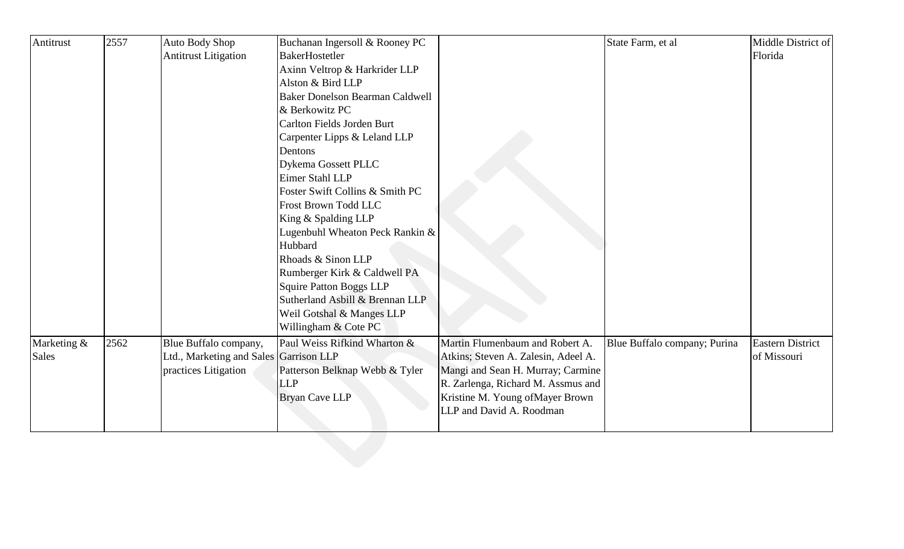| Antitrust    | 2557 | Auto Body Shop                         | Buchanan Ingersoll & Rooney PC         |                                     | State Farm, et al            | Middle District of      |
|--------------|------|----------------------------------------|----------------------------------------|-------------------------------------|------------------------------|-------------------------|
|              |      | <b>Antitrust Litigation</b>            | <b>BakerHostetler</b>                  |                                     |                              | Florida                 |
|              |      |                                        | Axinn Veltrop & Harkrider LLP          |                                     |                              |                         |
|              |      |                                        | Alston & Bird LLP                      |                                     |                              |                         |
|              |      |                                        | <b>Baker Donelson Bearman Caldwell</b> |                                     |                              |                         |
|              |      |                                        | & Berkowitz PC                         |                                     |                              |                         |
|              |      |                                        | Carlton Fields Jorden Burt             |                                     |                              |                         |
|              |      |                                        | Carpenter Lipps & Leland LLP           |                                     |                              |                         |
|              |      |                                        | Dentons                                |                                     |                              |                         |
|              |      |                                        | Dykema Gossett PLLC                    |                                     |                              |                         |
|              |      |                                        | Eimer Stahl LLP                        |                                     |                              |                         |
|              |      |                                        | Foster Swift Collins & Smith PC        |                                     |                              |                         |
|              |      |                                        | Frost Brown Todd LLC                   |                                     |                              |                         |
|              |      |                                        | King & Spalding LLP                    |                                     |                              |                         |
|              |      |                                        | Lugenbuhl Wheaton Peck Rankin &        |                                     |                              |                         |
|              |      |                                        | Hubbard                                |                                     |                              |                         |
|              |      |                                        | Rhoads & Sinon LLP                     |                                     |                              |                         |
|              |      |                                        | Rumberger Kirk & Caldwell PA           |                                     |                              |                         |
|              |      |                                        | <b>Squire Patton Boggs LLP</b>         |                                     |                              |                         |
|              |      |                                        | Sutherland Asbill & Brennan LLP        |                                     |                              |                         |
|              |      |                                        | Weil Gotshal & Manges LLP              |                                     |                              |                         |
|              |      |                                        | Willingham & Cote PC                   |                                     |                              |                         |
| Marketing &  | 2562 | Blue Buffalo company,                  | Paul Weiss Rifkind Wharton &           | Martin Flumenbaum and Robert A.     | Blue Buffalo company; Purina | <b>Eastern District</b> |
| <b>Sales</b> |      | Ltd., Marketing and Sales Garrison LLP |                                        | Atkins; Steven A. Zalesin, Adeel A. |                              | of Missouri             |
|              |      | practices Litigation                   | Patterson Belknap Webb & Tyler         | Mangi and Sean H. Murray; Carmine   |                              |                         |
|              |      |                                        | <b>LLP</b>                             | R. Zarlenga, Richard M. Assmus and  |                              |                         |
|              |      |                                        | <b>Bryan Cave LLP</b>                  | Kristine M. Young of Mayer Brown    |                              |                         |
|              |      |                                        |                                        | LLP and David A. Roodman            |                              |                         |
|              |      |                                        |                                        |                                     |                              |                         |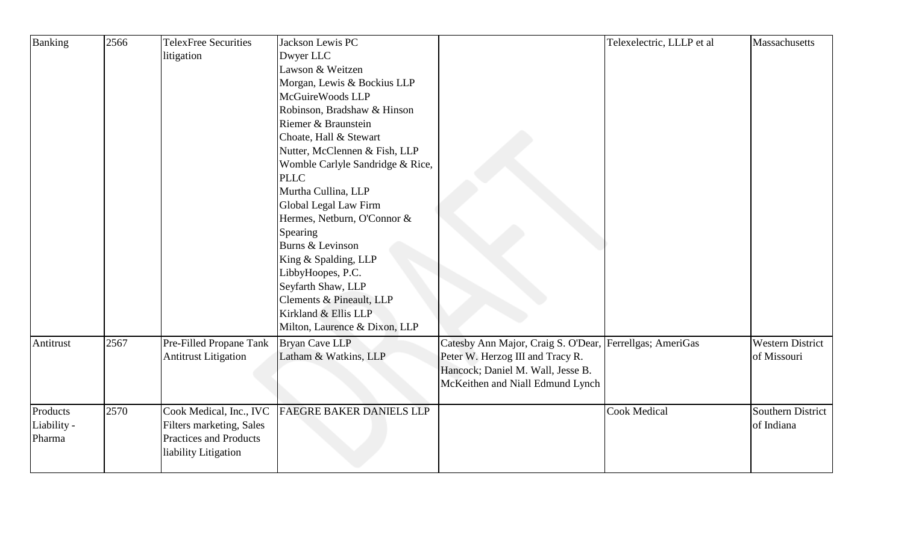| Banking     | 2566 | <b>TelexFree Securities</b>   | Jackson Lewis PC                 |                                                          | Telexelectric, LLLP et al | Massachusetts           |
|-------------|------|-------------------------------|----------------------------------|----------------------------------------------------------|---------------------------|-------------------------|
|             |      | litigation                    | Dwyer LLC                        |                                                          |                           |                         |
|             |      |                               | Lawson & Weitzen                 |                                                          |                           |                         |
|             |      |                               | Morgan, Lewis & Bockius LLP      |                                                          |                           |                         |
|             |      |                               | McGuireWoods LLP                 |                                                          |                           |                         |
|             |      |                               | Robinson, Bradshaw & Hinson      |                                                          |                           |                         |
|             |      |                               | Riemer & Braunstein              |                                                          |                           |                         |
|             |      |                               | Choate, Hall & Stewart           |                                                          |                           |                         |
|             |      |                               | Nutter, McClennen & Fish, LLP    |                                                          |                           |                         |
|             |      |                               | Womble Carlyle Sandridge & Rice, |                                                          |                           |                         |
|             |      |                               | <b>PLLC</b>                      |                                                          |                           |                         |
|             |      |                               | Murtha Cullina, LLP              |                                                          |                           |                         |
|             |      |                               | Global Legal Law Firm            |                                                          |                           |                         |
|             |      |                               | Hermes, Netburn, O'Connor &      |                                                          |                           |                         |
|             |      |                               | Spearing                         |                                                          |                           |                         |
|             |      |                               | Burns & Levinson                 |                                                          |                           |                         |
|             |      |                               | King & Spalding, LLP             |                                                          |                           |                         |
|             |      |                               | LibbyHoopes, P.C.                |                                                          |                           |                         |
|             |      |                               | Seyfarth Shaw, LLP               |                                                          |                           |                         |
|             |      |                               | Clements & Pineault, LLP         |                                                          |                           |                         |
|             |      |                               | Kirkland & Ellis LLP             |                                                          |                           |                         |
|             |      |                               | Milton, Laurence & Dixon, LLP    |                                                          |                           |                         |
| Antitrust   | 2567 | Pre-Filled Propane Tank       | <b>Bryan Cave LLP</b>            | Catesby Ann Major, Craig S. O'Dear, Ferrellgas; AmeriGas |                           | <b>Western District</b> |
|             |      | <b>Antitrust Litigation</b>   | Latham & Watkins, LLP            | Peter W. Herzog III and Tracy R.                         |                           | of Missouri             |
|             |      |                               |                                  | Hancock; Daniel M. Wall, Jesse B.                        |                           |                         |
|             |      |                               |                                  | McKeithen and Niall Edmund Lynch                         |                           |                         |
|             |      |                               |                                  |                                                          |                           |                         |
| Products    | 2570 | Cook Medical, Inc., IVC       | <b>FAEGRE BAKER DANIELS LLP</b>  |                                                          | <b>Cook Medical</b>       | Southern District       |
| Liability - |      | Filters marketing, Sales      |                                  |                                                          |                           | of Indiana              |
| Pharma      |      | <b>Practices and Products</b> |                                  |                                                          |                           |                         |
|             |      | liability Litigation          |                                  |                                                          |                           |                         |
|             |      |                               |                                  |                                                          |                           |                         |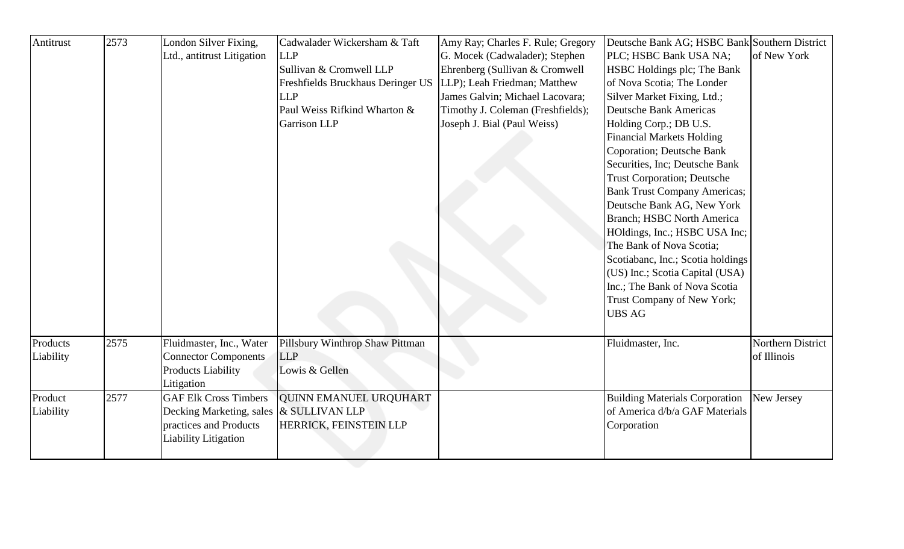| of New York<br><b>LLP</b><br>G. Mocek (Cadwalader); Stephen<br>PLC; HSBC Bank USA NA;<br>Ltd., antitrust Litigation<br>Sullivan & Cromwell LLP<br>Ehrenberg (Sullivan & Cromwell<br>HSBC Holdings plc; The Bank<br>LLP); Leah Friedman; Matthew<br>of Nova Scotia; The Londer<br>Freshfields Bruckhaus Deringer US<br><b>LLP</b><br>James Galvin; Michael Lacovara;<br>Silver Market Fixing, Ltd.;<br><b>Deutsche Bank Americas</b><br>Paul Weiss Rifkind Wharton &<br>Timothy J. Coleman (Freshfields);<br><b>Garrison LLP</b><br>Joseph J. Bial (Paul Weiss)<br>Holding Corp.; DB U.S.<br><b>Financial Markets Holding</b><br>Coporation; Deutsche Bank<br>Securities, Inc; Deutsche Bank<br><b>Trust Corporation; Deutsche</b><br><b>Bank Trust Company Americas;</b><br>Deutsche Bank AG, New York<br><b>Branch</b> ; HSBC North America<br>HOldings, Inc.; HSBC USA Inc;<br>The Bank of Nova Scotia;<br>Scotiabanc, Inc.; Scotia holdings<br>(US) Inc.; Scotia Capital (USA)<br>Inc.; The Bank of Nova Scotia<br>Trust Company of New York;<br><b>UBS AG</b><br>2575<br>Fluidmaster, Inc., Water<br>Pillsbury Winthrop Shaw Pittman<br>Northern District<br>Fluidmaster, Inc.<br><b>Connector Components</b><br><b>LLP</b><br>of Illinois<br><b>Products Liability</b><br>Lowis & Gellen<br>Litigation<br><b>GAF Elk Cross Timbers</b><br>2577<br><b>QUINN EMANUEL URQUHART</b><br><b>Building Materials Corporation</b><br>New Jersey<br>of America d/b/a GAF Materials<br>Decking Marketing, sales & SULLIVAN LLP<br>practices and Products<br><b>HERRICK, FEINSTEIN LLP</b><br>Corporation<br>Liability Litigation | Antitrust | 2573 | London Silver Fixing, | Cadwalader Wickersham & Taft | Amy Ray; Charles F. Rule; Gregory | Deutsche Bank AG; HSBC Bank Southern District |  |
|----------------------------------------------------------------------------------------------------------------------------------------------------------------------------------------------------------------------------------------------------------------------------------------------------------------------------------------------------------------------------------------------------------------------------------------------------------------------------------------------------------------------------------------------------------------------------------------------------------------------------------------------------------------------------------------------------------------------------------------------------------------------------------------------------------------------------------------------------------------------------------------------------------------------------------------------------------------------------------------------------------------------------------------------------------------------------------------------------------------------------------------------------------------------------------------------------------------------------------------------------------------------------------------------------------------------------------------------------------------------------------------------------------------------------------------------------------------------------------------------------------------------------------------------------------------------------------------------------------------------------|-----------|------|-----------------------|------------------------------|-----------------------------------|-----------------------------------------------|--|
| Products<br>Liability<br>Product<br>Liability                                                                                                                                                                                                                                                                                                                                                                                                                                                                                                                                                                                                                                                                                                                                                                                                                                                                                                                                                                                                                                                                                                                                                                                                                                                                                                                                                                                                                                                                                                                                                                              |           |      |                       |                              |                                   |                                               |  |
|                                                                                                                                                                                                                                                                                                                                                                                                                                                                                                                                                                                                                                                                                                                                                                                                                                                                                                                                                                                                                                                                                                                                                                                                                                                                                                                                                                                                                                                                                                                                                                                                                            |           |      |                       |                              |                                   |                                               |  |
|                                                                                                                                                                                                                                                                                                                                                                                                                                                                                                                                                                                                                                                                                                                                                                                                                                                                                                                                                                                                                                                                                                                                                                                                                                                                                                                                                                                                                                                                                                                                                                                                                            |           |      |                       |                              |                                   |                                               |  |
|                                                                                                                                                                                                                                                                                                                                                                                                                                                                                                                                                                                                                                                                                                                                                                                                                                                                                                                                                                                                                                                                                                                                                                                                                                                                                                                                                                                                                                                                                                                                                                                                                            |           |      |                       |                              |                                   |                                               |  |
|                                                                                                                                                                                                                                                                                                                                                                                                                                                                                                                                                                                                                                                                                                                                                                                                                                                                                                                                                                                                                                                                                                                                                                                                                                                                                                                                                                                                                                                                                                                                                                                                                            |           |      |                       |                              |                                   |                                               |  |
|                                                                                                                                                                                                                                                                                                                                                                                                                                                                                                                                                                                                                                                                                                                                                                                                                                                                                                                                                                                                                                                                                                                                                                                                                                                                                                                                                                                                                                                                                                                                                                                                                            |           |      |                       |                              |                                   |                                               |  |
|                                                                                                                                                                                                                                                                                                                                                                                                                                                                                                                                                                                                                                                                                                                                                                                                                                                                                                                                                                                                                                                                                                                                                                                                                                                                                                                                                                                                                                                                                                                                                                                                                            |           |      |                       |                              |                                   |                                               |  |
|                                                                                                                                                                                                                                                                                                                                                                                                                                                                                                                                                                                                                                                                                                                                                                                                                                                                                                                                                                                                                                                                                                                                                                                                                                                                                                                                                                                                                                                                                                                                                                                                                            |           |      |                       |                              |                                   |                                               |  |
|                                                                                                                                                                                                                                                                                                                                                                                                                                                                                                                                                                                                                                                                                                                                                                                                                                                                                                                                                                                                                                                                                                                                                                                                                                                                                                                                                                                                                                                                                                                                                                                                                            |           |      |                       |                              |                                   |                                               |  |
|                                                                                                                                                                                                                                                                                                                                                                                                                                                                                                                                                                                                                                                                                                                                                                                                                                                                                                                                                                                                                                                                                                                                                                                                                                                                                                                                                                                                                                                                                                                                                                                                                            |           |      |                       |                              |                                   |                                               |  |
|                                                                                                                                                                                                                                                                                                                                                                                                                                                                                                                                                                                                                                                                                                                                                                                                                                                                                                                                                                                                                                                                                                                                                                                                                                                                                                                                                                                                                                                                                                                                                                                                                            |           |      |                       |                              |                                   |                                               |  |
|                                                                                                                                                                                                                                                                                                                                                                                                                                                                                                                                                                                                                                                                                                                                                                                                                                                                                                                                                                                                                                                                                                                                                                                                                                                                                                                                                                                                                                                                                                                                                                                                                            |           |      |                       |                              |                                   |                                               |  |
|                                                                                                                                                                                                                                                                                                                                                                                                                                                                                                                                                                                                                                                                                                                                                                                                                                                                                                                                                                                                                                                                                                                                                                                                                                                                                                                                                                                                                                                                                                                                                                                                                            |           |      |                       |                              |                                   |                                               |  |
|                                                                                                                                                                                                                                                                                                                                                                                                                                                                                                                                                                                                                                                                                                                                                                                                                                                                                                                                                                                                                                                                                                                                                                                                                                                                                                                                                                                                                                                                                                                                                                                                                            |           |      |                       |                              |                                   |                                               |  |
|                                                                                                                                                                                                                                                                                                                                                                                                                                                                                                                                                                                                                                                                                                                                                                                                                                                                                                                                                                                                                                                                                                                                                                                                                                                                                                                                                                                                                                                                                                                                                                                                                            |           |      |                       |                              |                                   |                                               |  |
|                                                                                                                                                                                                                                                                                                                                                                                                                                                                                                                                                                                                                                                                                                                                                                                                                                                                                                                                                                                                                                                                                                                                                                                                                                                                                                                                                                                                                                                                                                                                                                                                                            |           |      |                       |                              |                                   |                                               |  |
|                                                                                                                                                                                                                                                                                                                                                                                                                                                                                                                                                                                                                                                                                                                                                                                                                                                                                                                                                                                                                                                                                                                                                                                                                                                                                                                                                                                                                                                                                                                                                                                                                            |           |      |                       |                              |                                   |                                               |  |
|                                                                                                                                                                                                                                                                                                                                                                                                                                                                                                                                                                                                                                                                                                                                                                                                                                                                                                                                                                                                                                                                                                                                                                                                                                                                                                                                                                                                                                                                                                                                                                                                                            |           |      |                       |                              |                                   |                                               |  |
|                                                                                                                                                                                                                                                                                                                                                                                                                                                                                                                                                                                                                                                                                                                                                                                                                                                                                                                                                                                                                                                                                                                                                                                                                                                                                                                                                                                                                                                                                                                                                                                                                            |           |      |                       |                              |                                   |                                               |  |
|                                                                                                                                                                                                                                                                                                                                                                                                                                                                                                                                                                                                                                                                                                                                                                                                                                                                                                                                                                                                                                                                                                                                                                                                                                                                                                                                                                                                                                                                                                                                                                                                                            |           |      |                       |                              |                                   |                                               |  |
|                                                                                                                                                                                                                                                                                                                                                                                                                                                                                                                                                                                                                                                                                                                                                                                                                                                                                                                                                                                                                                                                                                                                                                                                                                                                                                                                                                                                                                                                                                                                                                                                                            |           |      |                       |                              |                                   |                                               |  |
|                                                                                                                                                                                                                                                                                                                                                                                                                                                                                                                                                                                                                                                                                                                                                                                                                                                                                                                                                                                                                                                                                                                                                                                                                                                                                                                                                                                                                                                                                                                                                                                                                            |           |      |                       |                              |                                   |                                               |  |
|                                                                                                                                                                                                                                                                                                                                                                                                                                                                                                                                                                                                                                                                                                                                                                                                                                                                                                                                                                                                                                                                                                                                                                                                                                                                                                                                                                                                                                                                                                                                                                                                                            |           |      |                       |                              |                                   |                                               |  |
|                                                                                                                                                                                                                                                                                                                                                                                                                                                                                                                                                                                                                                                                                                                                                                                                                                                                                                                                                                                                                                                                                                                                                                                                                                                                                                                                                                                                                                                                                                                                                                                                                            |           |      |                       |                              |                                   |                                               |  |
|                                                                                                                                                                                                                                                                                                                                                                                                                                                                                                                                                                                                                                                                                                                                                                                                                                                                                                                                                                                                                                                                                                                                                                                                                                                                                                                                                                                                                                                                                                                                                                                                                            |           |      |                       |                              |                                   |                                               |  |
|                                                                                                                                                                                                                                                                                                                                                                                                                                                                                                                                                                                                                                                                                                                                                                                                                                                                                                                                                                                                                                                                                                                                                                                                                                                                                                                                                                                                                                                                                                                                                                                                                            |           |      |                       |                              |                                   |                                               |  |
|                                                                                                                                                                                                                                                                                                                                                                                                                                                                                                                                                                                                                                                                                                                                                                                                                                                                                                                                                                                                                                                                                                                                                                                                                                                                                                                                                                                                                                                                                                                                                                                                                            |           |      |                       |                              |                                   |                                               |  |
|                                                                                                                                                                                                                                                                                                                                                                                                                                                                                                                                                                                                                                                                                                                                                                                                                                                                                                                                                                                                                                                                                                                                                                                                                                                                                                                                                                                                                                                                                                                                                                                                                            |           |      |                       |                              |                                   |                                               |  |
|                                                                                                                                                                                                                                                                                                                                                                                                                                                                                                                                                                                                                                                                                                                                                                                                                                                                                                                                                                                                                                                                                                                                                                                                                                                                                                                                                                                                                                                                                                                                                                                                                            |           |      |                       |                              |                                   |                                               |  |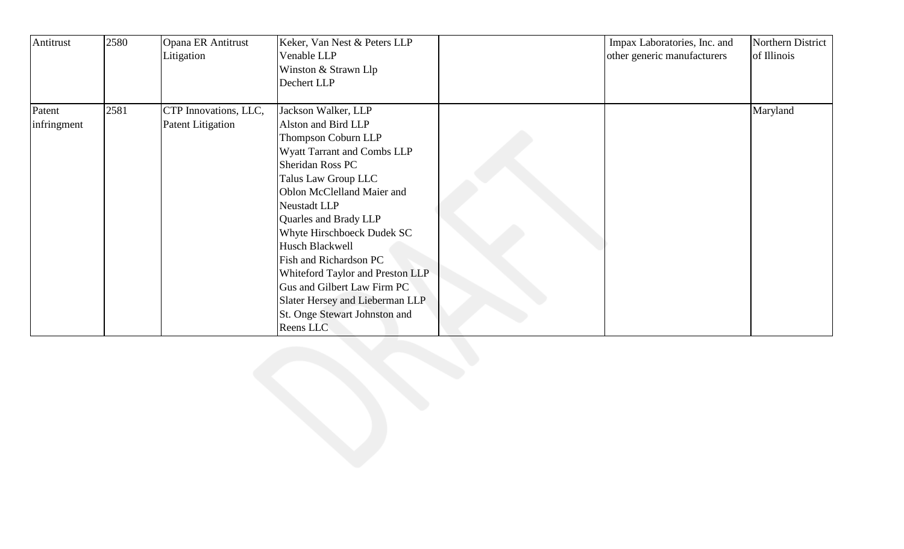| Antitrust   | 2580 | Opana ER Antitrust<br>Litigation | Keker, Van Nest & Peters LLP<br>Venable LLP<br>Winston & Strawn Llp<br>Dechert LLP                                                                                                                                                                                                                                                                                                                                         | Impax Laboratories, Inc. and<br>other generic manufacturers | Northern District<br>of Illinois |
|-------------|------|----------------------------------|----------------------------------------------------------------------------------------------------------------------------------------------------------------------------------------------------------------------------------------------------------------------------------------------------------------------------------------------------------------------------------------------------------------------------|-------------------------------------------------------------|----------------------------------|
| Patent      | 2581 | CTP Innovations, LLC,            | Jackson Walker, LLP                                                                                                                                                                                                                                                                                                                                                                                                        |                                                             | Maryland                         |
| infringment |      | <b>Patent Litigation</b>         | Alston and Bird LLP<br>Thompson Coburn LLP<br>Wyatt Tarrant and Combs LLP<br>Sheridan Ross PC<br>Talus Law Group LLC<br>Oblon McClelland Maier and<br>Neustadt LLP<br>Quarles and Brady LLP<br>Whyte Hirschboeck Dudek SC<br>Husch Blackwell<br>Fish and Richardson PC<br>Whiteford Taylor and Preston LLP<br>Gus and Gilbert Law Firm PC<br>Slater Hersey and Lieberman LLP<br>St. Onge Stewart Johnston and<br>Reens LLC |                                                             |                                  |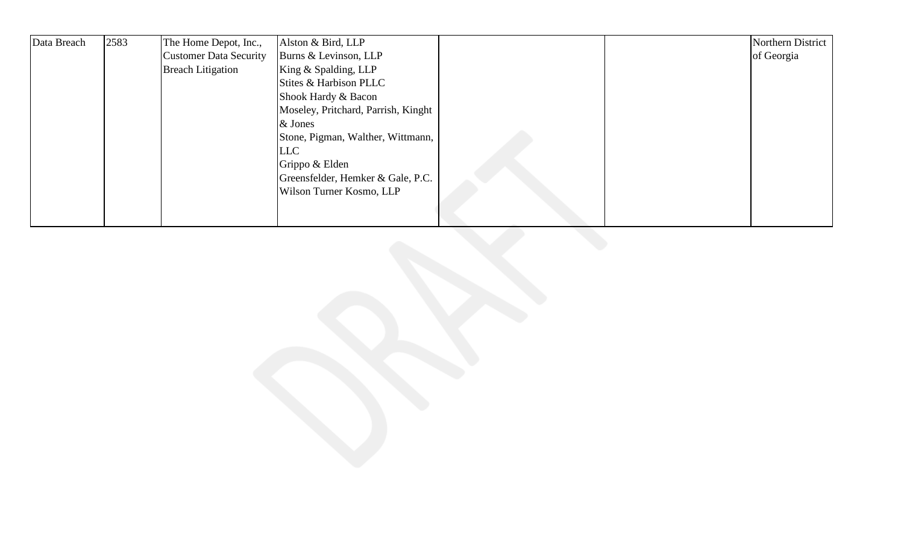| Data Breach | 2583 | The Home Depot, Inc.,         | Alston & Bird, LLP                  |  | Northern District |
|-------------|------|-------------------------------|-------------------------------------|--|-------------------|
|             |      | <b>Customer Data Security</b> | Burns & Levinson, LLP               |  | of Georgia        |
|             |      | <b>Breach Litigation</b>      | King & Spalding, LLP                |  |                   |
|             |      |                               | Stites & Harbison PLLC              |  |                   |
|             |      |                               | Shook Hardy & Bacon                 |  |                   |
|             |      |                               | Moseley, Pritchard, Parrish, Kinght |  |                   |
|             |      |                               | & Jones                             |  |                   |
|             |      |                               | Stone, Pigman, Walther, Wittmann,   |  |                   |
|             |      |                               | LLC                                 |  |                   |
|             |      |                               | Grippo & Elden                      |  |                   |
|             |      |                               | Greensfelder, Hemker & Gale, P.C.   |  |                   |
|             |      |                               | Wilson Turner Kosmo, LLP            |  |                   |
|             |      |                               |                                     |  |                   |
|             |      |                               |                                     |  |                   |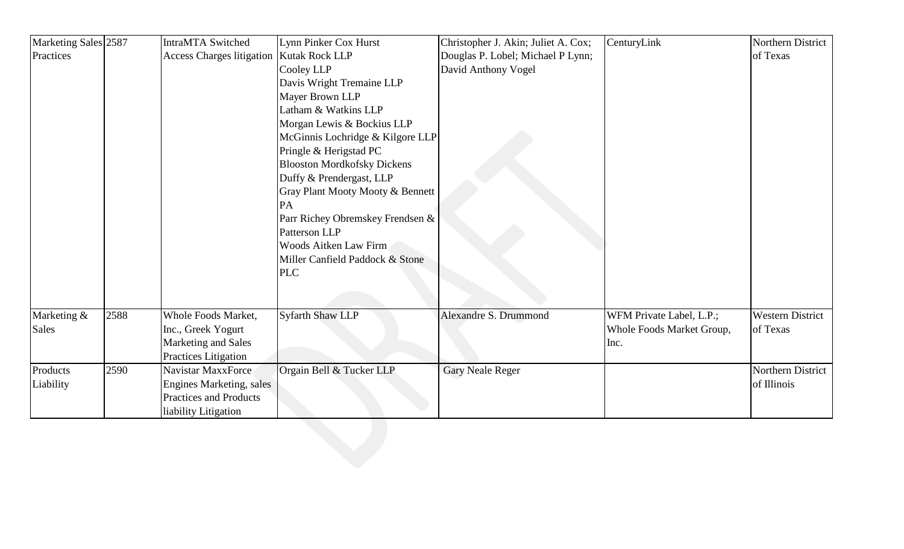| Practices<br>Access Charges litigation   Kutak Rock LLP<br>Douglas P. Lobel; Michael P Lynn;<br>of Texas<br>Cooley LLP<br>David Anthony Vogel<br>Davis Wright Tremaine LLP<br>Mayer Brown LLP<br>Latham & Watkins LLP<br>Morgan Lewis & Bockius LLP<br>McGinnis Lochridge & Kilgore LLP<br>Pringle & Herigstad PC<br><b>Blooston Mordkofsky Dickens</b><br>Duffy & Prendergast, LLP<br>Gray Plant Mooty Mooty & Bennett<br>PA<br>Parr Richey Obremskey Frendsen &<br>Patterson LLP<br>Woods Aitken Law Firm<br>Miller Canfield Paddock & Stone<br><b>PLC</b><br>2588<br>Whole Foods Market,<br><b>Syfarth Shaw LLP</b><br>Alexandre S. Drummond<br>WFM Private Label, L.P.;<br><b>Western District</b><br>Marketing &<br><b>Sales</b><br>Inc., Greek Yogurt<br>Whole Foods Market Group,<br>of Texas<br>Marketing and Sales<br>Inc.<br><b>Practices Litigation</b><br>2590<br>Orgain Bell & Tucker LLP<br>Northern District<br>Products<br>Navistar MaxxForce<br><b>Gary Neale Reger</b><br>Liability<br><b>Engines Marketing, sales</b><br>of Illinois<br><b>Practices and Products</b><br>liability Litigation | Marketing Sales 2587 | <b>IntraMTA Switched</b> | Lynn Pinker Cox Hurst | Christopher J. Akin; Juliet A. Cox; | CenturyLink | Northern District |
|------------------------------------------------------------------------------------------------------------------------------------------------------------------------------------------------------------------------------------------------------------------------------------------------------------------------------------------------------------------------------------------------------------------------------------------------------------------------------------------------------------------------------------------------------------------------------------------------------------------------------------------------------------------------------------------------------------------------------------------------------------------------------------------------------------------------------------------------------------------------------------------------------------------------------------------------------------------------------------------------------------------------------------------------------------------------------------------------------------------|----------------------|--------------------------|-----------------------|-------------------------------------|-------------|-------------------|
|                                                                                                                                                                                                                                                                                                                                                                                                                                                                                                                                                                                                                                                                                                                                                                                                                                                                                                                                                                                                                                                                                                                  |                      |                          |                       |                                     |             |                   |
|                                                                                                                                                                                                                                                                                                                                                                                                                                                                                                                                                                                                                                                                                                                                                                                                                                                                                                                                                                                                                                                                                                                  |                      |                          |                       |                                     |             |                   |
|                                                                                                                                                                                                                                                                                                                                                                                                                                                                                                                                                                                                                                                                                                                                                                                                                                                                                                                                                                                                                                                                                                                  |                      |                          |                       |                                     |             |                   |
|                                                                                                                                                                                                                                                                                                                                                                                                                                                                                                                                                                                                                                                                                                                                                                                                                                                                                                                                                                                                                                                                                                                  |                      |                          |                       |                                     |             |                   |
|                                                                                                                                                                                                                                                                                                                                                                                                                                                                                                                                                                                                                                                                                                                                                                                                                                                                                                                                                                                                                                                                                                                  |                      |                          |                       |                                     |             |                   |
|                                                                                                                                                                                                                                                                                                                                                                                                                                                                                                                                                                                                                                                                                                                                                                                                                                                                                                                                                                                                                                                                                                                  |                      |                          |                       |                                     |             |                   |
|                                                                                                                                                                                                                                                                                                                                                                                                                                                                                                                                                                                                                                                                                                                                                                                                                                                                                                                                                                                                                                                                                                                  |                      |                          |                       |                                     |             |                   |
|                                                                                                                                                                                                                                                                                                                                                                                                                                                                                                                                                                                                                                                                                                                                                                                                                                                                                                                                                                                                                                                                                                                  |                      |                          |                       |                                     |             |                   |
|                                                                                                                                                                                                                                                                                                                                                                                                                                                                                                                                                                                                                                                                                                                                                                                                                                                                                                                                                                                                                                                                                                                  |                      |                          |                       |                                     |             |                   |
|                                                                                                                                                                                                                                                                                                                                                                                                                                                                                                                                                                                                                                                                                                                                                                                                                                                                                                                                                                                                                                                                                                                  |                      |                          |                       |                                     |             |                   |
|                                                                                                                                                                                                                                                                                                                                                                                                                                                                                                                                                                                                                                                                                                                                                                                                                                                                                                                                                                                                                                                                                                                  |                      |                          |                       |                                     |             |                   |
|                                                                                                                                                                                                                                                                                                                                                                                                                                                                                                                                                                                                                                                                                                                                                                                                                                                                                                                                                                                                                                                                                                                  |                      |                          |                       |                                     |             |                   |
|                                                                                                                                                                                                                                                                                                                                                                                                                                                                                                                                                                                                                                                                                                                                                                                                                                                                                                                                                                                                                                                                                                                  |                      |                          |                       |                                     |             |                   |
|                                                                                                                                                                                                                                                                                                                                                                                                                                                                                                                                                                                                                                                                                                                                                                                                                                                                                                                                                                                                                                                                                                                  |                      |                          |                       |                                     |             |                   |
|                                                                                                                                                                                                                                                                                                                                                                                                                                                                                                                                                                                                                                                                                                                                                                                                                                                                                                                                                                                                                                                                                                                  |                      |                          |                       |                                     |             |                   |
|                                                                                                                                                                                                                                                                                                                                                                                                                                                                                                                                                                                                                                                                                                                                                                                                                                                                                                                                                                                                                                                                                                                  |                      |                          |                       |                                     |             |                   |
|                                                                                                                                                                                                                                                                                                                                                                                                                                                                                                                                                                                                                                                                                                                                                                                                                                                                                                                                                                                                                                                                                                                  |                      |                          |                       |                                     |             |                   |
|                                                                                                                                                                                                                                                                                                                                                                                                                                                                                                                                                                                                                                                                                                                                                                                                                                                                                                                                                                                                                                                                                                                  |                      |                          |                       |                                     |             |                   |
|                                                                                                                                                                                                                                                                                                                                                                                                                                                                                                                                                                                                                                                                                                                                                                                                                                                                                                                                                                                                                                                                                                                  |                      |                          |                       |                                     |             |                   |
|                                                                                                                                                                                                                                                                                                                                                                                                                                                                                                                                                                                                                                                                                                                                                                                                                                                                                                                                                                                                                                                                                                                  |                      |                          |                       |                                     |             |                   |
|                                                                                                                                                                                                                                                                                                                                                                                                                                                                                                                                                                                                                                                                                                                                                                                                                                                                                                                                                                                                                                                                                                                  |                      |                          |                       |                                     |             |                   |
|                                                                                                                                                                                                                                                                                                                                                                                                                                                                                                                                                                                                                                                                                                                                                                                                                                                                                                                                                                                                                                                                                                                  |                      |                          |                       |                                     |             |                   |
|                                                                                                                                                                                                                                                                                                                                                                                                                                                                                                                                                                                                                                                                                                                                                                                                                                                                                                                                                                                                                                                                                                                  |                      |                          |                       |                                     |             |                   |
|                                                                                                                                                                                                                                                                                                                                                                                                                                                                                                                                                                                                                                                                                                                                                                                                                                                                                                                                                                                                                                                                                                                  |                      |                          |                       |                                     |             |                   |
|                                                                                                                                                                                                                                                                                                                                                                                                                                                                                                                                                                                                                                                                                                                                                                                                                                                                                                                                                                                                                                                                                                                  |                      |                          |                       |                                     |             |                   |
|                                                                                                                                                                                                                                                                                                                                                                                                                                                                                                                                                                                                                                                                                                                                                                                                                                                                                                                                                                                                                                                                                                                  |                      |                          |                       |                                     |             |                   |
|                                                                                                                                                                                                                                                                                                                                                                                                                                                                                                                                                                                                                                                                                                                                                                                                                                                                                                                                                                                                                                                                                                                  |                      |                          |                       |                                     |             |                   |
|                                                                                                                                                                                                                                                                                                                                                                                                                                                                                                                                                                                                                                                                                                                                                                                                                                                                                                                                                                                                                                                                                                                  |                      |                          |                       |                                     |             |                   |
|                                                                                                                                                                                                                                                                                                                                                                                                                                                                                                                                                                                                                                                                                                                                                                                                                                                                                                                                                                                                                                                                                                                  |                      |                          |                       |                                     |             |                   |
|                                                                                                                                                                                                                                                                                                                                                                                                                                                                                                                                                                                                                                                                                                                                                                                                                                                                                                                                                                                                                                                                                                                  |                      |                          |                       |                                     |             |                   |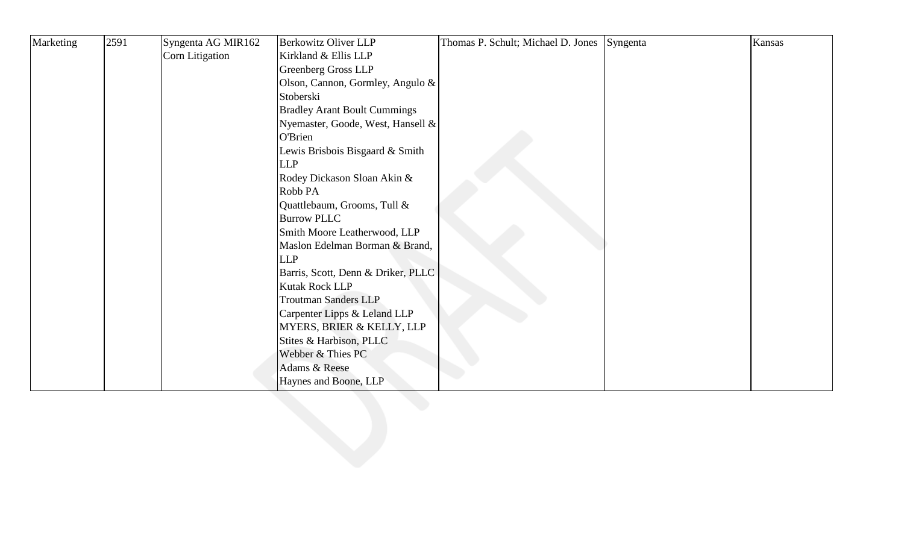| Marketing | 2591 | Syngenta AG MIR162 | <b>Berkowitz Oliver LLP</b>         | Thomas P. Schult; Michael D. Jones Syngenta | Kansas |
|-----------|------|--------------------|-------------------------------------|---------------------------------------------|--------|
|           |      | Corn Litigation    | Kirkland & Ellis LLP                |                                             |        |
|           |      |                    | <b>Greenberg Gross LLP</b>          |                                             |        |
|           |      |                    | Olson, Cannon, Gormley, Angulo &    |                                             |        |
|           |      |                    | Stoberski                           |                                             |        |
|           |      |                    | <b>Bradley Arant Boult Cummings</b> |                                             |        |
|           |      |                    | Nyemaster, Goode, West, Hansell &   |                                             |        |
|           |      |                    | O'Brien                             |                                             |        |
|           |      |                    | Lewis Brisbois Bisgaard & Smith     |                                             |        |
|           |      |                    | <b>LLP</b>                          |                                             |        |
|           |      |                    | Rodey Dickason Sloan Akin &         |                                             |        |
|           |      |                    | Robb PA                             |                                             |        |
|           |      |                    | Quattlebaum, Grooms, Tull &         |                                             |        |
|           |      |                    | <b>Burrow PLLC</b>                  |                                             |        |
|           |      |                    | Smith Moore Leatherwood, LLP        |                                             |        |
|           |      |                    | Maslon Edelman Borman & Brand,      |                                             |        |
|           |      |                    | <b>LLP</b>                          |                                             |        |
|           |      |                    | Barris, Scott, Denn & Driker, PLLC  |                                             |        |
|           |      |                    | Kutak Rock LLP                      |                                             |        |
|           |      |                    | <b>Troutman Sanders LLP</b>         |                                             |        |
|           |      |                    | Carpenter Lipps & Leland LLP        |                                             |        |
|           |      |                    | MYERS, BRIER & KELLY, LLP           |                                             |        |
|           |      |                    | Stites & Harbison, PLLC             |                                             |        |
|           |      |                    | Webber & Thies PC                   |                                             |        |
|           |      |                    | Adams & Reese                       |                                             |        |
|           |      |                    | Haynes and Boone, LLP               |                                             |        |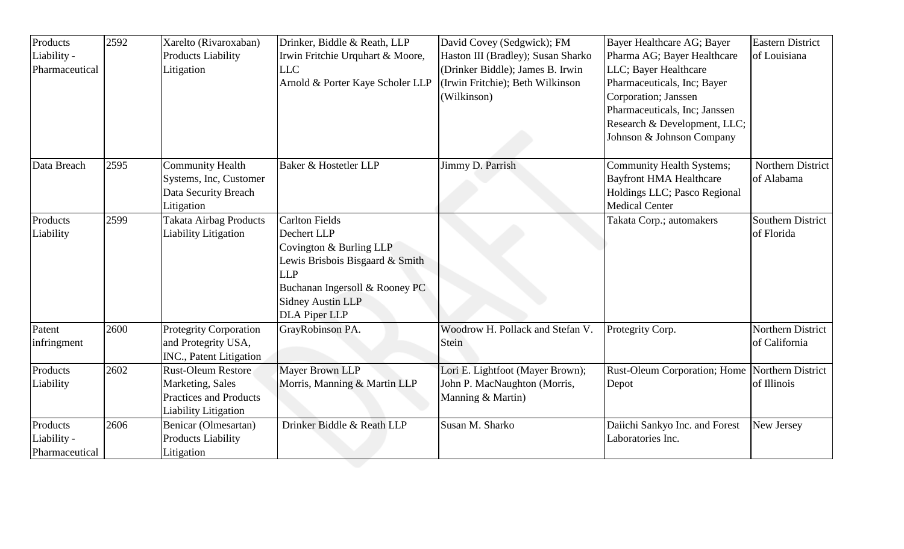| Products<br>Liability -<br>Pharmaceutical | 2592 | Xarelto (Rivaroxaban)<br><b>Products Liability</b><br>Litigation                                              | Drinker, Biddle & Reath, LLP<br>Irwin Fritchie Urquhart & Moore,<br><b>LLC</b><br>Arnold & Porter Kaye Scholer LLP                                                                                     | David Covey (Sedgwick); FM<br>Haston III (Bradley); Susan Sharko<br>(Drinker Biddle); James B. Irwin<br>(Irwin Fritchie); Beth Wilkinson<br>(Wilkinson) | Bayer Healthcare AG; Bayer<br>Pharma AG; Bayer Healthcare<br>LLC; Bayer Healthcare<br>Pharmaceuticals, Inc; Bayer<br>Corporation; Janssen<br>Pharmaceuticals, Inc; Janssen<br>Research & Development, LLC;<br>Johnson & Johnson Company | <b>Eastern District</b><br>of Louisiana |
|-------------------------------------------|------|---------------------------------------------------------------------------------------------------------------|--------------------------------------------------------------------------------------------------------------------------------------------------------------------------------------------------------|---------------------------------------------------------------------------------------------------------------------------------------------------------|-----------------------------------------------------------------------------------------------------------------------------------------------------------------------------------------------------------------------------------------|-----------------------------------------|
| Data Breach                               | 2595 | <b>Community Health</b><br>Systems, Inc, Customer<br>Data Security Breach<br>Litigation                       | Baker & Hostetler LLP                                                                                                                                                                                  | Jimmy D. Parrish                                                                                                                                        | <b>Community Health Systems;</b><br><b>Bayfront HMA Healthcare</b><br>Holdings LLC; Pasco Regional<br><b>Medical Center</b>                                                                                                             | Northern District<br>of Alabama         |
| Products<br>Liability                     | 2599 | <b>Takata Airbag Products</b><br><b>Liability Litigation</b>                                                  | <b>Carlton Fields</b><br>Dechert LLP<br>Covington & Burling LLP<br>Lewis Brisbois Bisgaard & Smith<br><b>LLP</b><br>Buchanan Ingersoll & Rooney PC<br><b>Sidney Austin LLP</b><br><b>DLA Piper LLP</b> |                                                                                                                                                         | Takata Corp.; automakers                                                                                                                                                                                                                | Southern District<br>of Florida         |
| Patent<br>infringment                     | 2600 | <b>Protegrity Corporation</b><br>and Protegrity USA,<br>INC., Patent Litigation                               | GrayRobinson PA.                                                                                                                                                                                       | Woodrow H. Pollack and Stefan V.<br>Stein                                                                                                               | Protegrity Corp.                                                                                                                                                                                                                        | Northern District<br>of California      |
| Products<br>Liability                     | 2602 | <b>Rust-Oleum Restore</b><br>Marketing, Sales<br><b>Practices and Products</b><br><b>Liability Litigation</b> | Mayer Brown LLP<br>Morris, Manning & Martin LLP                                                                                                                                                        | Lori E. Lightfoot (Mayer Brown);<br>John P. MacNaughton (Morris,<br>Manning & Martin)                                                                   | Rust-Oleum Corporation; Home   Northern District<br>Depot                                                                                                                                                                               | of Illinois                             |
| Products<br>Liability -<br>Pharmaceutical | 2606 | Benicar (Olmesartan)<br><b>Products Liability</b><br>Litigation                                               | Drinker Biddle & Reath LLP                                                                                                                                                                             | Susan M. Sharko                                                                                                                                         | Daiichi Sankyo Inc. and Forest<br>Laboratories Inc.                                                                                                                                                                                     | New Jersey                              |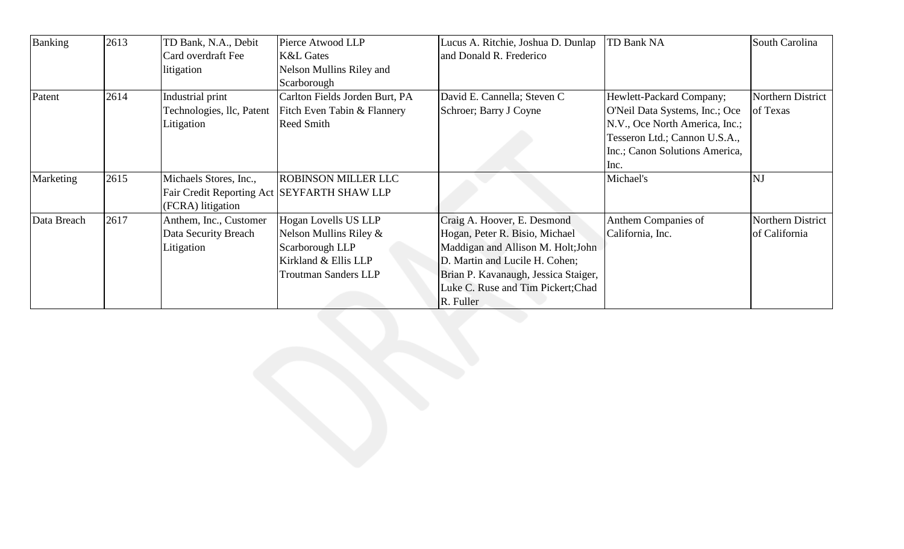| Banking     | 2613 | TD Bank, N.A., Debit      | Pierce Atwood LLP                             | Lucus A. Ritchie, Joshua D. Dunlap   | TD Bank NA                     | South Carolina    |
|-------------|------|---------------------------|-----------------------------------------------|--------------------------------------|--------------------------------|-------------------|
|             |      | Card overdraft Fee        | <b>K&amp;L Gates</b>                          | and Donald R. Frederico              |                                |                   |
|             |      | litigation                | Nelson Mullins Riley and                      |                                      |                                |                   |
|             |      |                           | Scarborough                                   |                                      |                                |                   |
| Patent      | 2614 | Industrial print          | Carlton Fields Jorden Burt, PA                | David E. Cannella; Steven C          | Hewlett-Packard Company;       | Northern District |
|             |      | Technologies, llc, Patent | Fitch Even Tabin & Flannery                   | Schroer; Barry J Coyne               | O'Neil Data Systems, Inc.; Oce | of Texas          |
|             |      | Litigation                | <b>Reed Smith</b>                             |                                      | N.V., Oce North America, Inc.; |                   |
|             |      |                           |                                               |                                      | Tesseron Ltd.; Cannon U.S.A.,  |                   |
|             |      |                           |                                               |                                      | Inc.; Canon Solutions America, |                   |
|             |      |                           |                                               |                                      | Inc.                           |                   |
| Marketing   | 2615 | Michaels Stores, Inc.,    | <b>ROBINSON MILLER LLC</b>                    |                                      | Michael's                      | <b>NJ</b>         |
|             |      |                           | Fair Credit Reporting Act   SEYFARTH SHAW LLP |                                      |                                |                   |
|             |      | (FCRA) litigation         |                                               |                                      |                                |                   |
| Data Breach | 2617 | Anthem, Inc., Customer    | Hogan Lovells US LLP                          | Craig A. Hoover, E. Desmond          | Anthem Companies of            | Northern District |
|             |      | Data Security Breach      | Nelson Mullins Riley $\&$                     | Hogan, Peter R. Bisio, Michael       | California, Inc.               | of California     |
|             |      | Litigation                | Scarborough LLP                               | Maddigan and Allison M. Holt; John   |                                |                   |
|             |      |                           | Kirkland & Ellis LLP                          | D. Martin and Lucile H. Cohen;       |                                |                   |
|             |      |                           | <b>Troutman Sanders LLP</b>                   | Brian P. Kavanaugh, Jessica Staiger, |                                |                   |
|             |      |                           |                                               | Luke C. Ruse and Tim Pickert; Chad   |                                |                   |
|             |      |                           |                                               | R. Fuller                            |                                |                   |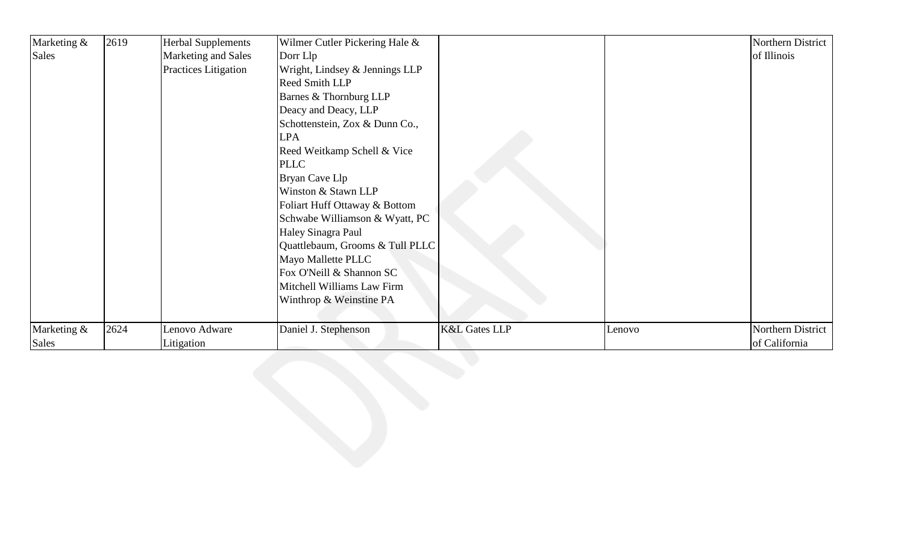| Marketing & | 2619 | <b>Herbal Supplements</b> | Wilmer Cutler Pickering Hale &  |                          |        | Northern District |
|-------------|------|---------------------------|---------------------------------|--------------------------|--------|-------------------|
| Sales       |      | Marketing and Sales       | Dorr Llp                        |                          |        | of Illinois       |
|             |      | Practices Litigation      | Wright, Lindsey & Jennings LLP  |                          |        |                   |
|             |      |                           | <b>Reed Smith LLP</b>           |                          |        |                   |
|             |      |                           | Barnes & Thornburg LLP          |                          |        |                   |
|             |      |                           | Deacy and Deacy, LLP            |                          |        |                   |
|             |      |                           | Schottenstein, Zox & Dunn Co.,  |                          |        |                   |
|             |      |                           | <b>LPA</b>                      |                          |        |                   |
|             |      |                           | Reed Weitkamp Schell & Vice     |                          |        |                   |
|             |      |                           | <b>PLLC</b>                     |                          |        |                   |
|             |      |                           | Bryan Cave Llp                  |                          |        |                   |
|             |      |                           | Winston & Stawn LLP             |                          |        |                   |
|             |      |                           | Foliart Huff Ottaway & Bottom   |                          |        |                   |
|             |      |                           | Schwabe Williamson & Wyatt, PC  |                          |        |                   |
|             |      |                           | Haley Sinagra Paul              |                          |        |                   |
|             |      |                           | Quattlebaum, Grooms & Tull PLLC |                          |        |                   |
|             |      |                           | Mayo Mallette PLLC              |                          |        |                   |
|             |      |                           | Fox O'Neill & Shannon SC        |                          |        |                   |
|             |      |                           | Mitchell Williams Law Firm      |                          |        |                   |
|             |      |                           | Winthrop & Weinstine PA         |                          |        |                   |
|             |      |                           |                                 |                          |        |                   |
| Marketing & | 2624 | Lenovo Adware             | Daniel J. Stephenson            | <b>K&amp;L Gates LLP</b> | Lenovo | Northern District |
| Sales       |      | Litigation                |                                 |                          |        | of California     |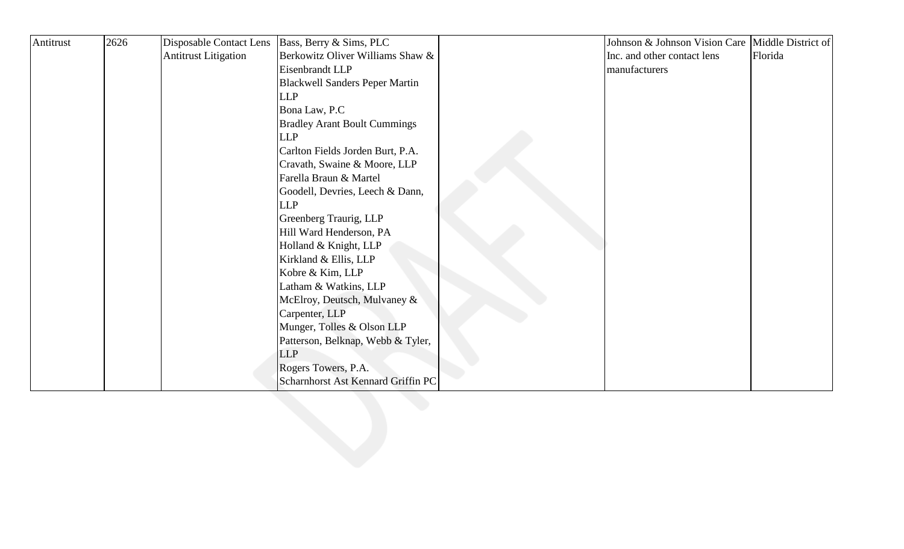| Antitrust | 2626 | Disposable Contact Lens     | Bass, Berry & Sims, PLC               | Johnson & Johnson Vision Care Middle District of |         |
|-----------|------|-----------------------------|---------------------------------------|--------------------------------------------------|---------|
|           |      | <b>Antitrust Litigation</b> | Berkowitz Oliver Williams Shaw &      | Inc. and other contact lens                      | Florida |
|           |      |                             | Eisenbrandt LLP                       | manufacturers                                    |         |
|           |      |                             | <b>Blackwell Sanders Peper Martin</b> |                                                  |         |
|           |      |                             | <b>LLP</b>                            |                                                  |         |
|           |      |                             | Bona Law, P.C                         |                                                  |         |
|           |      |                             | <b>Bradley Arant Boult Cummings</b>   |                                                  |         |
|           |      |                             | <b>LLP</b>                            |                                                  |         |
|           |      |                             | Carlton Fields Jorden Burt, P.A.      |                                                  |         |
|           |      |                             | Cravath, Swaine & Moore, LLP          |                                                  |         |
|           |      |                             | Farella Braun & Martel                |                                                  |         |
|           |      |                             | Goodell, Devries, Leech & Dann,       |                                                  |         |
|           |      |                             | <b>LLP</b>                            |                                                  |         |
|           |      |                             | Greenberg Traurig, LLP                |                                                  |         |
|           |      |                             | Hill Ward Henderson, PA               |                                                  |         |
|           |      |                             | Holland & Knight, LLP                 |                                                  |         |
|           |      |                             | Kirkland & Ellis, LLP                 |                                                  |         |
|           |      |                             | Kobre & Kim, LLP                      |                                                  |         |
|           |      |                             | Latham & Watkins, LLP                 |                                                  |         |
|           |      |                             | McElroy, Deutsch, Mulvaney &          |                                                  |         |
|           |      |                             | Carpenter, LLP                        |                                                  |         |
|           |      |                             | Munger, Tolles & Olson LLP            |                                                  |         |
|           |      |                             | Patterson, Belknap, Webb & Tyler,     |                                                  |         |
|           |      |                             | <b>LLP</b>                            |                                                  |         |
|           |      |                             | Rogers Towers, P.A.                   |                                                  |         |
|           |      |                             | Scharnhorst Ast Kennard Griffin PC    |                                                  |         |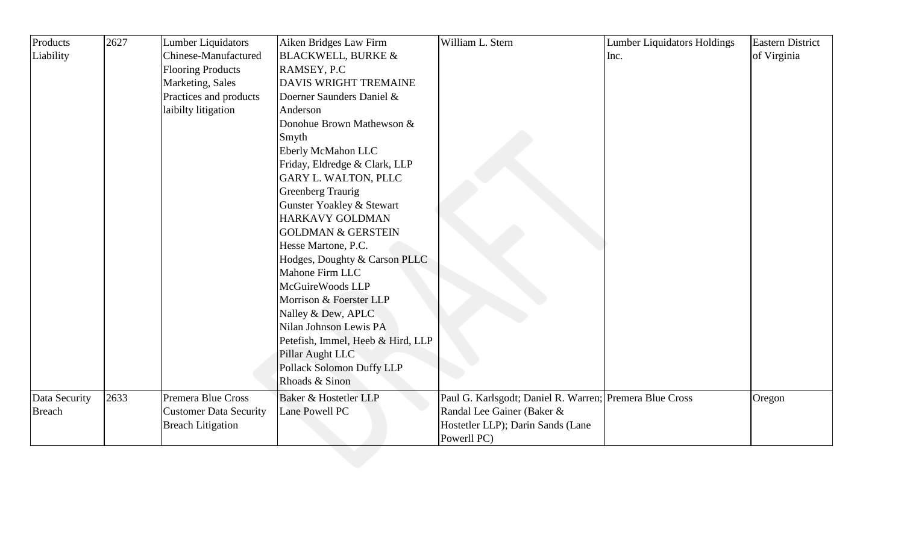| Liability     |      | <b>Chinese-Manufactured</b><br><b>Flooring Products</b><br>Marketing, Sales<br>Practices and products<br>laibilty litigation | <b>BLACKWELL, BURKE &amp;</b><br>RAMSEY, P.C<br><b>DAVIS WRIGHT TREMAINE</b><br>Doerner Saunders Daniel &<br>Anderson |                                                         | Inc. | of Virginia |
|---------------|------|------------------------------------------------------------------------------------------------------------------------------|-----------------------------------------------------------------------------------------------------------------------|---------------------------------------------------------|------|-------------|
|               |      |                                                                                                                              |                                                                                                                       |                                                         |      |             |
|               |      |                                                                                                                              |                                                                                                                       |                                                         |      |             |
|               |      |                                                                                                                              |                                                                                                                       |                                                         |      |             |
|               |      |                                                                                                                              |                                                                                                                       |                                                         |      |             |
|               |      |                                                                                                                              |                                                                                                                       |                                                         |      |             |
|               |      |                                                                                                                              | Donohue Brown Mathewson &                                                                                             |                                                         |      |             |
|               |      |                                                                                                                              | Smyth                                                                                                                 |                                                         |      |             |
|               |      |                                                                                                                              | Eberly McMahon LLC                                                                                                    |                                                         |      |             |
|               |      |                                                                                                                              | Friday, Eldredge & Clark, LLP                                                                                         |                                                         |      |             |
|               |      |                                                                                                                              | <b>GARY L. WALTON, PLLC</b>                                                                                           |                                                         |      |             |
|               |      |                                                                                                                              | <b>Greenberg Traurig</b>                                                                                              |                                                         |      |             |
|               |      |                                                                                                                              | Gunster Yoakley & Stewart                                                                                             |                                                         |      |             |
|               |      |                                                                                                                              | HARKAVY GOLDMAN                                                                                                       |                                                         |      |             |
|               |      |                                                                                                                              | <b>GOLDMAN &amp; GERSTEIN</b>                                                                                         |                                                         |      |             |
|               |      |                                                                                                                              | Hesse Martone, P.C.                                                                                                   |                                                         |      |             |
|               |      |                                                                                                                              | Hodges, Doughty & Carson PLLC                                                                                         |                                                         |      |             |
|               |      |                                                                                                                              | Mahone Firm LLC                                                                                                       |                                                         |      |             |
|               |      |                                                                                                                              | McGuireWoods LLP                                                                                                      |                                                         |      |             |
|               |      |                                                                                                                              | Morrison & Foerster LLP                                                                                               |                                                         |      |             |
|               |      |                                                                                                                              | Nalley & Dew, APLC                                                                                                    |                                                         |      |             |
|               |      |                                                                                                                              | Nilan Johnson Lewis PA                                                                                                |                                                         |      |             |
|               |      |                                                                                                                              | Petefish, Immel, Heeb & Hird, LLP                                                                                     |                                                         |      |             |
|               |      |                                                                                                                              | Pillar Aught LLC                                                                                                      |                                                         |      |             |
|               |      |                                                                                                                              | Pollack Solomon Duffy LLP                                                                                             |                                                         |      |             |
|               |      |                                                                                                                              | Rhoads & Sinon                                                                                                        |                                                         |      |             |
| Data Security | 2633 | Premera Blue Cross                                                                                                           | Baker & Hostetler LLP                                                                                                 | Paul G. Karlsgodt; Daniel R. Warren; Premera Blue Cross |      | Oregon      |
| <b>Breach</b> |      | <b>Customer Data Security</b>                                                                                                | Lane Powell PC                                                                                                        | Randal Lee Gainer (Baker &                              |      |             |
|               |      | <b>Breach Litigation</b>                                                                                                     |                                                                                                                       | Hostetler LLP); Darin Sands (Lane                       |      |             |
|               |      |                                                                                                                              |                                                                                                                       | Powerll PC)                                             |      |             |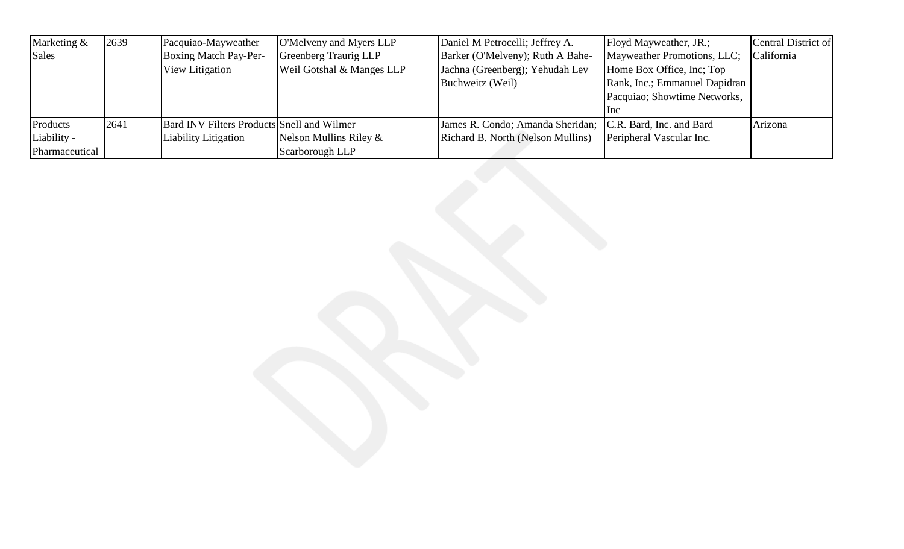| Marketing &    | 2639 | Pacquiao-Mayweather                               | O'Melveny and Myers LLP   | Daniel M Petrocelli; Jeffrey A.                           | Floyd Mayweather, JR.;        | Central District of |
|----------------|------|---------------------------------------------------|---------------------------|-----------------------------------------------------------|-------------------------------|---------------------|
| Sales          |      | Boxing Match Pay-Per-                             | Greenberg Traurig LLP     | Barker (O'Melveny); Ruth A Bahe-                          | Mayweather Promotions, LLC;   | California          |
|                |      | View Litigation                                   | Weil Gotshal & Manges LLP | Jachna (Greenberg); Yehudah Lev                           | Home Box Office, Inc; Top     |                     |
|                |      |                                                   |                           | Buchweitz (Weil)                                          | Rank, Inc.; Emmanuel Dapidran |                     |
|                |      |                                                   |                           |                                                           | Pacquiao; Showtime Networks,  |                     |
|                |      |                                                   |                           |                                                           | <b>Inc</b>                    |                     |
| Products       | 2641 | <b>Bard INV Filters Products Snell and Wilmer</b> |                           | James R. Condo; Amanda Sheridan; C.R. Bard, Inc. and Bard |                               | Arizona             |
| Liability -    |      | Liability Litigation                              | Nelson Mullins Riley $\&$ | Richard B. North (Nelson Mullins)                         | Peripheral Vascular Inc.      |                     |
| Pharmaceutical |      |                                                   | Scarborough LLP           |                                                           |                               |                     |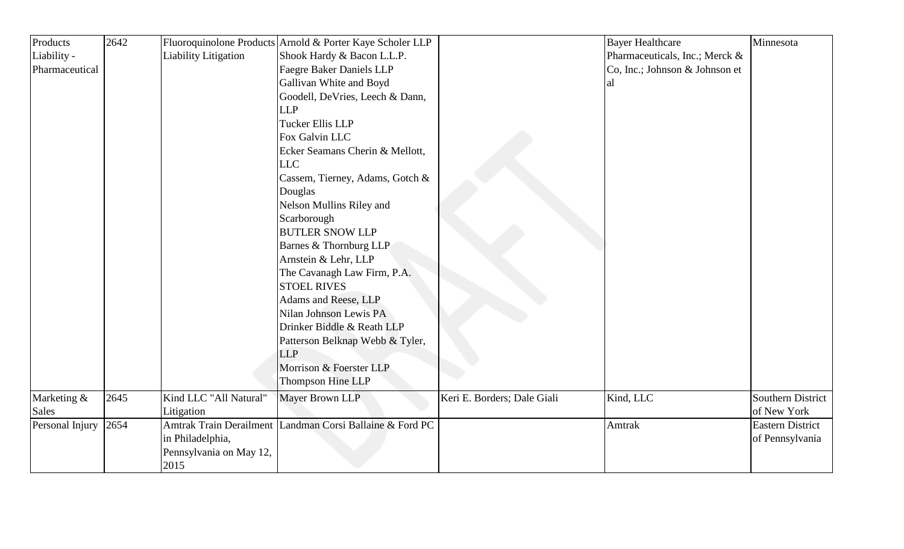| Products        | 2642 |                             | Fluoroquinolone Products Arnold & Porter Kaye Scholer LLP |                             | <b>Bayer Healthcare</b>        | Minnesota               |
|-----------------|------|-----------------------------|-----------------------------------------------------------|-----------------------------|--------------------------------|-------------------------|
| Liability -     |      | <b>Liability Litigation</b> | Shook Hardy & Bacon L.L.P.                                |                             | Pharmaceuticals, Inc.; Merck & |                         |
| Pharmaceutical  |      |                             | <b>Faegre Baker Daniels LLP</b>                           |                             | Co, Inc.; Johnson & Johnson et |                         |
|                 |      |                             | Gallivan White and Boyd                                   |                             | al                             |                         |
|                 |      |                             | Goodell, DeVries, Leech & Dann,                           |                             |                                |                         |
|                 |      |                             | <b>LLP</b>                                                |                             |                                |                         |
|                 |      |                             | Tucker Ellis LLP                                          |                             |                                |                         |
|                 |      |                             | Fox Galvin LLC                                            |                             |                                |                         |
|                 |      |                             | Ecker Seamans Cherin & Mellott,                           |                             |                                |                         |
|                 |      |                             | <b>LLC</b>                                                |                             |                                |                         |
|                 |      |                             | Cassem, Tierney, Adams, Gotch &                           |                             |                                |                         |
|                 |      |                             | Douglas                                                   |                             |                                |                         |
|                 |      |                             | Nelson Mullins Riley and                                  |                             |                                |                         |
|                 |      |                             | Scarborough                                               |                             |                                |                         |
|                 |      |                             | <b>BUTLER SNOW LLP</b>                                    |                             |                                |                         |
|                 |      |                             | Barnes & Thornburg LLP                                    |                             |                                |                         |
|                 |      |                             | Arnstein & Lehr, LLP                                      |                             |                                |                         |
|                 |      |                             | The Cavanagh Law Firm, P.A.                               |                             |                                |                         |
|                 |      |                             | <b>STOEL RIVES</b>                                        |                             |                                |                         |
|                 |      |                             | Adams and Reese, LLP                                      |                             |                                |                         |
|                 |      |                             | Nilan Johnson Lewis PA                                    |                             |                                |                         |
|                 |      |                             | Drinker Biddle & Reath LLP                                |                             |                                |                         |
|                 |      |                             | Patterson Belknap Webb & Tyler,                           |                             |                                |                         |
|                 |      |                             | <b>LLP</b>                                                |                             |                                |                         |
|                 |      |                             | Morrison & Foerster LLP                                   |                             |                                |                         |
|                 |      |                             | Thompson Hine LLP                                         |                             |                                |                         |
| Marketing &     | 2645 | Kind LLC "All Natural"      | Mayer Brown LLP                                           | Keri E. Borders; Dale Giali | Kind, LLC                      | Southern District       |
| Sales           |      | Litigation                  |                                                           |                             |                                | of New York             |
| Personal Injury | 2654 |                             | Amtrak Train Derailment Landman Corsi Ballaine & Ford PC  |                             | Amtrak                         | <b>Eastern District</b> |
|                 |      | in Philadelphia,            |                                                           |                             |                                | of Pennsylvania         |
|                 |      | Pennsylvania on May 12,     |                                                           |                             |                                |                         |
|                 |      | 2015                        |                                                           |                             |                                |                         |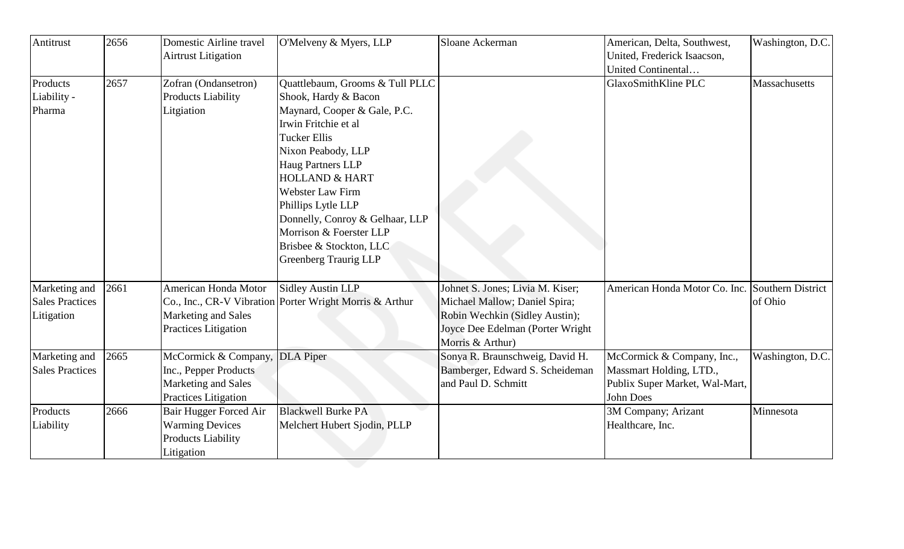| Antitrust              | 2656 | <b>Domestic Airline travel</b><br><b>Airtrust Litigation</b> | O'Melveny & Myers, LLP                                  | Sloane Ackerman                  | American, Delta, Southwest,<br>United, Frederick Isaacson,<br>United Continental | Washington, D.C.  |
|------------------------|------|--------------------------------------------------------------|---------------------------------------------------------|----------------------------------|----------------------------------------------------------------------------------|-------------------|
| Products               | 2657 | Zofran (Ondansetron)                                         | Quattlebaum, Grooms & Tull PLLC                         |                                  | GlaxoSmithKline PLC                                                              | Massachusetts     |
| Liability -            |      | <b>Products Liability</b>                                    | Shook, Hardy & Bacon                                    |                                  |                                                                                  |                   |
| Pharma                 |      | Litgiation                                                   | Maynard, Cooper & Gale, P.C.                            |                                  |                                                                                  |                   |
|                        |      |                                                              | Irwin Fritchie et al                                    |                                  |                                                                                  |                   |
|                        |      |                                                              | Tucker Ellis                                            |                                  |                                                                                  |                   |
|                        |      |                                                              | Nixon Peabody, LLP                                      |                                  |                                                                                  |                   |
|                        |      |                                                              | <b>Haug Partners LLP</b>                                |                                  |                                                                                  |                   |
|                        |      |                                                              | <b>HOLLAND &amp; HART</b>                               |                                  |                                                                                  |                   |
|                        |      |                                                              | <b>Webster Law Firm</b>                                 |                                  |                                                                                  |                   |
|                        |      |                                                              | Phillips Lytle LLP                                      |                                  |                                                                                  |                   |
|                        |      |                                                              | Donnelly, Conroy & Gelhaar, LLP                         |                                  |                                                                                  |                   |
|                        |      |                                                              | Morrison & Foerster LLP                                 |                                  |                                                                                  |                   |
|                        |      |                                                              | Brisbee & Stockton, LLC                                 |                                  |                                                                                  |                   |
|                        |      |                                                              | <b>Greenberg Traurig LLP</b>                            |                                  |                                                                                  |                   |
| Marketing and          | 2661 | American Honda Motor                                         | <b>Sidley Austin LLP</b>                                | Johnet S. Jones; Livia M. Kiser; | American Honda Motor Co. Inc.                                                    | Southern District |
| <b>Sales Practices</b> |      |                                                              | Co., Inc., CR-V Vibration Porter Wright Morris & Arthur | Michael Mallow; Daniel Spira;    |                                                                                  | of Ohio           |
| Litigation             |      | Marketing and Sales                                          |                                                         | Robin Wechkin (Sidley Austin);   |                                                                                  |                   |
|                        |      | Practices Litigation                                         |                                                         | Joyce Dee Edelman (Porter Wright |                                                                                  |                   |
|                        |      |                                                              |                                                         | Morris & Arthur)                 |                                                                                  |                   |
| Marketing and          | 2665 | McCormick & Company, DLA Piper                               |                                                         | Sonya R. Braunschweig, David H.  | McCormick & Company, Inc.,                                                       | Washington, D.C.  |
| <b>Sales Practices</b> |      | Inc., Pepper Products                                        |                                                         | Bamberger, Edward S. Scheideman  | Massmart Holding, LTD.,                                                          |                   |
|                        |      | Marketing and Sales                                          |                                                         | and Paul D. Schmitt              | Publix Super Market, Wal-Mart,                                                   |                   |
|                        |      | Practices Litigation                                         |                                                         |                                  | <b>John Does</b>                                                                 |                   |
| Products               | 2666 | Bair Hugger Forced Air                                       | <b>Blackwell Burke PA</b>                               |                                  | 3M Company; Arizant                                                              | Minnesota         |
| Liability              |      | <b>Warming Devices</b>                                       | Melchert Hubert Sjodin, PLLP                            |                                  | Healthcare, Inc.                                                                 |                   |
|                        |      | <b>Products Liability</b>                                    |                                                         |                                  |                                                                                  |                   |
|                        |      | Litigation                                                   |                                                         |                                  |                                                                                  |                   |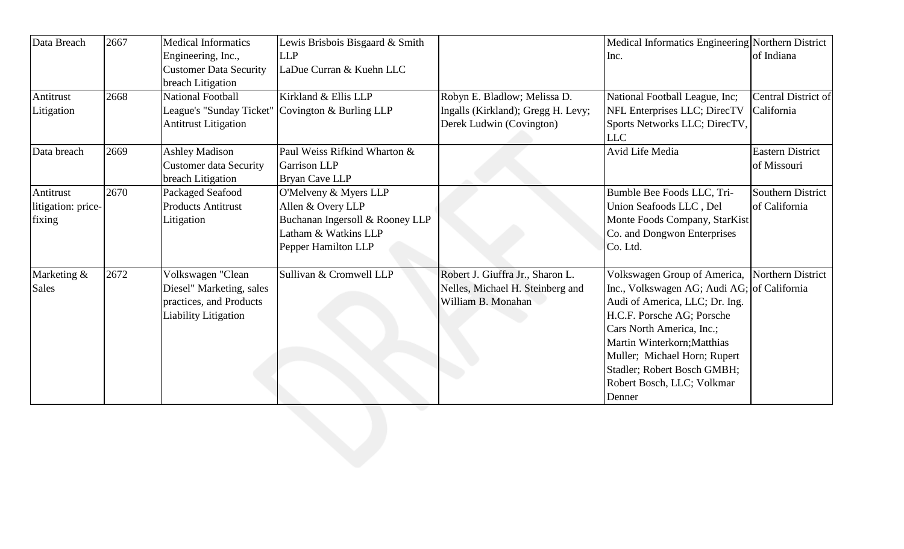| Data Breach        | 2667 | <b>Medical Informatics</b>    | Lewis Brisbois Bisgaard & Smith                    |                                    | Medical Informatics Engineering Northern District |                         |
|--------------------|------|-------------------------------|----------------------------------------------------|------------------------------------|---------------------------------------------------|-------------------------|
|                    |      | Engineering, Inc.,            | <b>LLP</b>                                         |                                    | Inc.                                              | of Indiana              |
|                    |      | <b>Customer Data Security</b> | LaDue Curran & Kuehn LLC                           |                                    |                                                   |                         |
|                    |      | breach Litigation             |                                                    |                                    |                                                   |                         |
| Antitrust          | 2668 | <b>National Football</b>      | Kirkland & Ellis LLP                               | Robyn E. Bladlow; Melissa D.       | National Football League, Inc;                    | Central District of     |
| Litigation         |      |                               | League's "Sunday Ticket"   Covington & Burling LLP | Ingalls (Kirkland); Gregg H. Levy; | NFL Enterprises LLC; DirecTV                      | California              |
|                    |      | <b>Antitrust Litigation</b>   |                                                    | Derek Ludwin (Covington)           | Sports Networks LLC; DirecTV,<br><b>LLC</b>       |                         |
| Data breach        | 2669 | <b>Ashley Madison</b>         | Paul Weiss Rifkind Wharton &                       |                                    | Avid Life Media                                   | <b>Eastern District</b> |
|                    |      | <b>Customer data Security</b> | <b>Garrison LLP</b>                                |                                    |                                                   | of Missouri             |
|                    |      | breach Litigation             | <b>Bryan Cave LLP</b>                              |                                    |                                                   |                         |
| Antitrust          | 2670 | Packaged Seafood              | O'Melveny & Myers LLP                              |                                    | Bumble Bee Foods LLC, Tri-                        | Southern District       |
| litigation: price- |      | <b>Products Antitrust</b>     | Allen & Overy LLP                                  |                                    | Union Seafoods LLC, Del                           | of California           |
| fixing             |      | Litigation                    | Buchanan Ingersoll & Rooney LLP                    |                                    | Monte Foods Company, StarKist                     |                         |
|                    |      |                               | Latham & Watkins LLP                               |                                    | Co. and Dongwon Enterprises                       |                         |
|                    |      |                               | Pepper Hamilton LLP                                |                                    | Co. Ltd.                                          |                         |
| Marketing &        | 2672 | Volkswagen "Clean             | Sullivan & Cromwell LLP                            | Robert J. Giuffra Jr., Sharon L.   | Volkswagen Group of America, Northern District    |                         |
| Sales              |      | Diesel" Marketing, sales      |                                                    | Nelles, Michael H. Steinberg and   | Inc., Volkswagen AG; Audi AG; of California       |                         |
|                    |      | practices, and Products       |                                                    | William B. Monahan                 | Audi of America, LLC; Dr. Ing.                    |                         |
|                    |      | <b>Liability Litigation</b>   |                                                    |                                    | H.C.F. Porsche AG; Porsche                        |                         |
|                    |      |                               |                                                    |                                    | Cars North America, Inc.;                         |                         |
|                    |      |                               |                                                    |                                    | Martin Winterkorn; Matthias                       |                         |
|                    |      |                               |                                                    |                                    | Muller; Michael Horn; Rupert                      |                         |
|                    |      |                               |                                                    |                                    | Stadler; Robert Bosch GMBH;                       |                         |
|                    |      |                               |                                                    |                                    | Robert Bosch, LLC; Volkmar                        |                         |
|                    |      |                               |                                                    |                                    | Denner                                            |                         |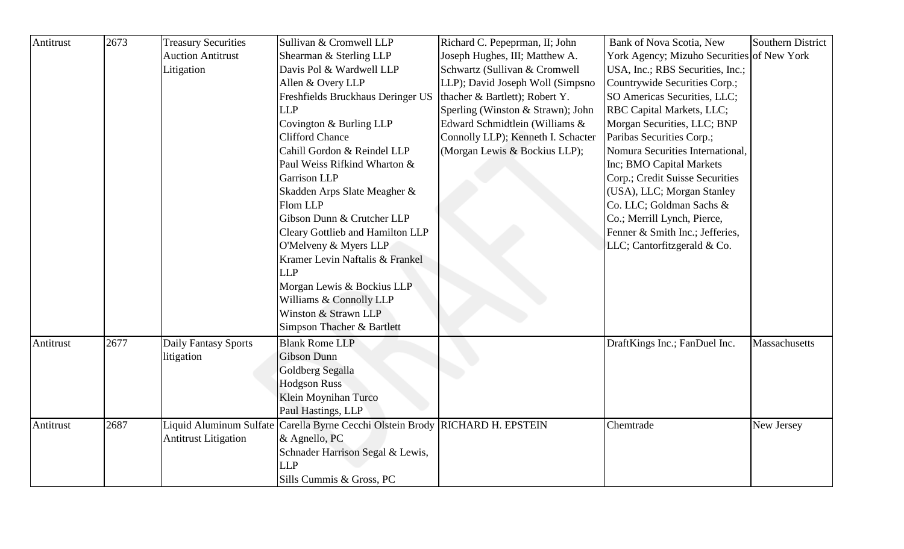| Antitrust | 2673 | <b>Treasury Securities</b>  | Sullivan & Cromwell LLP                                                       | Richard C. Pepeprman, II; John     | Bank of Nova Scotia, New                   | Southern District |
|-----------|------|-----------------------------|-------------------------------------------------------------------------------|------------------------------------|--------------------------------------------|-------------------|
|           |      | <b>Auction Antitrust</b>    | Shearman & Sterling LLP                                                       | Joseph Hughes, III; Matthew A.     | York Agency; Mizuho Securities of New York |                   |
|           |      | Litigation                  | Davis Pol & Wardwell LLP                                                      | Schwartz (Sullivan & Cromwell      | USA, Inc.; RBS Securities, Inc.;           |                   |
|           |      |                             | Allen & Overy LLP                                                             | LLP); David Joseph Woll (Simpsno   | Countrywide Securities Corp.;              |                   |
|           |      |                             | Freshfields Bruckhaus Deringer US                                             | thacher & Bartlett); Robert Y.     | SO Americas Securities, LLC;               |                   |
|           |      |                             | <b>LLP</b>                                                                    | Sperling (Winston & Strawn); John  | RBC Capital Markets, LLC;                  |                   |
|           |      |                             | Covington & Burling LLP                                                       | Edward Schmidtlein (Williams &     | Morgan Securities, LLC; BNP                |                   |
|           |      |                             | <b>Clifford Chance</b>                                                        | Connolly LLP); Kenneth I. Schacter | Paribas Securities Corp.;                  |                   |
|           |      |                             | Cahill Gordon & Reindel LLP                                                   | (Morgan Lewis & Bockius LLP);      | Nomura Securities International,           |                   |
|           |      |                             | Paul Weiss Rifkind Wharton &                                                  |                                    | Inc; BMO Capital Markets                   |                   |
|           |      |                             | <b>Garrison LLP</b>                                                           |                                    | Corp.; Credit Suisse Securities            |                   |
|           |      |                             | Skadden Arps Slate Meagher &                                                  |                                    | (USA), LLC; Morgan Stanley                 |                   |
|           |      |                             | Flom LLP                                                                      |                                    | Co. LLC; Goldman Sachs &                   |                   |
|           |      |                             | Gibson Dunn & Crutcher LLP                                                    |                                    | Co.; Merrill Lynch, Pierce,                |                   |
|           |      |                             | Cleary Gottlieb and Hamilton LLP                                              |                                    | Fenner & Smith Inc.; Jefferies,            |                   |
|           |      |                             | O'Melveny & Myers LLP                                                         |                                    | LLC; Cantorfitzgerald & Co.                |                   |
|           |      |                             | Kramer Levin Naftalis & Frankel                                               |                                    |                                            |                   |
|           |      |                             | <b>LLP</b>                                                                    |                                    |                                            |                   |
|           |      |                             | Morgan Lewis & Bockius LLP                                                    |                                    |                                            |                   |
|           |      |                             | Williams & Connolly LLP                                                       |                                    |                                            |                   |
|           |      |                             | Winston & Strawn LLP                                                          |                                    |                                            |                   |
|           |      |                             | Simpson Thacher & Bartlett                                                    |                                    |                                            |                   |
| Antitrust | 2677 | Daily Fantasy Sports        | <b>Blank Rome LLP</b>                                                         |                                    | DraftKings Inc.; FanDuel Inc.              | Massachusetts     |
|           |      | litigation                  | <b>Gibson Dunn</b>                                                            |                                    |                                            |                   |
|           |      |                             | Goldberg Segalla                                                              |                                    |                                            |                   |
|           |      |                             | <b>Hodgson Russ</b>                                                           |                                    |                                            |                   |
|           |      |                             | Klein Moynihan Turco                                                          |                                    |                                            |                   |
|           |      |                             | Paul Hastings, LLP                                                            |                                    |                                            |                   |
| Antitrust | 2687 |                             | Liquid Aluminum Sulfate Carella Byrne Cecchi Olstein Brody RICHARD H. EPSTEIN |                                    | Chemtrade                                  | New Jersey        |
|           |      | <b>Antitrust Litigation</b> | & Agnello, PC                                                                 |                                    |                                            |                   |
|           |      |                             | Schnader Harrison Segal & Lewis,                                              |                                    |                                            |                   |
|           |      |                             | <b>LLP</b>                                                                    |                                    |                                            |                   |
|           |      |                             | Sills Cummis & Gross, PC                                                      |                                    |                                            |                   |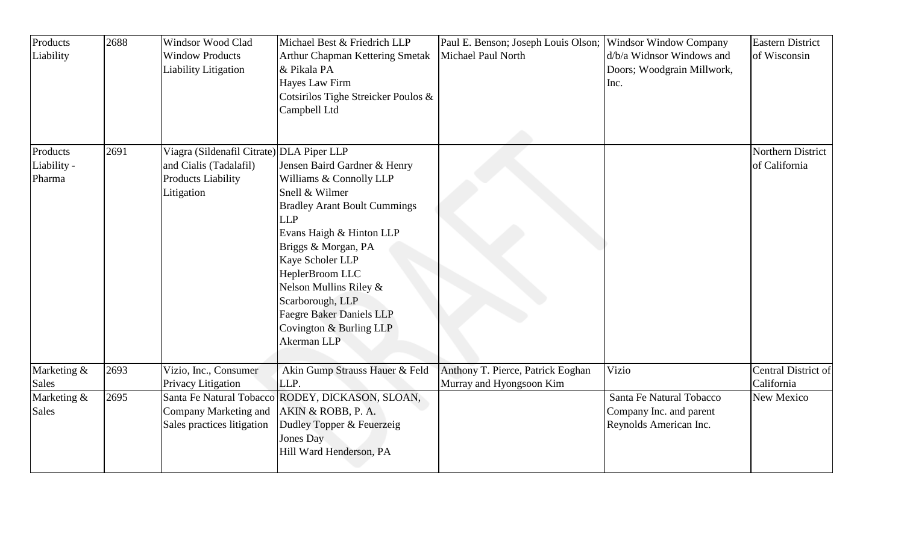| Products<br>Liability             | 2688 | <b>Windsor Wood Clad</b><br><b>Window Products</b><br>Liability Litigation                                     | Michael Best & Friedrich LLP<br>Arthur Chapman Kettering Smetak<br>& Pikala PA<br>Hayes Law Firm<br>Cotsirilos Tighe Streicker Poulos &<br>Campbell Ltd                                                                                                                                                                                             | Paul E. Benson; Joseph Louis Olson;<br>Michael Paul North     | <b>Windsor Window Company</b><br>d/b/a Widnsor Windows and<br>Doors; Woodgrain Millwork,<br>Inc. | <b>Eastern District</b><br>of Wisconsin |
|-----------------------------------|------|----------------------------------------------------------------------------------------------------------------|-----------------------------------------------------------------------------------------------------------------------------------------------------------------------------------------------------------------------------------------------------------------------------------------------------------------------------------------------------|---------------------------------------------------------------|--------------------------------------------------------------------------------------------------|-----------------------------------------|
| Products<br>Liability -<br>Pharma | 2691 | Viagra (Sildenafil Citrate) DLA Piper LLP<br>and Cialis (Tadalafil)<br><b>Products Liability</b><br>Litigation | Jensen Baird Gardner & Henry<br>Williams & Connolly LLP<br>Snell & Wilmer<br><b>Bradley Arant Boult Cummings</b><br><b>LLP</b><br>Evans Haigh & Hinton LLP<br>Briggs & Morgan, PA<br>Kaye Scholer LLP<br>HeplerBroom LLC<br>Nelson Mullins Riley &<br>Scarborough, LLP<br><b>Faegre Baker Daniels LLP</b><br>Covington & Burling LLP<br>Akerman LLP |                                                               |                                                                                                  | Northern District<br>of California      |
| Marketing &<br><b>Sales</b>       | 2693 | Vizio, Inc., Consumer<br>Privacy Litigation                                                                    | Akin Gump Strauss Hauer & Feld<br>LLP.                                                                                                                                                                                                                                                                                                              | Anthony T. Pierce, Patrick Eoghan<br>Murray and Hyongsoon Kim | Vizio                                                                                            | Central District of<br>California       |
| Marketing &<br><b>Sales</b>       | 2695 | Company Marketing and<br>Sales practices litigation                                                            | Santa Fe Natural Tobacco RODEY, DICKASON, SLOAN,<br>AKIN & ROBB, P. A.<br>Dudley Topper & Feuerzeig<br>Jones Day<br>Hill Ward Henderson, PA                                                                                                                                                                                                         |                                                               | Santa Fe Natural Tobacco<br>Company Inc. and parent<br>Reynolds American Inc.                    | New Mexico                              |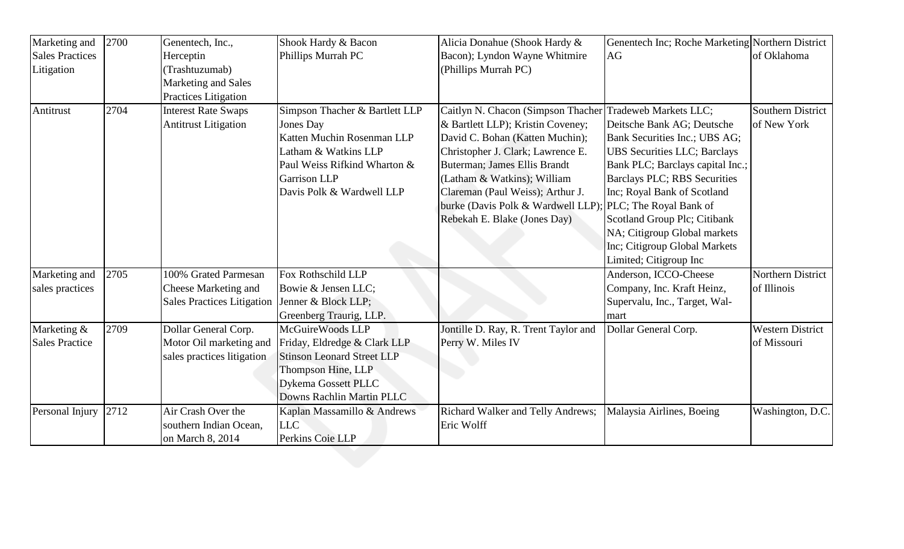| Marketing and          | 2700 | Genentech, Inc.,                  | Shook Hardy & Bacon               | Alicia Donahue (Shook Hardy &                            | Genentech Inc; Roche Marketing Northern District |                          |
|------------------------|------|-----------------------------------|-----------------------------------|----------------------------------------------------------|--------------------------------------------------|--------------------------|
| <b>Sales Practices</b> |      | Herceptin                         | Phillips Murrah PC                | Bacon); Lyndon Wayne Whitmire                            | AG                                               | of Oklahoma              |
| Litigation             |      | (Trashtuzumab)                    |                                   | (Phillips Murrah PC)                                     |                                                  |                          |
|                        |      | Marketing and Sales               |                                   |                                                          |                                                  |                          |
|                        |      | Practices Litigation              |                                   |                                                          |                                                  |                          |
| Antitrust              | 2704 | <b>Interest Rate Swaps</b>        | Simpson Thacher & Bartlett LLP    | Caitlyn N. Chacon (Simpson Thacher Tradeweb Markets LLC; |                                                  | <b>Southern District</b> |
|                        |      | <b>Antitrust Litigation</b>       | Jones Day                         | & Bartlett LLP); Kristin Coveney;                        | Deitsche Bank AG; Deutsche                       | of New York              |
|                        |      |                                   | Katten Muchin Rosenman LLP        | David C. Bohan (Katten Muchin);                          | Bank Securities Inc.; UBS AG;                    |                          |
|                        |      |                                   | Latham & Watkins LLP              | Christopher J. Clark; Lawrence E.                        | UBS Securities LLC; Barclays                     |                          |
|                        |      |                                   | Paul Weiss Rifkind Wharton &      | Buterman; James Ellis Brandt                             | Bank PLC; Barclays capital Inc.;                 |                          |
|                        |      |                                   | <b>Garrison LLP</b>               | (Latham & Watkins); William                              | Barclays PLC; RBS Securities                     |                          |
|                        |      |                                   | Davis Polk & Wardwell LLP         | Clareman (Paul Weiss); Arthur J.                         | Inc; Royal Bank of Scotland                      |                          |
|                        |      |                                   |                                   | burke (Davis Polk & Wardwell LLP);                       | PLC; The Royal Bank of                           |                          |
|                        |      |                                   |                                   | Rebekah E. Blake (Jones Day)                             | Scotland Group Plc; Citibank                     |                          |
|                        |      |                                   |                                   |                                                          | NA; Citigroup Global markets                     |                          |
|                        |      |                                   |                                   |                                                          | Inc; Citigroup Global Markets                    |                          |
|                        |      |                                   |                                   |                                                          | Limited; Citigroup Inc                           |                          |
| Marketing and          | 2705 | 100% Grated Parmesan              | Fox Rothschild LLP                |                                                          | Anderson, ICCO-Cheese                            | Northern District        |
| sales practices        |      | Cheese Marketing and              | Bowie & Jensen LLC;               |                                                          | Company, Inc. Kraft Heinz,                       | of Illinois              |
|                        |      | <b>Sales Practices Litigation</b> | Jenner & Block LLP;               |                                                          | Supervalu, Inc., Target, Wal-                    |                          |
|                        |      |                                   | Greenberg Traurig, LLP.           |                                                          | mart                                             |                          |
| Marketing &            | 2709 | Dollar General Corp.              | McGuireWoods LLP                  | Jontille D. Ray, R. Trent Taylor and                     | Dollar General Corp.                             | <b>Western District</b>  |
| <b>Sales Practice</b>  |      | Motor Oil marketing and           | Friday, Eldredge & Clark LLP      | Perry W. Miles IV                                        |                                                  | of Missouri              |
|                        |      | sales practices litigation        | <b>Stinson Leonard Street LLP</b> |                                                          |                                                  |                          |
|                        |      |                                   | Thompson Hine, LLP                |                                                          |                                                  |                          |
|                        |      |                                   | Dykema Gossett PLLC               |                                                          |                                                  |                          |
|                        |      |                                   | Downs Rachlin Martin PLLC         |                                                          |                                                  |                          |
| Personal Injury        | 2712 | Air Crash Over the                | Kaplan Massamillo & Andrews       | Richard Walker and Telly Andrews;                        | Malaysia Airlines, Boeing                        | Washington, D.C.         |
|                        |      | southern Indian Ocean,            | <b>LLC</b>                        | Eric Wolff                                               |                                                  |                          |
|                        |      | on March 8, 2014                  | Perkins Coie LLP                  |                                                          |                                                  |                          |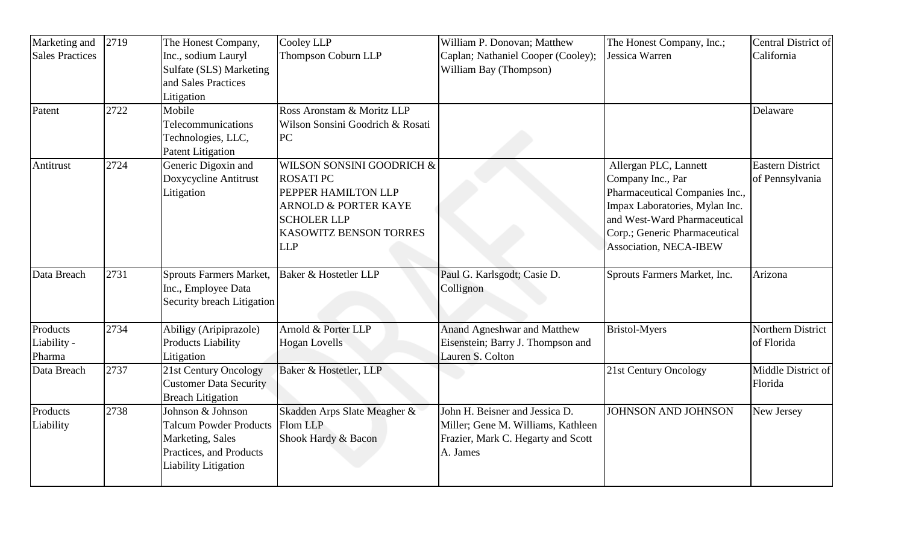| Marketing and                     | 2719 | The Honest Company,                                                                                                              | Cooley LLP                                                                                                                                                           | William P. Donovan; Matthew                                                                                            | The Honest Company, Inc.;                                                                                                                                                                                        | Central District of                        |
|-----------------------------------|------|----------------------------------------------------------------------------------------------------------------------------------|----------------------------------------------------------------------------------------------------------------------------------------------------------------------|------------------------------------------------------------------------------------------------------------------------|------------------------------------------------------------------------------------------------------------------------------------------------------------------------------------------------------------------|--------------------------------------------|
| <b>Sales Practices</b>            |      | Inc., sodium Lauryl<br>Sulfate (SLS) Marketing<br>and Sales Practices                                                            | Thompson Coburn LLP                                                                                                                                                  | Caplan; Nathaniel Cooper (Cooley);<br>William Bay (Thompson)                                                           | Jessica Warren                                                                                                                                                                                                   | California                                 |
|                                   |      | Litigation                                                                                                                       |                                                                                                                                                                      |                                                                                                                        |                                                                                                                                                                                                                  |                                            |
| Patent                            | 2722 | Mobile<br>Telecommunications<br>Technologies, LLC,<br><b>Patent Litigation</b>                                                   | Ross Aronstam & Moritz LLP<br>Wilson Sonsini Goodrich & Rosati<br>PC                                                                                                 |                                                                                                                        |                                                                                                                                                                                                                  | Delaware                                   |
| Antitrust                         | 2724 | Generic Digoxin and<br>Doxycycline Antitrust<br>Litigation                                                                       | WILSON SONSINI GOODRICH &<br><b>ROSATIPC</b><br>PEPPER HAMILTON LLP<br><b>ARNOLD &amp; PORTER KAYE</b><br><b>SCHOLER LLP</b><br>KASOWITZ BENSON TORRES<br><b>LLP</b> |                                                                                                                        | Allergan PLC, Lannett<br>Company Inc., Par<br>Pharmaceutical Companies Inc.,<br>Impax Laboratories, Mylan Inc.<br>and West-Ward Pharmaceutical<br>Corp.; Generic Pharmaceutical<br><b>Association, NECA-IBEW</b> | <b>Eastern District</b><br>of Pennsylvania |
| Data Breach                       | 2731 | Sprouts Farmers Market,<br>Inc., Employee Data<br>Security breach Litigation                                                     | Baker & Hostetler LLP                                                                                                                                                | Paul G. Karlsgodt; Casie D.<br>Collignon                                                                               | Sprouts Farmers Market, Inc.                                                                                                                                                                                     | Arizona                                    |
| Products<br>Liability -<br>Pharma | 2734 | Abiligy (Aripiprazole)<br><b>Products Liability</b><br>Litigation                                                                | Arnold & Porter LLP<br><b>Hogan Lovells</b>                                                                                                                          | <b>Anand Agneshwar and Matthew</b><br>Eisenstein; Barry J. Thompson and<br>Lauren S. Colton                            | <b>Bristol-Myers</b>                                                                                                                                                                                             | Northern District<br>of Florida            |
| Data Breach                       | 2737 | 21st Century Oncology<br><b>Customer Data Security</b><br><b>Breach Litigation</b>                                               | Baker & Hostetler, LLP                                                                                                                                               |                                                                                                                        | 21st Century Oncology                                                                                                                                                                                            | Middle District of<br>Florida              |
| Products<br>Liability             | 2738 | Johnson & Johnson<br><b>Talcum Powder Products</b><br>Marketing, Sales<br>Practices, and Products<br><b>Liability Litigation</b> | Skadden Arps Slate Meagher &<br>Flom LLP<br>Shook Hardy & Bacon                                                                                                      | John H. Beisner and Jessica D.<br>Miller; Gene M. Williams, Kathleen<br>Frazier, Mark C. Hegarty and Scott<br>A. James | <b>JOHNSON AND JOHNSON</b>                                                                                                                                                                                       | New Jersey                                 |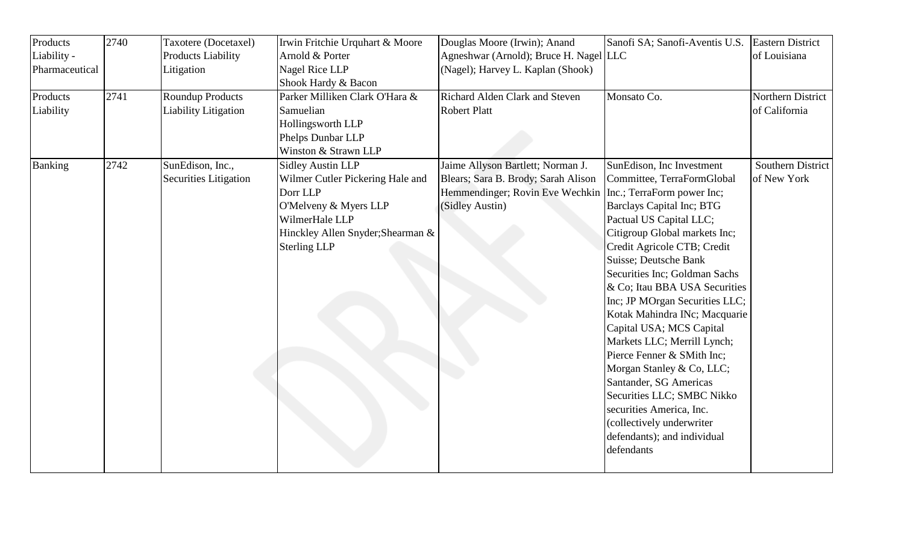| Products       | 2740 | Taxotere (Docetaxel)         | Irwin Fritchie Urquhart & Moore   | Douglas Moore (Irwin); Anand           | Sanofi SA; Sanofi-Aventis U.S. | <b>Eastern District</b>  |
|----------------|------|------------------------------|-----------------------------------|----------------------------------------|--------------------------------|--------------------------|
| Liability -    |      | <b>Products Liability</b>    | Arnold & Porter                   | Agneshwar (Arnold); Bruce H. Nagel LLC |                                | of Louisiana             |
| Pharmaceutical |      | Litigation                   | Nagel Rice LLP                    | (Nagel); Harvey L. Kaplan (Shook)      |                                |                          |
|                |      |                              | Shook Hardy & Bacon               |                                        |                                |                          |
| Products       | 2741 | <b>Roundup Products</b>      | Parker Milliken Clark O'Hara &    | Richard Alden Clark and Steven         | Monsato Co.                    | Northern District        |
| Liability      |      | <b>Liability Litigation</b>  | Samuelian                         | <b>Robert Platt</b>                    |                                | of California            |
|                |      |                              | Hollingsworth LLP                 |                                        |                                |                          |
|                |      |                              | Phelps Dunbar LLP                 |                                        |                                |                          |
|                |      |                              | Winston & Strawn LLP              |                                        |                                |                          |
| <b>Banking</b> | 2742 | SunEdison, Inc.,             | <b>Sidley Austin LLP</b>          | Jaime Allyson Bartlett; Norman J.      | SunEdison, Inc Investment      | <b>Southern District</b> |
|                |      | <b>Securities Litigation</b> | Wilmer Cutler Pickering Hale and  | Blears; Sara B. Brody; Sarah Alison    | Committee, TerraFormGlobal     | of New York              |
|                |      |                              | Dorr LLP                          | Hemmendinger; Rovin Eve Wechkin        | Inc.; TerraForm power Inc;     |                          |
|                |      |                              | O'Melveny & Myers LLP             | (Sidley Austin)                        | Barclays Capital Inc; BTG      |                          |
|                |      |                              | WilmerHale LLP                    |                                        | Pactual US Capital LLC;        |                          |
|                |      |                              | Hinckley Allen Snyder; Shearman & |                                        | Citigroup Global markets Inc;  |                          |
|                |      |                              | <b>Sterling LLP</b>               |                                        | Credit Agricole CTB; Credit    |                          |
|                |      |                              |                                   |                                        | Suisse; Deutsche Bank          |                          |
|                |      |                              |                                   |                                        | Securities Inc; Goldman Sachs  |                          |
|                |      |                              |                                   |                                        | & Co; Itau BBA USA Securities  |                          |
|                |      |                              |                                   |                                        | Inc; JP MOrgan Securities LLC; |                          |
|                |      |                              |                                   |                                        | Kotak Mahindra INc; Macquarie  |                          |
|                |      |                              |                                   |                                        | Capital USA; MCS Capital       |                          |
|                |      |                              |                                   |                                        | Markets LLC; Merrill Lynch;    |                          |
|                |      |                              |                                   |                                        | Pierce Fenner & SMith Inc;     |                          |
|                |      |                              |                                   |                                        | Morgan Stanley & Co, LLC;      |                          |
|                |      |                              |                                   |                                        | Santander, SG Americas         |                          |
|                |      |                              |                                   |                                        | Securities LLC; SMBC Nikko     |                          |
|                |      |                              |                                   |                                        | securities America, Inc.       |                          |
|                |      |                              |                                   |                                        | (collectively underwriter      |                          |
|                |      |                              |                                   |                                        | defendants); and individual    |                          |
|                |      |                              |                                   |                                        | defendants                     |                          |
|                |      |                              |                                   |                                        |                                |                          |